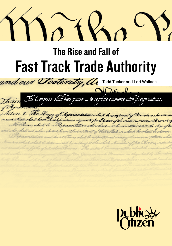

# The Rise and Fall of Fast Track Trade Authority



The Congress shall have power ... to regulate commerce with foreign nations.

Hitien. 2. The Hayse of Aspresen<del>tatives sh</del>all be composed of Members chave<del>n er</del><br>in each State shall have Qualifuations requisite for Electors of the most numerous Branch of<br>No Person shall be a Representative who shall and who shall not, when elected, be an Inhabitant of that State in which he shall be chosen. representatives and direct Taxes shall be apportioned among the several states which termined by adding to the win

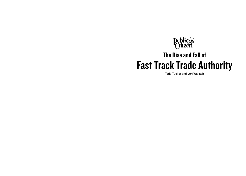

# The Rise and Fall of Fast Track Trade Authority

Todd Tucker and Lori Wallach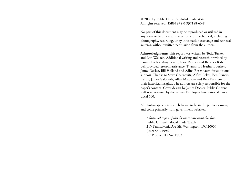© 2008 by Public Citizen's Global Trade Watch. All rights reserved. ISBN 978-0-937188-66-8

No part of this document may be reproduced or utilized in any form or by any means, electronic or mechanical, including photography, recording, or by information exchange and retrieval systems, without written permission from the authors.

**Acknowledgments:** This report was written by Todd Tucker and Lori Wallach. Additional writing and research provided by Lauren Forbes. Amy Bruno, Isaac Raisner and Rebecca Riddell provided research assistance. Thanks to Heather Boushey, James Decker, Bill Holland and Adina Rosenbaum for additional support. Thanks to Steve Charnovitz, Alfred Eckes, Ben Francis-Fallon, James Galbraith, Allen Matusow and Rick Perlstein for their historical insights. The authors are solely responsible for the paper's content. Cover design by James Decker. Public Citizen's staff is represented by the Service Employees International Union, Local 500.

All photographs herein are believed to be in the public domain, and come primarily from government websites.

*Additional copies of this document are available from:* Public Citizen's Global Trade Watch 215 Pennsylvania Ave SE, Washington, DC 20003 (202) 546-4996 PC Product ID No: E9031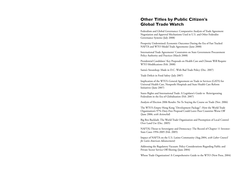## Other Titles by Public Citizen's Global Trade Watch

Federalism and Global Governance: Comparative Analysis of Trade Agreement Negotiation and Approval Mechanisms Used in U.S. and Other Federalist Governance Systems (July 2008)

Prosperity Undermined: Economic Outcomes During the Era of Fast Tracked NAFTA and WTO Model Trade Agreements (June 2008)

International Trade Agreements' Constraints on State Government Procurement Policy Authority and Practices (March 2008)

Presidential Candidates' Key Proposals on Health Care and Climate Will Require WTO Modifications (Feb. 2008)

Santa's Sweatshop: Made in D.C. With Bad Trade Policy (Dec. 2007)

Trade Deficit in Food Safety (July 2007)

Implication of the WTO's General Agreement on Trade in Services (GATS) for Universal Health Care, Nonprofit Hospitals and State Health Care Reform Initiatives (June 2007)

States Rights and International Trade: A Legislator's Guide to Reinvigorating Federalism in the Era of Globalization (Feb. 2007)

Analysis of Election 2006 Results: No To Staying the Course on Trade (Nov. 2006)

The WTO's Empty Hong Kong "Development Package": How the World Trade Organization's 97% Duty-Free Proposal Could Leave Poor Countries Worse Off (June 2006; *with ActionAid*)

Big Box Backlash: The World Trade Organization and Preemption of Local Control Over Land Use (Dec. 2005)

NAFTA's Threat to Sovereignty and Democracy: The Record of Chapter 11 Investor-State Cases 1994-2005 (Feb. 2005)

Impact of NAFTA on the U.S. Latino Community (Aug.2004, *with Labor Council for Latin American Advancement*)

Addressing the Regulatory Vacuum: Policy Considerations Regarding Public and Private Sector Service Off-Shoring (June 2004)

Whose Trade Organization? A Comprehensive Guide to the WTO (New Press, 2004)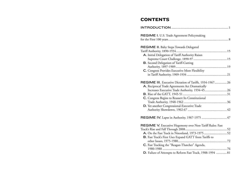# **CONTENTS**

| REGIME I. U.S. Trade Agreement Policymaking                                                                                                                                                                                        |
|------------------------------------------------------------------------------------------------------------------------------------------------------------------------------------------------------------------------------------|
| <b>REGIME II.</b> Baby Steps Towards Delegated<br>A. Initial Delegation of Tariff Authority Raises<br><b>B.</b> Second Delegation of Tariff-Cutting<br>C. Congress Provides Executive More Flexibility                             |
| REGIME III. Executive Dictation of Tariffs, 1934-1967 26<br>A. Reciprocal Trade Agreements Act Dramatically<br>C. Congress Begins to Reassert Its Constitutional<br>D. Yet another Congressional-Executive Trade                   |
| REGIME IV. Lapse in Authority, 1967-1975  47                                                                                                                                                                                       |
| REGIME V. Executive Hegemony over Non-Tariff Rules: Fast<br>B. Fast Track's First Uses Expand GATT from Tariffs to<br>C. Fast Tracking the "Reagan-Thatcher" Agenda,<br>D. Failure of Attempts to Reform Fast Track, 1988-1994  81 |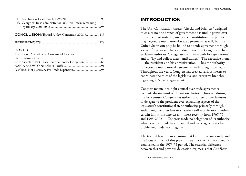| F. George W. Bush administration kills Fast Track's remaining |  |
|---------------------------------------------------------------|--|
|                                                               |  |
|                                                               |  |
| <b>CONCLUSION:</b> Toward A New Consensus, 2008-?  115        |  |
|                                                               |  |
|                                                               |  |

#### Boxes:

| The Bricker Amendment: Criticism of Executive |  |
|-----------------------------------------------|--|
|                                               |  |
|                                               |  |
|                                               |  |
|                                               |  |

# **INTRODUCTION**

The U.S. Constitution creates "checks and balances" designed to ensure no one branch of government has undue power over the others. For instance, under the Constitution, the president may negotiate international trade agreements at will, but the United States can only be bound to a trade agreement through a vote of Congress. The legislative branch — Congress — has exclusive authority "to regulate commerce with foreign nations" and to "lay and collect taxes [and] duties."1 The executive branch — the president and his administration — has the authority to negotiate international agreements with foreign sovereigns. Throughout the years, Congress has created various means to coordinate the roles of the legislative and executive branches regarding U.S. trade agreements.

Congress maintained tight control over trade agreements' contents during most of the nation's history. However, during the last century, Congress has utilized a variety of mechanisms to delegate to the president ever-expanding aspects of the legislature's constitutional trade authority, primarily through authorizing the president to *proclaim* tariff modifications within certain limits. In some cases — most recently from 1967-75 and 1995-2002 — Congress made no delegation of its authority whatsoever. Yet trade has expanded and trade agreements have proliferated under each regime.

The trade delegation mechanism best known internationally and the focus of much of this paper is Fast Track, which was initially established in the 1973-75 period. The essential difference between this and previous delegation regimes is that *Fast Track* 

<sup>1.</sup> U.S. Constitution, Article I-8.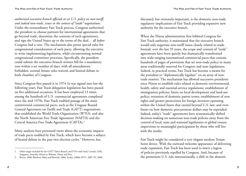*authorized executive-branch officials to set U.S. policy on non-tariff, and indeed non-trade, issues in the context of "trade" negotiations.* Under the extraordinary Fast Track process, Congress authorized the president to choose partners for international agreements that go beyond trade, determine the contents of such agreements, and sign the United States up to the terms of the deal… all *before* Congress had a vote. The mechanism also preset special rules for congressional consideration of such pacts, allowing the executive to write implementing legislation, while circumventing normal congressional-committee processes. Specifically, the president could submit the executive-branch written bill for a mandatory vote within a set number of days, with all amendments forbidden, normal Senate rules waived, and limited debate in both chamber of Congress.

Since Congress first passed it in 1974 (it was signed into law the following year), Fast Track delegation legislation has been passed on five additional occasions. It has been employed 13 times among the hundreds of U.S. commercial agreements completed since the mid 1970s. Fast Track enabled passage of the most controversial commercial pacts, such as the Uruguay Round General Agreement on Tariffs and Trade (GATT) negotiations that established the World Trade Organization (WTO), and also the North American Free Trade Agreement (NAFTA) and the Central America Free Trade Agreement (CAFTA).2

Many analysts have presented views about the economic impacts of trade pacts enabled by Fast Track, which have become a subject of heated debate in the past two election cycles.<sup>3</sup> However, less

discussed, but extremely important, is the domestic non-trade regulatory implications of Fast Track providing expansive new authority for the executive branch.

When the Nixon administration first lobbied Congress for Fast Track authority, it maintained that the executive branch would only negotiate non-tariff issues closely related to trade. Instead, over the last 35 years, the scope and content of "trade" agreements have been quietly but dramatically transformed into wide-ranging international commercial pacts that contain hundreds of pages of provisions that set non-trade policy in many areas traditionally reserved for Congress and state legislatures. Indeed, in practical terms, Fast Track has become a means for the president to "diplomatically legislate" on an array of nontrade matters. The mechanism has allowed successive presidents since Nixon to establish rules related to domestic environmental, health, safety and essential-service regulations; establishment of immigration policies; limits on local development and land-use policy; extension of domestic patent terms; establishment of new rights and greater protections for foreign investors operating within the United States that extend beyond U.S. law; and even limits on how domestic procurement dollars may be expended. Indeed, today's "trade" agreements have systematically shifted decision-making on numerous non-trade policies away from the control of local, state and national legislatures to global venues impervious to meaningful participation by those who will live with the results.

Fast Track might be considered a very elegant modern Trojanhorse device. With the outward welcome appearance of delivering trade expansion, Fast Track has been used to insert a legion of policies previously repelled by Congress. And, because of the prominent U.S. role internationally, a shift in the *domestic*

<sup>2.</sup> Other usages included for the GATT Tokyo Round, and FTAs with Israel, Canada, Chile, Singapore, Australia, Morocco, Bahrain, Oman and Peru.

<sup>3.</sup> Bivens, 2008; Weisbrot, Baker and Rosnick, 2006; Tucker, 2006b; IFTC, 2007; PC 2008.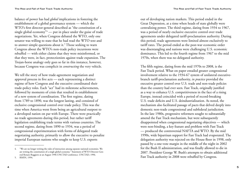balance of power has had *global* implications in fostering the establishment of a global governance system — which the WTO's first director-general described as "the constitution of a single global economy" $4$  — put in place under the guise of trade negotiations. Yet, when Congress debated the WTO, only one senator was willing to state that he had read the WTO text and to answer simple questions about it.<sup>5</sup> Those seeking to warn Congress about the WTO's non-trade policy incursions were rebuffed — with either claims that they were misinformed, or that they were, in fact, protectionists against trade expansion. The Trojan-horse analogy only goes so far in this instance, however, because Congress was complicit in *constructing* the very vehicle.

We tell the story of how trade-agreement negotiation and approval process in five acts — each representing a distinct regime of how Congress and the executive coordinated their trade-policy roles. Each "act" had its milestone achievements, followed by moments of crisis that resulted in establishment of a new system of coordination. The first regime, dating from 1789 to 1890, was the longest lasting, and consisted of exclusive congressional control over trade policy. This was the time when America went from being an agricultural outpost to a developed nation on par with Europe. There were practically no trade agreements during this period, but rather tariff legislation establishing trade terms with various countries. The second regime, dating from 1890 to 1934, was a period of congressional experimentation with forms of delegated trade negotiating authority, primarily to allow the executive to penalize imperial European nations who sought to keep U.S. exports

out of developing nation markets. This period ended in the Great Depression, at a time when heads of state globally were centralizing power. The third regime, dating from 1934 to 1967, was a period of nearly exclusive executive control over trade agreements under delegated tariff-proclamation authority. During this period, trade agreements were limited almost exclusively to tariff rates. The period ended as the post-war economic order was disentangling and nations were challenging U.S. economic dominance. This led to the fourth regime from 1967 to the mid 1970s, when there was no delegated authority.

The fifth regime, dating from the mid 1970s to 2008, is the Fast Track period. What on paper entailed greater congressional involvement relative to the 1934-67 system of unilateral executivebranch tariff-proclamation authority, *in practice* provided the executive greater control over U.S. trade and non-trade policies than the country had ever seen. Fast Track, originally justified as a way to enhance U.S. competitiveness in the face of a rising Europe, instead coincided with a period of record-breaking U.S. trade deficits and U.S. deindustrialization. As noted, the mechanism also facilitated passage of pacts that delved deeply into domestic non-trade congressional and subfederal jurisdiction. In the late 1980s, progressive reformers sought to substantially amend the Fast Track mechanism, but were subsequently disappointed when congressional negotiating objectives — which were non-binding, a key feature and problem with Fast Track — produced the controversial NAFTA and WTO. By the mid 1990s, wide bipartisan support for Fast Track had evaporated. The delegation authority was rejected on the House floor in 1998, only passed by a one-vote margin in the middle of the night in 2002 for the Bush II administration, and was finally allowed to die in 2007. President George W. Bush's attempts to obtain additional Fast Track authority in 2008 were rebuffed by Congress.

<sup>4.</sup> "We are no longer writing the rules of interaction among separate national economies. We are writing the constitution of a single global economy." Statement of WTO Director-General Renato Ruggiero at an August 1996 UNCTAD conference. UNCTAD, 1996.

<sup>5.</sup> RMSN, 1994.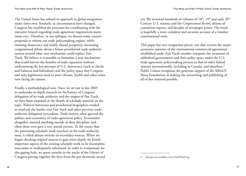The United States has refined its approach to global integration many times over. Similarly, as circumstances have changed, Congress has modified the processes for coordinating with the executive branch regarding trade-agreement negotiations many times over. Therefore, in our epilogue, we discuss some current proposals to reform our trade policymaking regime, while ensuring democracy and widely shared prosperity. Increasing congressional debate about a future presidential trade authority centers around what new mechanism could replace Fast Track. We believe it is possible to formulate a new mechanism that could harvest the benefits of trade expansion without undermining the key precepts of U.S. democracy (such as checks and balances and federalism) and the policy space that Congress and state legislatures need to meet climate, health and other crises now facing the nation.

Finally, a methodological note. Since we set out in late 2005 to undertake in-depth research on the history of Congress' delegation of its trade authority and the origins of Fast Track, we have been surprised at the dearth of scholarly material on the topic. Political historians and presidential biographers tended to overlook the battles over Fast Track and other previous tradeauthority delegation procedures. Trade lawyers often ignored the politics and economics of trade-agreement policy. Economists altogether omitted anything outside of their discipline, and often there even gave a very partial picture. To the extent that the preexisting scholarly work touched on the trade authority issue, it relied almost entirely on secondary sources. When we began checking original sources to gain more depth, we found important aspects of the existing scholarly work to be incomplete, inaccurate or inadequately referenced. In order to compensate for this gaping hole, we spent months in the stacks of the Library of Congress piecing together the facts from the pre-electronic record

era. We reviewed hundreds of volumes of 18<sup>th</sup>, 19<sup>th</sup> and early 20<sup>th</sup> Century U.S. statutes and the *Congressional Record*, dozens of committee reports, and decades of newspaper prints. The result is hopefully a more complete and accurate account of a timeless constitutional issue.

This paper has two companion pieces, one that reviews the major economic *outcomes* of the international commercial agreements established under Fast Track; another compares the treatment of subfederal governments and their policy space under the U.S. trade agreement policymaking process to that of other federal systems internationally, including in Canada, and elsewhere.<sup>6</sup> Public Citizen recognizes the generous support of the Alfred P. Sloan Foundation in making the researching and publishing of all of this material possible.

6. All papers are available at www.TradeWatch.org.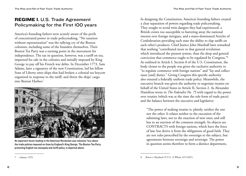# Regime I. U.S. Trade Agreement Policymaking for the First 100 years

America's founding fathers were acutely aware of the perils of concentrated power in trade policymaking. "No taxation without representation" was the rallying cry of the Boston colonists, including some of the founders themselves. Their Boston Tea Party was a turning point in the movement for independence. The tax in question, however, was a tariff on tea, imported for sale in the colonies and initially imposed by King George to pay off his French war debts. In December 1773, Sam Adams, later a signatory of the new Constitution, led his fellow Sons of Liberty onto ships that had broken a colonial tea boycott organized in response to the tariff, and threw the ships' cargo into Boston Harbor.7



An important factor leading to the American Revolution was colonists' fury about the trade policies imposed on them by England's King George. The Boston Tea Party, protesting English tea monopoly and tariff policy, is depicted above.

In designing the Constitution, America's founding fathers created a clear separation of powers regarding trade policymaking. They sought to avoid twin dangers they had experienced: a British crown too susceptible to bartering away the national interest over foreign intrigues, and a states-dominated Articles of Confederation providing each state the ability to slap tariffs on each other's products. Chief Justice John Marshall later remarked that nothing "contributed more to that general revolution which introduced the present system, than the deep and general conviction that commerce ought to be regulated by Congress."8 As outlined in Article I, Section 8 of the U.S. Constitution, the body closest to the people was given the exclusive authority to "to regulate commerce with foreign nations" and "lay and collect taxes [and] duties." Giving Congress this specific authority also ensured a federally uniform trade policy. Meanwhile, the executive branch was given the authority to negotiate treaties on behalf of the United States in Article II, Section 2. As Alexander Hamilton wrote in *The Federalist No. 75* with regard to the power over treaties (which was at the time the sole form of trade pacts) and the balance between the executive and legislative:

"The power of making treaties is, plainly, neither the one nor the other. It relates neither to the execution of the subsisting laws, nor to the enaction of new ones; and still less to an exertion of the common strength. Its objects are CONTRACTS with foreign nations, which have the force of law, but derive it from the obligations of good faith. They are not rules prescribed by the sovereign to the subject, but agreements between sovereign and sovereign. The power in question seems therefore to form a distinct department,

<sup>7.</sup> Labaree, 1979. 8. *Brown v. Maryland*, 25 U.S. 12 Wheat. 419 (1827).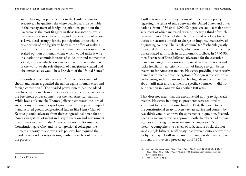and to belong, properly, neither to the legislative nor to the executive. The qualities elsewhere detailed as indispensable in the management of foreign negotiations, point out the Executive as the most fit agent in those transactions; while the vast importance of the trust, and the operation of treaties as laws, plead strongly for the participation of the whole or a portion of the legislative body in the office of making them… The history of human conduct does not warrant that exalted opinion of human virtue which would make it wise in a nation to commit interests of so delicate and momentous a kind, as those which concern its intercourse with the rest of the world, to the sole disposal of a magistrate created and circumstanced as would be a President of the United States."

In the words of one trade historian, "this complex system of checks and balances guarded the nation against human error and foreign corruption."9 The divided power system had the added benefit of giving soapboxes to a variety of competing views about the best mode of development for the new American nation. While heads of state like Thomas Jefferson embraced the idea of an economy that would export agriculture to Europe and import manufactured goods, congressional leaders like Henry Clay of Kentucky could advocate from their congressional perch for an "American system" of infant industry protection and government investments to diversify the American economy. Because the Constitution gave Clay and his congressional colleagues the ultimate authority to approve trade policies, but required the president to conduct negotiations, neither branch could control the process.

Tariff acts were the primary means of implementing policy regarding the terms of trade between the United States and other nations. From 1789 until 1890, Congress enacted 16 major tariff acts, most of which increased rates, but nearly a third of which decreased rates.10 Each of these bills consisted of a long list of duties for customs officials to charge on imports, irrespective of originating country. The "single column" tariff schedule greatly frustrated the executive branch, which sought the use of countrydifferentiated tariff tools in its diplomatic toolbox. In 1790-93, then-Secretary of State Jefferson advocated for the executive branch to dangle both carrots (reciprocal tariff reductions) and sticks (retaliatory sanctions) in front of Europe to gain better treatment for American traders. However, providing the executive branch with such a broad delegation of Congress' constitutional tariff-setting authority — and such a high degree of discretion about tariff rates and treatment of specific countries — did not gain traction in Congress for another 100 years.

That does not mean that the executive did not *try* to sign trade treaties. However, in doing so, presidents were required to surmount two constitutional hurdles. First, they were to use the constitutional treaty process (Senate advice and consent by two-thirds vote) to approve the agreements in question. Second, once an agreement was so approved, both chambers had to pass legislation making the treaty-required changes to U.S. tariff rates.11 A comprehensive review of U.S. statute books did not yield a single bilateral tariff treaty that lowered duties below those set by the major Tariff Acts passed by Congress that was adopted through this two-step process up until 1854.

<sup>9.</sup> Eckes, 1995, at 10.

<sup>10.</sup> The years of passage were 1789, 1790, 1792, 1804, 1816, 1824, 1828, 1832, 1833, 1842, 1846, 1857, 1861, 1872, 1875, and 1883. Italicized years indicate tariff acts that reduced duties.

<sup>11.</sup> Shapiro, 2006, at 89-92.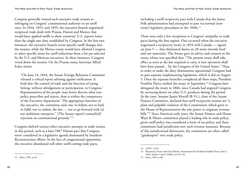Congress generally viewed such executive trade treaties as infringing on Congress' constitutional authority to set tariff rates. In 1844, 1855, and 1859, the executive branch negotiated reciprocal trade deals with Prussia, Hawaii and Mexico that would have applied tariffs to these countries' U.S. exports lower than the single-rate duty established by Congress. In the first two instances, the executive branch wrote specific tariff changes into the treaties, while the Mexico treaty would have allowed Congress to select specific items for tariff reductions from a list pre-selected by the U.S. and Mexican executives. In these instances, Congress voted down the treaties. On the Prussia treaty, historian Alfred Eckes writes:

"On June 14, 1844, the Senate Foreign Relations Committee released a critical report advising against ratification. It held that 'the control of trade and the function of taxing belong, without abridgement or participation, to Congress.' Representatives of the people 'may better discern what true policy prescribes and rejects, than is within the competence of the Executive department.' The appropriate function of the executive, the committee said, was 'to follow, not to lead; to fulfil, not to ordain, the law…, not to go forward with [a] too ambitious enterprise." [The Senate report] counsel[ed] rejection on constitutional grounds."12

Congress shelved various other executive attempts at trade treaties in this period, such as a later 1867 Hawaii pact that Congress never considered in a legislative agenda dominated by Southern Reconstruction efforts. In the face of congressional opposition, the executive abandoned still other tariff-cutting trade pacts,

including a tariff reciprocity pact with Canada that the James Polk administration had attempted to pass via normal (nontreaty) legislative procedures in the  $1840s$ .<sup>13</sup>

There were only a few exceptions to Congress' antipathy to trade pacts during the first regime. One occurred when the executive negotiated a reciprocity treaty in 1854 with Canada — signed on June 5 — that eliminated duties on 28 items (mostly food and raw materials). The Senate gave its advice and consent to the treaty, whose text specified that: "The present treaty shall take effect as soon as the law required to carry it into operation shall have been passed… by the Congress of the United States." Thus, in order to make the duty eliminations operational, Congress had to pass separate implementing legislation, which it did on August 5. Once the separate branches completed all these steps, President Franklin Pierce ratified the treaty in September.<sup>14</sup> Congress later abrogated the treaty in 1866, since Canada had angered Congress by *increasing* duties on other U.S. products during the period. At the time, Senator Justin Morrill (R-Vt.), chair of the Senate Finance Committee, declared that tariff reciprocity treaties are "a plain and palpable violation of the Constitution, which gives to the House of Representatives the sole power to originate revenue bills."15 Since America's early years, the Senate Finance and House Ways & Means committees played a leading role in trade policy, given tariff policy was considered a form of tax policy, and these committees had jurisdiction over such revenue measures. Because of this jurisdictional distinction, the committees are often called "gatekeepers" over trade policy.

<sup>12.</sup> Eckes, 1995, at 65.

<sup>13.</sup> USITC, 1919.

<sup>14.</sup> Reciprocity Treaty with Great Britain, Proclamation by President Franklin Pierce, June 5, 1854, Articles 3 and 5; Public Law 33-144.

<sup>15.</sup> Eckes, 1995, at 68.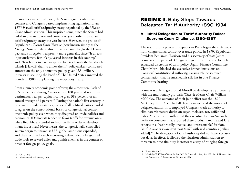In another exceptional move, the Senate gave its advice and consent and Congress passed implementing legislation for an 1875 Hawaii tariff reciprocity treaty negotiated by the Ulysses Grant administration. This surprised some, since the Senate had failed to give its advice and consent to yet another Canadian tariff reciprocity treaty the year before. However, the pro-tariff Republican *Chicago Daily Tribune* (now known simply as the *Chicago Tribune*) editorialized that one could be *for* the Hawaii pact and still *against* reciprocity more generally, since "It affects injuriously very few, if any, vested interests in this country," and, "It is better to have reciprocal free trade with the Sandwich Islands [Hawaii] than to annex them." Policymakers considered annexation the only alternative policy, given U.S. military interests in securing the Pacific.<sup>16</sup> The United States annexed the islands in 1900, supplanting the reciprocity treaty.

From a purely economic point of view, the almost total lack of U.S. trade pacts during America's first 100 years did not prove detrimental; real per capita income grew 389 percent, or an annual average of  $4$  percent.<sup>17</sup> During the nation's first century in existence, presidents and legislators of all political parties tended to agree on the constitutional basis for congressional control over trade policy, even when they disagreed on trade policies and economics. (Democrats tended to favor tariffs for revenue only, while Republicans tended to favor tariffs in order to develop infant industries.) Nevertheless, the congressionally controlled system began to unravel as U.S. global ambitions expanded, and the executive branch increasingly demanded it be granted trade tools to reward allies and punish enemies in the context of broader foreign-policy goals.

# REGIME II. Baby Steps Towards Delegated Tariff Authority, 1890-1934

### A. Initial Delegation of Tariff Authority Raises Supreme Court Challenge, 1890-1897

The traditionally pro-tariff Republican Party began the shift away from congressional control over trade policy. In 1890, Republican President Benjamin Harrison and his secretary of state James Blaine tried to persuade Congress to grant the executive branch expanded discretion of tariff policy. Again, Finance Committee Chair Morrill blocked the executive-branch intrusions on Congress' constitutional authority, causing Blaine so much consternation that he smashed his silk hat in one Finance Committee hearing.18

Blaine was able to get around Morrill by developing a partnership with the traditionally pro-tariff Ways & Means Chair William McKinley. The outcome of their joint effort was the 1890 McKinley Tariff Act. The bill cleverly introduced the notion of delegated authority. It employed Congress' trade authority to eliminate via statute duties on sugar, molasses, tea, coffee and hides. Meanwhile, it authorized the executive to *re-impose* such tariffs on countries that exported these products and treated U.S. exports in a "reciprocally unequal and unreasonable" fashion, "*with a view to secure reciprocal trade*" with said countries [italics added].19 The delegation of tariff authority did not have a phaseout date. In effect, it allowed the Harrison administration to threaten to proclaim duty increases as a way of bringing foreign

<sup>16.</sup> CDT, 1875.

<sup>17.</sup> Johnston and Williamson, 2008.

<sup>18.</sup> Eckes, 1995, at 75.

<sup>19.</sup> McKinley Tariff Act of 1890. 26 Stat.567; 51 Cong. ch. 1244, § 3; H.R. 9416. House: 150- 80; Senate: 33-27. Implemented October 6, 1890.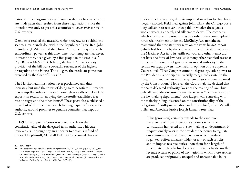nations to the bargaining table. Congress did not have to vote on any trade pacts that resulted from these negotiations, since the intention was only to get other countries to lower *their* tariffs on U.S. exports.

Democrats assailed the measure, which they saw as a behind-thescenes, inter-branch deal within the Republican Party. Rep. John F. Andrew (D-Mass.) told the House: "It is free to say that such extraordinary powers as this amendment contemplates has never, in recent times, been given by a free people to the executive." Rep. Benton McMillin (D-Tenn.) declared, "the reciprocity provision of the bill was a cowardly surrender of the highest prerogative of the House. The bill gave the president power not exercised by the Czar of Russia."20

The Harrison administration never proclaimed any duty increases, but used the threat of doing so to negotiate 10 treaties that compelled other counties to lower their tariffs on select U.S. exports, in return for enjoying the statutorily established free rate on sugar and the other items.<sup>21</sup> These pacts also established a precedent of the executive branch framing requests for expanded authority around promises to penalize countries that kept out U.S. exports.

In 1892, the Supreme Court was asked to rule on the constitutionality of the delegated tariff authority. This case involved a suit brought by an importer to obtain a refund of duties. The plaintiff, Marshall Field & Co., claimed that the

duties it had been charged on its imported merchandise had been illegally exacted. Field filed against John Clark, the Chicago port's duty collector, to recover duties paid on woolen dress goods, woolen wearing apparel, and silk embroideries. The company, which was not an importer of sugar or other items contemplated for special treatment under the McKinley Act, nonetheless maintained that the statutory rates on the items he *did* import (which had been set by the act) were not legal. Field argued that the McKinley Act (and its tariffs on wool and other items) did not have the force of law because (among other technical reasons) it unconstitutionally delegated congressional authority in the section on sugar powers. The majority opinion of the Supreme Court noted: "That Congress cannot delegate legislative power to the President is a principle universally recognized as vital to the integrity and maintenance of the system of government ordained by the Constitution." However, the Court majority decided that the Act's delegated authority "was not the making of law," but only allowing the executive branch to serve as "the mere agent of the law-making department." Two judges, while agreeing with the majority ruling, dissented on the constitutionality of the delegation of tariff-proclamation authority. Chief Justice Melville Fuller and Associate Justice Joseph Lamar wrote that:

"This [provision] certainly extends to the executive the exercise of those discretionary powers which the constitution has vested in the law-making … department. It unquestionably vests in the president the power to regulate our commerce with all foreign nations which produce sugar, tea, coffee, molasses, hides, or any of such articles; and to impose revenue duties upon them for a length of time limited solely by his discretion, whenever he deems the revenue system or policy of any nation in which those articles are produced reciprocally unequal and unreasonable in its

<sup>20.</sup> BDG, 1890.

<sup>21.</sup> The pacts were signed with Austria-Hungary (May 20, 1892), Brazil (April 1, 1891), the Dominican Republic (Sept. 1, 1891), El Salvador (Feb. 1, 1892), Germany (Feb. 1, 1892), Guatemala (May 30, 1892), Honduras (May 25, 1892), Nicaragua (March 12, 1892), Spain (for Cuba and Puerto Rico, Sept. 1, 1891), and the United Kingdom (for the British West Indies and British Guiana, Feb. 1, 1892). See NYT, 1901.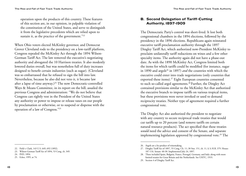operation upon the products of this country. These features of this section are, in our opinion, in palpable violation of the constitution of the United States, and serve to distinguish it from the legislative precedents which are relied upon to sustain it, as the practice of the government."<sup>22</sup>

When Ohio voters elected McKinley governor, and Democrat Grover Cleveland rode to the presidency on a low-tariff platform, Congress repealed the McKinley Act through the 1894 Wilson-Gorman Tariff Act. The law removed the executive's negotiating authority and abrogated the 10 Harrison treaties. It also modestly lowered duties overall, but was nonetheless full of duty increases designed to benefit certain industries (such as sugar). (Cleveland was so embarrassed that he refused to sign the bill into law. Nevertheless, because he also did not veto it, it became law after a lapse of time anyway.)<sup>24</sup> The now Democratic-controlled Ways & Means Committee, in its report on the bill, assailed the previous Congress and administration: "We do not believe that Congress can rightly vest in the President of the United States any authority or power to impose or release taxes on our people by proclamation or otherwise, or to suspend or dispense with the operation of a law of Congress."25

#### **B. Second Delegation of Tariff-Cutting** Authority, 1897-1909

The Democratic Party's control was short-lived. It lost both congressional chambers in the 1894 elections, followed by the presidency in the 1896 elections. Republicans again reinstated executive tariff-proclamation authority through the 1897 Dingley Tariff Act, which authorized now-President McKinley to proclaim unilaterally tariff reductions on wines and a few other specialty items. The authority again did not have a phase-out date. As with the 1890 McKinley Act, Congress limited both the items for which tariffs could be modified (for instance, sugar in 1890 and argols<sup>26</sup> in 1897) *and* the countries with which the executive could enter into trade negotiations (only countries that exported these items).<sup>27</sup> Eight European countries consented to such so-called argol agreements.28 Further, the Dingley Act contained provisions similar to the McKinley Act that authorized the executive branch to impose tariffs on various tropical items, but these provisions were never invoked or used to demand reciprocity treaties. Neither type of agreement required a further congressional vote.

The Dingley Act also authorized the president to negotiate with any country to secure reciprocal trade treaties that would cut tariffs up to 20 percent (and remove tariffs on certain natural resource products). The act specified that these treaties *would* need the advice and consent of the Senate, and separate implementing legislation approved by congressional vote.<sup>29</sup> The

29. Section 4 of Dingley Tariff Act.

<sup>22.</sup> Field v. Clark, 143 U.S. 649, 692 (1892).

<sup>23.</sup> Wilson-Gorman Tariff Act of 1894, 53 Cong. ch. 349.

<sup>24.</sup> IND, 1894.

<sup>25.</sup> Eckes, 1995, at 74.

<sup>26.</sup> Argols are a by-product of winemaking.

<sup>27.</sup> Dingley Tariff Act of 1897, 55 Cong. Ch. 11; 30 Stat. 151, ch. 11, § 3; H.R. 379. House: 187-116. Senate: 40-30. Implemented July 24, 1897.

<sup>28.</sup> These included Spain, Bulgaria, France, Portugal, Germany, and Italy; along with more limited treaties for Great Britain and the Netherlands. See USITC, 1919.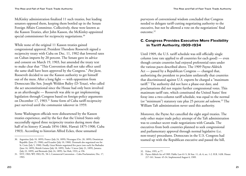McKinley administration finalized 11 such treaties, but leading senators opposed them, keeping them bottled up in the Senate Foreign Affairs Committee. Collectively, these were known as the Kasson Treaties, after John Kasson, the McKinley-appointed special commissioner for reciprocity negotiations.<sup>30</sup>

While none of the original 11 Kasson treaties gained congressional approval, President Theodore Roosevelt signed a reciprocity treaty with Cuba on Dec. 11, 1902 that lowered rates on Cuban imports by 20 percent. The Senate gave its advice and consent on March 19, 1903, but amended the treaty text to make clear that "This Convention shall not take effect until the same shall have been approved by the Congress." *Post facto*, Roosevelt decided to use the Kasson authority to get himself out of the mess. After a long fight — with opposition from Democrats like Sen. Joseph Weldon Bailey (D-Texas), who called the act unconstitutional since the House had only been involved as an afterthought — Roosevelt was able to get implementing legislation through Congress based on foreign-policy arguments on December 17, 1903.<sup>31</sup> Some form of Cuba tariff-reciprocity pact survived until the communist takeover in 1959.

Some Washington officials were disheartened by the Kasson treaties experience, and by the fact that the United States only successfully signed three reciprocity treaties during more than half of its history (Canada 1854-1866, Hawaii 1875-1900, Cuba 1903). According to historian Alfred Eckes, these unnamed

purveyors of conventional wisdom concluded that Congress needed to delegate tariff-cutting negotiating authority to the executive, but not be allowed a vote on the negotiations' final outcome.<sup>32</sup>

## c. Congress Provides Executive More Flexibility in Tariff Authority, 1909-1934

Until 1909, the U.S. tariff schedule was still officially single column (one rate applied to all countries for each good) — even though certain countries had enjoyed preferential rates under the various pacts described above. The 1909 Payne-Aldrich Act — passed by a Republican Congress — changed that, authorizing the president to proclaim unilaterally that countries that discriminated against U.S. exports be charged a "maximum tariff." The authority did not have a phase-out date, and proclamations did not require further congressional votes. This maximum tariff rate, which constituted the United States' first foray into a two-column tariff schedule, was equal to the normal (or "minimum") statutory rate plus 25 percent *ad valorem.*33 The William Taft administration never used this authority.

Moreover, the Payne Act cancelled the eight argol treaties. The only other major trade policy attempt of the Taft administration was to conduct secret trade negotiations with Canada. The executives from both countries planned to seek congressional and parliamentary approval through normal legislative (i.e. non-treaty) procedures. Democrats in the U.S. Congress had

<sup>30.</sup> Argentina (July 10, 1899); France (July 24, 1899); Nicaragua (Oct. 20, 1899); Dominican the reamed up with the Republican executive and passed the bill, Republic (June 25, 1900); and Ecuador (July 10, 1900). Denmark also negotiated one for St. Croix (July 5, 1900). Finally, Great Britain negotiated five pacts (one each) for Barbados (June 16, 1899), British Guiana (July 18, 1899), Turks / Caicos (July 21, 1899), Jamaica (July 22, 1899), and Bermuda (July 24, 1899). See Holt, 1933, at 196.

<sup>31.</sup> NYT, 1903; WP, 1903; P.L. 58-1; Commercial Convention – Cuba Proclamation, Dec. 17, 1903.

<sup>32.</sup> Eckes, 1995, at 77.

<sup>33.</sup> Payne-Aldrich Act of 1909. Public Law 61-5; 36 Stat. 11, ch. 6, sec. 1-2. H.R. 1438. House: 217-161. Senate: 45-34. Implemented August 6, 1909.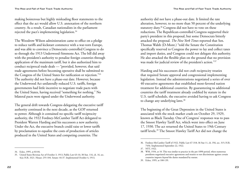making boisterous but highly misleading floor statements to the effect that the act would allow U.S. annexation of the northern country. As a result, Canadian nationalists in the parliament rejected the pact's implementing legislation.<sup>34</sup>

The Woodrow Wilson administration came to office on a pledge to reduce tariffs and kickstart commerce with a war-torn Europe, and was able to convince a Democratic-controlled Congress to do so through the 1913 Underwood-Simmons Act. The bill did away with the president's authority to penalize foreign countries through application of the maximum tariff, but it also authorized him to conduct reciprocal trade deals — "provided, however, that said trade agreements before becoming operative shall be submitted to the Congress of the United States for ratification or rejection."35 The authority did not have a phase-out date. However, because the Underwood Act unilaterally reduced U.S. tariffs, foreign governments had little incentive to negotiate trade pacts with the United States, having received "something for nothing." No bilateral pacts were signed under the Underwood authority.

The general drift towards Congress delegating the executive tariff authority continued in the next decade, as the GOP returned to power. Although it contained no specific tariff reciprocity authority, the 1922 Fordney-McCumber Tariff Act delegated to President Warren Harding and his successors a new authority. Under the Act, the executive branch could raise or lower tariffs by proclamation to equalize the costs of production of articles produced in the United States and competing countries. The

authority did not have a phase-out date. It limited the rate alteration, however, to no more than 50 percent of the underlying statutory duty.<sup>36</sup> Congress did not have to vote on these reductions. The Republican-controlled Congress supported their party's president in this proposal, but some Democrats bitterly attacked the proposal. *The New York Times* reported that Sen. Thomas Walsh (D-Mont.) "told the Senate the Constitution specifically reserved to Congress the power to lay and collect taxes and import duties, and Congress could not delegate this authority. He also attacked the flexible plan on the ground that no provision was made for judicial review of the president's action."37

Harding and his successors did not craft reciprocity treaties that required Senate approval and congressional implementing legislation. Instead the administrations negotiated a series of over 40 executive agreements that established most-favored nation treatment for additional countries. By guaranteeing to additional countries the tariff treatment already codified by statute in the U.S. tariff schedule, the executive avoided having to ask Congress to change any underlying laws.<sup>38</sup>

The beginning of the Great Depression in the United States is associated with the stock market crash on October 29, 1929, known as Black Tuesday. One of Congress' responses was to pass the Smoot Hawley Tariff Act, which went into effect on June 17, 1930. The act returned the United States to 19th Century tariff levels.39 The Smoot Hawley Tariff Act did not change the

<sup>34.</sup> Eckes, 1995, at 83-84.

<sup>35.</sup> United States Revenue Act of October 3, 1913, Public Law 63-16; 38 Stat. 116, ch. 16, sec. 4(a); H.R. 3321. House: 255-104. Senate: 44-37. Implemented October 4, 1913,

<sup>36.</sup> Fordney-McCumber Tariff of 1922. Public Law 67-318; 36 Stat 11, ch. 356, sec. 315; H.R. 7456. Implemented September 22, 1922.

<sup>37.</sup> NYT, 1922.

<sup>38.</sup> WM, 1934, at 10. This was similar to practice in the pre-1890 period, when numerous presidents negotiated executive agreements and treaties to not discriminate against certain countries imports *beyond* the duties mandated by statute.

<sup>39.</sup> Eckes, 1995, at 100-139.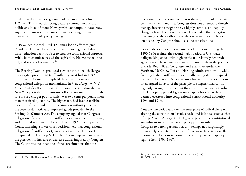fundamental executive-legislative balance in any way from the 1922 act. This is worth noting because editorial boards and politicians invoke Smoot-Hawley with contempt, if inaccuracy, anytime the suggestion is made to increase congressional involvement in trade policymaking.

In 1932, Sen. Cordell Hull (D-Tenn.) led an effort to give President Herbert Hoover the discretion to negotiate bilateral tariff-reduction pacts, subject to separate congressional approval. While both chambers passed the legislation, Hoover vetoed the bill, and it never became law.<sup>40</sup>

The Roaring Twenties produced new constitutional challenges to delegated presidential tariff authority. As it had in 1892, the Supreme Court again upheld the constitutionality of congressional delegation mechanisms. In *J. W. Hampton, Jr. & Co. v. United States*, the plaintiff imported barium dioxide into New York ports that the customs collector assessed at the dutiable rate of six cents per pound, which was two cents per pound more than that fixed by statute. The higher rate had been established by virtue of the presidential proclamation authority to equalize the costs of domestic and imported goods provided in the Fordney-McCumber Act. The company argued that Congress' delegation of constitutional tariff authority was unconstitutional, and thus did not have the force of law. In 1928, the Supreme Court, affirming a lower court decision, held that congressional delegation of tariff authority was constitutional. The court interpreted the Fordney-McCumber Act to empower and direct the president to increase or decrease duties imposed by Congress. The Court reasoned that one of the core functions that the

Constitution confers on Congress is the regulation of interstate commerce, yet noted that Congress does not attempt to directly manage interstate freight rates, a highly complex and rapidly changing task. Therefore, the Court concluded that delegation of setting specific tariffs rates to the executive under policies established by Congress should also be constitutional.<sup>41</sup>

Despite the expanded presidential trade authority during the 1890-1934 regime, the second major period of U.S. trade policymaking ended with high tariffs and relatively few trade agreements. The regime also saw an unusual shift in the politics of trade. Republican Congresses and executives under the Harrison, McKinley, Taft and Harding administrations — while favoring higher tariffs — took groundbreaking steps to expand executive discretion. Democrats — who favored lower tariffs often argued in favor of the principle of congressional control, regularly raising concern about the constitutional issues involved. The latter party passed legislation scraping back what they deemed overreach into congressional constitutional authority in 1894 and 1913.

Notably, the period also saw the emergence of radical views on altering the constitutional trade checks and balances, such as that of Rep. Martin Ansorge (R-N.Y.), who proposed a constitutional amendment to outsource trade policy permanently from Congress to a non-partisan board.<sup>42</sup> Perhaps not surprisingly, he was only a one-term member of Congress. Nevertheless, the notion gained serious traction in the subsequent trade-policy regime from 1934-1967.

<sup>40.</sup> H.R. 6662. The House passed 214-182, and the Senate passed 42-30.

<sup>41.</sup> *J. W. Hampton, Jr. & Co. v. United States*, 276 U.S. 394 (1928). 42. NYT, 1922.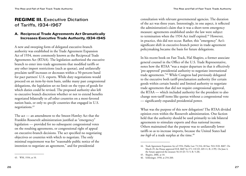# **REGIME III.** Executive Dictation of Tariffs, 1934-1967

#### a. Reciprocal Trade Agreements Act Dramatically Increases Executive Trade Authority, 1934-1945

A new and sweeping form of delegated executive-branch authority was established in the Trade Agreement Expansion Act of 1934, more commonly known as the Reciprocal Trade Agreements Act (RTAA). The legislation authorized the executive branch to enter into trade agreements that modified tariffs or any other import restrictions (such as quotas), and unilaterally proclaim tariff increases or decreases within a 50-percent band for pact partners' U.S. exports. While duty negotiations would proceed on an item-by-item basis, unlike many past congressional delegations, the legislation set no limit on the types of goods for which duties could be revised. The proposed authority also left to executive branch discretion whether or not to extend benefits negotiated bilaterally to *all* other countries on a most-favored nation basis, or only to *specific* countries that engaged in U.S. negotiations.43

The act — an amendment to the Smoot-Hawley Act that the Franklin Roosevelt administration justified as "emergency" legislation — provided for no subsequent congressional votes on the resulting agreements, or congressional right of appeal on executive-branch decisions. The act specified no negotiating objectives or countries with which to negotiate. The only minimal requirement was for "reasonable public notice of the intention to negotiate an agreement," and for presidential

consultation with relevant governmental agencies. The duration of the act was three years. Interestingly, in one aspect, it reflected the administration's claim that it was a short-term emergency measure: agreements established under the law were subject to termination when the 1934 Act itself expired.<sup>44</sup> However, in practice, this did not occur. Rather, this "emergency" Act's significant shift in executive-branch power in trade-agreement policymaking became the basis for future delegations.

In his recent book on Fast Track, Hal Shapiro, a former associate general counsel in the Office of the U.S. Trade Representative, notes how the RTAA "was a major departure in that it effectively 'pre-approved' presidential authority to negotiate international trade agreements."45 While Congress had previously delegated to the executive both tariff-proclamation authority (for certain goods within certain bands) and limited authority to negotiate trade agreements that did not require congressional approval, the RTAA — which included authority for the president to also change non-tariff items like quotas without a congressional vote — significantly expanded presidential power.

What was the purpose of this new delegation? The RTAA divided opinion even within the Roosevelt administration. One faction held that the authority should be used primarily to ink bilateral agreements to stimulate exports and thus national income. Others maintained that the purpose was to unilaterally lower tariffs so as to increase imports, because the United States had too high of a trade surplus at the time.<sup>46</sup>

<sup>43.</sup> WM, 1934, at 10.

<sup>44.</sup> Trade Agreement Expansion Act of 1934. Public Law 73-316; 48 Stat. 943; H.R. 8687. On March 29, the House approved H.R. 8687 by 271-110 (D: 269-11; R: 2-99). On June 4, the Senate approved the measure 56-33 (D: 51-5; R: 5-28).

<sup>45.</sup> Shapiro, 2006, at 10.

<sup>46.</sup> Schlesinger, 1958, at 254-260.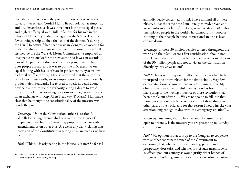Such debates were beside the point to Roosevelt's secretary of state, former senator Cordell Hull. His outlook was as simplistic and unsubstantiated as it was infectious: low tariffs equal peace, and high tariffs equal war. Hull, infamous for his role in the refusal of U.S. entry to the passengers on the S.S. St. Louis (a Jewish refugee ship dubbed the "ship of the damned") during the Nazi Holocaust, $47$  had spent years in Congress advocating for trade liberalization and greater executive authority. When Hull testified before the Ways & Means Committee, he employed all imaginable rationales for the new authority: it was an essential part of the president's domestic recovery plan; it was to help poor people abroad; and it was to put the U.S. executive on equal footing with heads of state in parliamentary systems (who had total tariff authority). He also admitted that the authority went beyond just tariffs, to encompass quotas and even possibly product safety standards. He refused to speak in detail about how he planned to use the authority, citing a desire to avoid broadcasting U.S. negotiating positions to foreign governments. In an exchange with Rep. Allen Treadway (R-Mass.), Hull made clear that he thought the constitutionality of the measure was beside the point:

*Treadway:* "Under the Constitution, article 1, section 7, all bills for raising revenue shall originate in the House of Representatives; but the Senate may propose or concur with amendments as on other bills. Are we in any way violating that provision of the Constitution in setting up a law such as we have before us?

*Hull:* "This bill is originating in the House, is it not? So far as I

am individually concerned, I think I have in mind all of these phases, but at the same time I am literally moved, driven and kicked into another line of thinking, which relates to 30 million unemployed people in the world who cannot furnish food or clothing to their people because international trade has been choked down…

*Treadway:* "If those 30 million people scattered throughout the world and their families are a first consideration, should not that clause of the Constitution be amended in order to take care of the 30 million people and not to violate the Constitution directly by legislative action?"

*Hull:* "That is what they said to Abraham Lincoln when he had to suspend one or two phases for the time being… Very few democratic forms of government are left — mighty few. My observation after rather careful investigation has been that the mainspring or the moving influence of those revolutions has been people out of work… We are not going to fall into that soon, but you could easily become victims of those things in other parts of the world, and for that reason I would invoke your attention long enough to deal with this emergency situation"…

*Treadway:* "Assuming that to be true, and of course it is all open to debate… is the measure you are presenting to us today constitutional?"

*Hull:* "My opinion is that it is up to the Congress to cooperate with another coordinate branch of the Government to determine, first, whether this real exigency, present and prospective, does exist, and whether it is of such magnitude in its effect upon our country as would justify either branch of Congress or both in giving authority to the executive department

<sup>47.</sup> The U.S. Coast Guard maintains an informational site on the incident, accessible at: www.uscg.mil/history/faqs/St\_Louis.asp.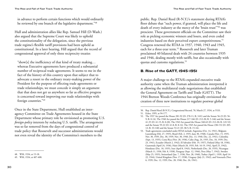in advance to perform certain functions which would ordinarily be reviewed by one branch of the legislative department."<sup>48</sup>

Hull and administration allies like Rep. Samuel Hill (D-Wash.) also argued that the Supreme Court was likely to uphold the constitutionality of the delegation, since the previous trade regime's flexible tariff provisions had been upheld as constitutional. In a later hearing, Hill argued that the record of congressional approval of only three reciprocity treaties

"show[s] the inefficiency of that kind of treaty making… whereas Executive agreements have produced a substantial number of reciprocal trade agreements. It seems to me in the fact of the history of this country upon that subject that to advocate a resort to the ordinary treaty-making power of the President for the purpose of effecting trade agreements or trade relationships, we must concede it simply an argument that that does not get us anywhere so far as effective progress is concerned toward improving our trade relationships with foreign countries."49

Once in the State Department, Hull established an interagency Committee on Trade Agreements housed in the State Department whose primary role he envisioned as promoting U.S. *foreign-policy* interests by reducing U.S. tariffs. The arrangement was so far removed from the days of congressional control of trade policy that Roosevelt and successor administrations would not even reveal the identity of the Committee's members to the

public. Rep. Daniel Reed (R-N.Y.)'s statement during RTAA's floor debate that "such power, if granted, will place the life and death of every industry at the mercy of the 'brain trust'"50 was prescient. These government officials on the Committee saw their role as picking economic winners and losers, and even coded industries based on their perceived export competitiveness.<sup>51</sup> Congress renewed the RTAA in 1937, 1940, 1943 and 1945, each for a three-year term.<sup>52</sup> Roosevelt and later Truman proclaimed 40 bilateral deals with 24 countries between 1935 and 1946, dealing mostly with tariffs, but also occasionally with quotas and customs regulations.53

#### b. Rise of the GATT, 1945-1951

A major challenge to the RTAA's expanded executive trade authority came when the Truman administration interpreted it as allowing the multilateral trade negotiations that established the General Agreement on Tariffs and Trade (GATT). The 1944 Bretton Woods Conference has originally envisioned the creation of three new institutions to regulate postwar global

<sup>48.</sup> WM, 1934, at 15-18.

<sup>49.</sup> WM, 1934, at 407-408.

<sup>50.</sup> Rep. Daniel Reed (R-N.Y.), Congressional Record, 78, March 27, 1934, at 5533.

<sup>51.</sup> Eckes, 1995, at 94-177.

<sup>52.</sup> The 1937 Act passed the House 281-92 (D: 278-11; R: 3-81) and the Senate 56-23 (D: 56- 9; R: 0-14). The 1940 Act passed the House 217-166 (D: 212-20; R: 5-146) and the Senate 41-35 (D: 41-15; R: 0-20). The 1943 Act passed the House 340-63 (D: 212-20; R: 145-52) and the Senate 59-22 (D: 41-8; R: 8-14). The 1945 Act passed the House 238-152 (D: 205- 12; R: 33-140) and the Senate 53-21 (D: 38-5; R: 15-16).

<sup>53.</sup> Trade agreements concluded under RTAA include: Argentina (Oct. 14, 1941), Belgium-Luxemburg (Feb. 27, 1935), Brazil (Feb. 2, 1935, June 30, 1948), Canada (Nov. 15, 1935, Nov. 30, 1939, Dec. 30, 1939, Nov. 30, 1940, Dec. 13, 1940, Dec. 22, 1941), Colombia (Sept. 13, 1935), Costa Rica (Nov. 28, 1936), Cuba (Aug. 24, 1935, Dec. 18, 1939, Dec. 23, 1941), Ecuador (March 2, 1942), El Salvador (Feb. 19, 1937), Finland (May 18, 1936), Guatemala (April 24, 1936), Haiti (March 28, 1935, Feb. 16-19, 1942, April 25, 1942), Honduras (Dec. 18, 1935), Iran (April 8, 1943), Netherlands (Dec. 20, 1935), Nicaragua (March 11, 1936, Feb. 8, 1938), Paraguay (Sept. 12, 1946), Peru (May 7, 1942), Sweden (May 25, 1935), Switzerland (Jan. 7, 1936, Nov. 28, 1940), Turkey (April 1, 1939, April 14- 22, 1944), United Kingdom (Nov. 17, 1938), Uruguay (July 21, 1942), and Venezuela (Nov. 6, 1939, Dec. 12, 1939, Dec. 28, 1940, Dec. 26, 1941).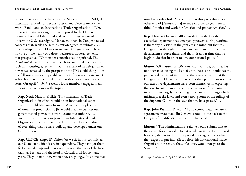economic relations: the International Monetary Fund (IMF), the International Bank for Reconstruction and Development (the World Bank), and an International Trade Organization (ITO). However, many in Congress were opposed to the ITO, on the grounds that establishing a global commerce agency would undermine U.S. sovereignty. Moreover, others in Congress raised concerns that, while the administration agreed to submit U.S. membership in the ITO to a treaty vote, Congress would have no vote on the nearly two-dozen reciprocal trade agreements that prospective ITO member countries had negotiated. The RTAA *did* allow the executive branch to enter unilaterally into such tariff-cutting agreements. But the extent of its delegation of power was revealed by the prospect of the ITO establishing — in one fell swoop — a comparable number of new trade agreements as had been established under the new delegation system over 12 years. On April 7, 1947, several House members engaged in an impassioned colloquy on the topic:

**Rep. Noah Mason** (R-Ill.): "This International Trade Organization, in effect, would be an international super state. It would take away from the American people control of American production… [it] would mean to transfer our governmental powers to a world economic authority…. We must halt this vicious plan for an International Trade Organization before it goes too far or it will be the undoing of everything that we have built up and developed under our Constitution."…

**Rep. Cliff Clevenger** (R-Ohio): "As we sit in this committee, our Democratic friends are in a quandary. They have got their feet all tangled up and their eyes dim with the mist of the halo that has been around the head of Cordell Hull for so many years. They do not know where they are going… It is time that somebody rub a little Americanism on this party that rules the other end of [Pennsylvania] Avenue in order to get them to think America and work for America and protect America."…

**Rep. Thomas Owens** (R-Ill.): "Aside from the fact that the executive department has emergency powers during wartime, is there any question in the gentleman's mind but that this Congress has the right to make laws and have the executive department enforce them, and that it is about time that we begin to do that in order to save our national policy?"

**Mason**: "Of course, for 150 years, that was true, but that has not been true during the last 16 years, because not only has the judiciary department interpreted the laws and said what the Congress should have put in, whether they put it in or not, but our executive departments have been themselves interpreting the laws to suit themselves, and the business of the Congress today is quite largely the vetoing of department rulings which misinterpret the laws, and even vetoing some of the rulings of the Supreme Court on the laws that we have passed."…

**Rep. John Rankin** (D-Mo.): "I understood that… whatever agreements were made [in Geneva] should come back to the Congress for ratification; at least, to the Senate."…

**Mason**: "[The administration] said he would submit that to the Senate for approval before it would go into effect. He said, however, that as to the 18 reciprocal trade agreements which they expect to put into effect before this International Trade Organization is set up, they, of course, would not go to the Senate."54

<sup>54.</sup> *Congressional Record,* 93, April 7, 1947, at 3182-3184.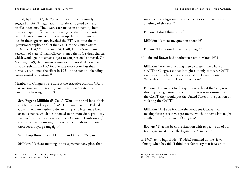Indeed, by late 1947, the 23 countries that had originally engaged in GATT negotiations had already agreed to many tariff concessions. These were each made on an item-by-item, bilateral request-offer basis, and then generalized on a mostfavored nation basis to the entire group. Truman, anxious to lock in these agreements, invoked the RTAA to proclaim the "provisional application" of the GATT to the United States in October 1947.<sup>55</sup> On March 24, 1948, Truman's Assistant Secretary of State William Clayton signed the ITO's draft charter, which would go into effect subject to congressional approval. On April 28, 1949, the Truman administration notified Congress it would submit the ITO for a Senate treaty vote, but then formally abandoned the effort in 1951 in the face of unbending congressional opposition.56

Members of Congress were irate at the executive branch's GATT maneuvering, as evidenced by comments at a Senate Finance Committee hearing from 1949:

**Sen. Eugene Millikin** (R-Colo.): Would the provisions of this article or any other part of GATT impose upon the Federal Government any duties to do anything as to local State laws or movements, which are intended to promote State products, such as "Buy Georgia Peaches," "Buy Colorado Cantaloupes," state advertising campaigns out of public funds to promote those local buying campaigns?"

**Winthrop Brown** (State Department Official): "No, sir."

**Millikin:** "Is there anything in this agreement any place that

imposes any obligation on the Federal Government to stop anything of that sort?"

**Brown:** "I don't think so sir."

**Millikin:** "Is there any question about it?"

**Brown:** "No, I don't know of anything."<sup>57</sup>

Millikin and Brown had another face-off in March 1951:

**Millikin:** "You are unwilling then to present the whole of GATT to Congress so that it might not only compare GATT against existing laws, but also against the Constitution? … What about the future laws of Congress?"

**Brown:** "The answer to that question is that if the Congress should pass legislation in the future that was inconsistent with the GATT, they would put the United States in the position of violating the GATT."

**Millikin:** "And you feel that the President is warranted in making future executive agreements which in themselves might conflict with future laws of Congress?"

**Brown:** "That has been the situation with respect to all of our trade agreements since the beginning, Senator."58

In 1947, Sen. Hugh Butler (R-Neb.) summed up the views of many when he said: "I think it is fair to say that it was not

<sup>55.</sup> T.I.A.S. 1700, Vol. 1, Oct. 30, 1947; Jackson, 1967.

<sup>56.</sup> SF, 1951, at 1137, and 1143-44.

<sup>57.</sup> Quoted in Jackson, 1967, at 304.

<sup>58.</sup> SFA, 1951, at 1170.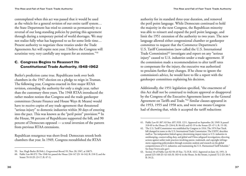contemplated when this act was passed that it would be used as the vehicle for a general revision of our entire tariff system… the State Department has tried to commit us permanently to a reversal of our long-standing policies by putting this agreement through during a temporary period of world shortages. We may not realize fully what has happened to us for some little time… Present authority to negotiate these treaties under the Trade Agreements Act will expire next year. I believe the Congress will scrutinize very, very carefully any request for an extension."<sup>59</sup>

## c. Congress Begins to Reassert Its Constitutional Trade Authority, 1948-1962

Butler's prediction came true. Republicans took over both chambers in the 1947 election on a pledge to reign in Truman. The following year, Congress enacted its first major RTAA revision, extending the authority for only a single year, rather than the customary three years. The 1948 RTAA introduced the rather modest notion that Congress and the trade gatekeeper committees (Senate Finance and House Ways & Means) would have to receive copies of any trade agreement that threatened "serious injury" to domestic industries within 30 days of entering into the pact. This was known as the "peril point" provision.<sup>60</sup> In the House, 98 percent of Republicans supported the bill, and 90 percent of Democrats opposed — a total inversion of the pattern from previous RTAA extensions.

Republican resurgence was short-lived: Democrats retook both chambers that year. In 1949, Congress reestablished the RTAA authority for its standard three-year duration, and removed the peril point language. While Democrats continued to hold the majority in the next Congress, the Republican minority was able to reinsert and expand the peril point language, and limit the 1951 extension of the authority to two years. The new language allowed either congressional chamber or gatekeeper committee to request that the Commerce Department's U.S. Tariff Commission (now called the U.S. International Trade Commission) $62$  investigate and report on any "serious injury" caused to U.S. industries under a trade agreement. If the commission made a recommendation to alter tariff rates to compensate for the injury, the executive was authorized to proclaim further duty changes. If he chose to ignore the commission's advice, he would have to file a report with the gatekeeper committees explaining his decision.

Additionally, the 1951 legislation specified, "the enactment of this Act shall not be construed to indicate approval or disapproval by the Congress of the Executive Agreement know as the General Agreement on Tariffs and Trade."63 Similar clauses appeared in the 1953, 1955 and 1958 acts, and were one means Congress had of showing that, while it accepted the tariff reductions

<sup>59.</sup> Sen. Hugh Butler (R-Neb.), *Congressional Record*, 93, Nov. 20, 1947, at 10675.

<sup>60.</sup> Public Law 80-972. The 1948 Act passed the House 234-147 (D: 16-142; R: 218-5) and the Senate 70-18 (D: 23-17; R: 47-1).

<sup>61.</sup> Public Law 81-307; 63 Stat. 697; H.R. 1211. Approved on September 26, 1949. It passed 318-69 in the House (D: 234-6; R: 84-63) and 62-19 in the Senate (D: 47-1; R: 15-18).

<sup>62.</sup> The U.S. Tariff Commission was established by Congress in 1916. The 1974 Fast Track bill changed its name to the U.S. International Trade Commission. The USITC describes itself as: "An independent federal agency determining import injury to U.S. industries in antidumping, countervailing duty, and global and China safeguard investigations; directing actions against unfair trade practices involving patent, trademark, and copyright infringement; supporting policymakers through economic analysis and research on the global competitiveness of U.S. industries; and maintaining the U.S. Harmonized Tariff Schedule." See http://www.usitc.gov/.

<sup>63.</sup> Section 10 of Public Law 82-50; 65 Stat. 72; H.R. 1612. Approved on June 16, 1951. It passed 225-168 (D: 42-163; R: 183-4) in the House. In the Senate, it passed 72-2 (D: 38-0; R: 34-2).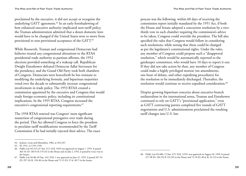proclaimed by the executive, it did not accept or recognize the underlying GATT agreement.<sup>64</sup> In an early foreshadowing of how enhanced executive authority implicated non-tariff policy, the Truman administration admitted that a dozen domestic laws would have to be changed if the United States were to move from provisional to non-provisional acceptance of the GATT.65

While Roosevelt, Truman and congressional Democrats had hitherto treated any congressional alterations to the RTAA presidential trade authority as partisan affronts, the 1952 elections provided something of a wakeup call. Republican Dwight Eisenhower defeated Democrat Adlai Stevenson for the presidency, and the Grand Old Party took both chambers of Congress. Democrats were henceforth be less resistant to modifying the underlying formula, and bipartisan majorities voted over the decade to substantially increase congressional involvement in trade policy. The 1953 RTAA created a commission appointed by the executive and Congress that would study foreign economic policy, including its constitutional implications. In the 1955 RTAA, Congress increased the executive's congressional reporting requirements.<sup>67</sup>

The 1958 RTAA renewal was Congress' most significant reassertion of congressional prerogative over trade during the period. This Act allowed Congress to force the president to proclaim tariff modifications recommended by the Tariff Commission if he had initially rejected their advice. The exact

process was the following: within 60 days of receiving the commission report initially mandated by the 1951 Act, if both the House and Senate adopted a concurrent resolution by a twothirds vote in each chamber requiring the commission's advice to be taken, Congress could override the president. The bill also specified the rules that Congress would follow in considering such resolutions, while noting that these could be changed as per the legislature's constitutional rights. Under the rules, any member of Congress could propose such a "disapproval resolution," which would be automatically reported to the gatekeeper committees, who would have 10 days to report it out. If they did not take action by then, any member of Congress could make a highly privileged motion (no amendments, one hour of debate, and other expediting procedures) for the resolution to be immediately discharged. Thereafter, the resolution would continue to receive expedited consideration.<sup>68</sup>

Despite growing bipartisan concerns about executive-branch unilateralism in the international arena, Truman and Eisenhower continued to rely on GATT's "provisional application," even as GATT contracting parties completed five rounds of GATT negotiations and U.S. administrations proclaimed the resulting tariff changes into U.S. law.

<sup>64.</sup> Jackson, Louis and Matsushita, 1982, at 344-345.

<sup>65.</sup> SF, 1951, at 1195-1199.

<sup>66.</sup> Public Law 83-215; 67 Stat. 472. H.R. 5495 was approved on August 7, 1953. It passed 363-34 (D: 183-9; R-179-25) in the House and on July 2, 1953, it passed by voice vote in the Senate.

<sup>67.</sup> Public Law 84-86; 69 Stat. 162. H.R. 1 was approved on June 21, 1955. It passed 347-54 (D: 297-18; R: 150-36) in the House and 75-13 (D: 37-6; 38-7) in the Senate.

<sup>68.</sup> Public Law 85-686; 72 Stat. 673. H.R. 12591 was approved on August 20, 1958. It passed 317-98 (D: 184-39; R 133-59) in the House and 72-18 (D: 40-6; R: 32-12) in the Senate.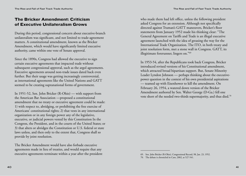# The Bricker Amendment: Criticism of Executive Unilateralism Grows

During this period, congressional concern about executive-branch unilateralism was significant, and not limited to trade-agreement matters. A constitutional amendment, known as the Bricker Amendment, which would have significantly limited executive authority, came within one vote of Senate approval.

Since the 1890s, Congress had allowed the executive to sign certain executive agreements that impacted trade without subsequent congressional approval, such as the argol agreements. Executive agreements around non-trade issues dated back even further. But their usage was getting increasingly controversial, as international agreements like the United Nations and GATT seemed to be creating supranational forms of government.

In 1951-52, Sen. John Bricker (R-Ohio) — with support from the American Bar Association —proposed a constitutional amendment that no treaty or executive agreement could be made: 1) with respect to, abridging, or prohibiting the free exercise of Americans' constitutional rights; 2) that vests in any international organization or in any foreign power any of the legislative, executive, or judicial powers vested by this Constitution In the Congress, the President, and in the courts of the United States; or 3) that alters or abridges the Constitution or U.S. federal or state laws unless, and then only to the extent that, Congress shall so provide by joint resolution.

The Bricker Amendment would have also forbade executive agreements made in lieu of treaties, and would require that any executive agreements terminate within a year after the president

who made them had left office, unless the following president asked Congress for an extension. Although not specifically directed against Truman's GATT maneuvers, Bricker's floor statements from January 1952 made his thinking clear: "The General Agreement on Tariffs and Trade is an illegal executive agreement launched with the idea of greasing the way for the International Trade Organization. The ITO, in both treaty and joint resolution form, met a stone wall in Congress. GATT, its illegitimate forerunner, lingers on."69

In 1953-54, after the Republicans took back Congress, Bricker introduced revised versions of his Constitutional amendment, which attracted broad bipartisan support. But, Senate Minority Leader Lyndon Johnson — perhaps thinking about the executivepower question in the context of his own presidential aspirations — teamed up with Eisenhower to kill the amendment. On February 26, 1954, a watered down version of the Bricker Amendment authored by Sen. Walter George (D-Ga.) fell one vote short of the needed two-thirds supermajority, and thus died.70

<sup>69.</sup> Sen. John Bricker (R-Ohio), Congressional Record, 98, Jan. 23, 1952.

<sup>70.</sup> The debate is chronicled in Caro, 2002, at 527-541.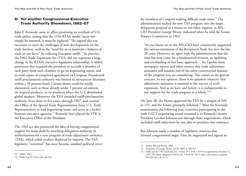#### D. Yet another Congressional-Executive Trade Authority Showdown, 1962-67

John F. Kennedy came to office promising an overhaul of U.S. trade policy, stating that the 1934 RTAA model "must not simply be renewed, it must be replaced." He argued this was necessary to meet the challenges of new developments on the trade horizon, such as the "need for us to maintain a balance of trade in our favor" by reducing European tariffs.<sup>71</sup> In practice, the 1962 Trade Expansion Act (TEA) did not represent a huge change in the RTAA's executive-legislative relationship. It added provisions that required the president to accredit a member of each party from each chamber to go on negotiating teams, and to send copies of completed agreements to Congress. Presidential tariff-proclamation authority was limited to increases or decreases within a 50 percent band. Certain duties could be totally eliminated, such as those already under 5 percent *ad valorem*, on tropical products, or on products where the U.S. dominated global markets. Moreover, the TEA extended tariff-proclamation authority from three to five years, through 1967, and created the Office of the Special Trade Representative (later U.S. Trade Representative) to lead negotiating teams and serve as a broker between executive agencies.72 Kennedy later placed the STR in the Executive Office of the President.

The 1962 act also pioneered the idea of buying congressional support for trade deals by attaching delegation authority to authorizations for a new program of trade adjustment assistance (TAA), which aided workers displaced by imports. The TAA legislative "sweetener" has since become standard political cover

for members of Congress making difficult trade votes.73 The administration tucked the new TAA program into the larger delegation proposal as a means to win labor support, as AFL-CIO President George Meany indicated when he told the Senate Finance Committee in 1962:

"As you know, we in the AFL-CIO have consistently supported the various extensions of the Reciprocal Trade Act over the last 28 years. However, we agree with the administration that the time has now come for a fundamental revision, an updating and overhauling of this basic approach… Yet I gather from newspaper reports and other sources that trade adjustment assistance still remains one of the more controversial features of the program you are considering. This causes us the gravest concern. In our opinion, there is no question whatever that adjustment assistance is essential to the success of trade expansion. And as we have said before, it is indispensable to our support for the trade program as a whole."74

On June 28, the House approved the TEA by a margin of 299 to 125, and the Senate promptly followed.75 After the Kennedy assassination the following year, countries participating in the sixth GATT negotiating round renamed it in Kennedy's honor. President Lyndon Johnson saw through these negotiations, which included tariff reductions he was able to proclaim into existence.

But Johnson made a number of legislative missteps that aroused congressional anger. First, he negotiated and signed an

<sup>71.</sup> TIME, 1961.

<sup>72.</sup> Public Law 87-794 § 226 and 243.

<sup>73.</sup> Tucker, Wu and Prorok, 2005.

<sup>74.</sup> Testimony of George Meany. See SF, 1962, at 240-241.

<sup>75.</sup> Public Law 87-794 § 226 and 243. 76 Stat. 872. H.R. 11970 was approved on October 11, 1962. The House adopted it 256-91 (D: 178-34; R: 78-57) and, in the Senate, it passed 78-8 (D: 56-1; R: 22-7).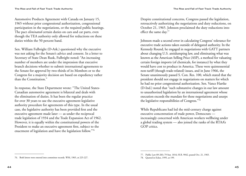Automotive Products Agreement with Canada on January 15, 1965 without prior congressional authorization, congressional participation in the negotiations, or the required public hearings. The pact *eliminated* certain duties on cars and car parts, even though the TEA authority only allowed for reductions on these duties within the 50 percent band.

Sen. William Fulbright (D-Ark.) questioned why the executive was not asking for the Senate's advice and consent. In a letter to Secretary of State Dean Rusk, Fulbright noted: "An increasing number of members are under the impression that executive branch decisions whether to submit international agreements to the Senate for approval by two-thirds of its Members or to the Congress for a majority decision are based on expediency rather than the Constitution."

In response, the State Department wrote: "The United States-Canadian automotive agreement is bilateral and deals with the elimination of duties. It has been the regular practice for over 30 years to use the executive agreement-legislative authority procedure for agreements of this type. In the usual case, the legislative authority has been provided first and the executive agreement made later — as under the reciprocal trade legislation of 1934 and the Trade Expansion Act of 1962. However, it is equally within the constitutional powers of the President to make an executive agreement first, subject to the enactment of legislation and have the legislation follow."76

Despite constitutional concerns, Congress passed the legislation, retroactively authorizing the negotiations and duty reductions, on October 21, 1965. Johnson proclaimed the duty reductions into effect the same day.<sup>77</sup>

Johnson made a second error in calculating Congress' tolerance for executive trade actions taken outside of delegated authority. In the Kennedy Round, he engaged in negotiations with GATT partners about changing U.S. antidumping law, and eliminating what was known as the American Selling Price (ASP), a method for valuating certain foreign imports (of chemicals, for instance) by what they would have cost to produce in America. These were quintessential non-tariff (though trade-related) issues, and in June 1966, the Senate unanimously passed S. Con. Res. 100, which stated that the president should not engage in negotiations on matters for which he had no prior congressional authorization. Sen. Vance Hartke (D-Ind.) noted that "such substantive changes in our law amount to unauthorized legislation by an international agreement whose execution exceeds the mandate for these negotiations and usurps the legislative responsibilities of Congress."78

While Republicans had led the mid-century charge against executive concentration of trade power, Democrats increasingly concerned with American workers wellbeing under a global trading system — also joined the ranks of the RTAA's GOP critics.

<sup>76.</sup> Both letters were entered into committee records. WM, 1965, at 225-227.

<sup>77.</sup> Public Law 89-283; 79 Stat. 1016; H.R. 9042, passed Oct. 21, 1965.

<sup>78.</sup> Quoted in Eckes, 1995, at 199.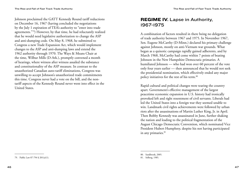Johnson proclaimed the GATT Kennedy Round tariff reductions on December 16, 1967 (having concluded the negotiations by the July 1 expiration of TEA's authority to "enter into trade agreements."79) However, by that time, he had reluctantly realized that he would need legislative authorization to change the ASP and anti-dumping code. On May 8, 1968, he submitted to Congress a new Trade Expansion Act, which would implement changes to the ASP and anti-dumping laws and extend the 1962 authority through 1970. The Ways & Means Chair at the time, Wilbur Mills (D-Ark.), promptly convened a month of hearings, where witness after witness assailed the substance and constitutionality of the ASP measure. In contrast to the unauthorized Canadian auto-tariff eliminations, Congress was unwilling to accept Johnson's unauthorized trade commitments this time. Congress never had a vote on the bill, and the nontariff aspects of the Kennedy Round never went into effect in the United States.

# **REGIME IV.** Lapse in Authority, 1967-1975

A combination of factors resulted in there being no delegation of trade authority between 1967 and 1975. In November 1967, Sen. Eugene McCarthy (D-Minn.) declared his primary challenge against Johnson, mostly on anti-Vietnam war grounds. What began as a quixotic campaign rapidly gained adherents, and by March 1968, McCarthy had come within 7 points of beating Johnson in the New Hampshire Democratic primaries. A humiliated Johnson — who had won over 60 percent of the vote only four years earlier — then announced that he would not seek the presidential nomination, which effectively ended any major policy initiatives for the rest of his term.80

Rapid cultural and political changes were tearing the country apart. Government's effective management of the largest peacetime economic expansion in U.S. history had ironically provoked left and right resentment of civil servants. Liberals had led the United States into a foreign war they seemed unable to win. Landmark civil rights achievements were followed by urban riots after the assassinations of Martin Luther King, Jr. in April. Then Bobby Kennedy was assassinated in June, further shaking the nation and leading to the political fragmentation of the August Chicago Democratic Convention, which nominated Vice President Hubert Humphrey, despite his not having participated in any primaries.<sup>81</sup>

<sup>79.</sup> Public Law 87-794 § 201(a)(1).

<sup>80.</sup> Sandbrook, 2005.

<sup>81.</sup> Solberg, 1985.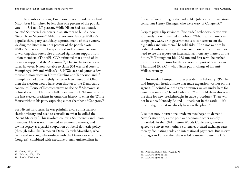In the November elections, Eisenhower's vice president Richard Nixon beat Humphrey by less than one percent of the popular vote — 43.4 to 42.7 percent. While Nixon had assiduously courted Southern Democrats in an attempt to build a new "Republican Majority," Alabama Governor George Wallace's populist third-party candidacy captured many of those voters, yielding the latter man 13.5 percent of the popular vote. Wallace's message of Beltway cultural and economic sellout of working-class voters also attracted significant support from union members. (The AFL-CIO estimated that a third of its members supported the Alabaman.82) Due to electoral-college rules, however, Nixon was able to claim 301 electoral votes to Humphrey's 199 and Wallace's 46. If Wallace had gotten a few thousand more votes in North Carolina and Tennessee, and if Humphrey had done slightly better in New Jersey and Ohio, then the election would have been thrown to the Democraticcontrolled House of Representatives to decide.<sup>83</sup> Moreover, as political scientist Thomas Schaller documented, "Nixon became the first elected president in American history to enter the White House without his party capturing either chamber of Congress."84

For Nixon's first term, he was painfully aware of his narrow election victory and need to consolidate what he called the "Silent Majority." This involved courting Southerners and union members. He was not interested in economic matters, and saw his legacy as a partial cooptation of liberal domestic policy (through aides like Democrat Daniel Patrick Moynihan, who facilitated working relationships with the Democratic-controlled Congress), combined with executive-branch unilateralism in

48

foreign affairs (through other aides, like Johnson administration consultant Henry Kissinger, who were wary of Congress).85

Despite paying lip service to "free trade" orthodoxy, Nixon was supremely more interested in politics. "What really matters in campaigns, wars, or in government is to concentrate on the big battles and win them," he told aides. "I do not want to be bothered with international monetary matters… and I will not need to see the reports on international monetary matters in the future."86 Throughout his 1968 run and first term, he pushed textile quotas in return for the electoral support of Sen. Strom Thurmond (R-S.C.), who Nixon put in charge of his anti-Wallace strategy.

On his maiden European trip as president in February 1969, he told European heads of state that trade expansion was not on the agenda. "I pointed out the great pressures we are under here for quotas on imports," he told advisors. "And I told them this is no the time for new breakthroughs in trade procedures. There will not be a new Kennedy Round — that's not in the cards — it's time to digest what we already have on the plate."<sup>87</sup>

Like it or not, international trade matters began to demand Nixon's attention, as the post-war economic order rapidly unraveled. At the 1944 Bretton Woods Conference, nations agreed to convert each other's currencies at fixed exchange rates, thereby facilitating trade and international payments. But reserve shortages in Europe after the war led countries to use the U.S.

<sup>82.</sup> Carter, 1995, at 352.

<sup>83.</sup> Perlstein, 2008, at 354.

<sup>84.</sup> Schaller, 2006, at 40.

<sup>85.</sup> Perlstein, 2008, at 360, 370, and 395.

<sup>86.</sup> Matusow, 1998, at 126.

<sup>87.</sup> Matusow, 1998, at 119.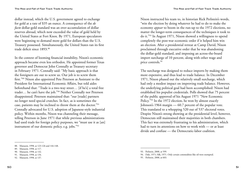dollar instead, which the U.S. government agreed to exchange for gold at a rate of \$35 an ounce. A consequence of the *de facto* dollar-gold standard was an over-accumulation of dollar reserves abroad, which now exceeded the value of gold held by the United States at Fort Knox. By 1971, European speculators were beginning to demand more gold for dollars than the U.S. Treasury possessed. Simultaneously, the United States ran its first trade deficit since 1893.88

In the context of looming financial instability, Nixon's economic approach became even less orthodox. He appointed former Texas governor and Democrat John Connally as Treasury secretary in February 1971. Connally said: "My basic approach is that the foreigners are out to screw us. Our job is to screw them first."89 Nixon also appointed Pete Peterson as Assistant to the President for International Economic Affairs, but told aides beforehand that: "Trade is a two-way street… [if he's] a total free trader… he can't have the job."90 Neither Connally nor Peterson disappointed. Peterson maintained that: "our [trade] partners no longer need special crutches. In fact, as is sometimes the case, patients may be inclined to throw them at the doctor."91 Connally advocated for U.S. adoption of Japanese-style industrial policy. Within months, Nixon was channeling their message, telling Peterson in June 1971 that while previous administrations had used trade for foreign policy purposes, we "must use it as [an] instrument of our domestic policy, e.g. jobs."92

Nixon instructed his team to, in historian Rick Perlstein's words, "win the election by doing whatever he had to do to make the economy *appear* to boom in the run-up to the 1972 elections, no matter the longer-term consequences of the techniques it took to do it."93 In August 1971, Nixon showed a willingness to upend completely the post-war economic order if it helped him win an election. After a presidential retreat at Camp David, Nixon proclaimed through executive order that he was abandoning the dollar-gold standard, and imposing an across-the-board import surcharge of 10 percent, along with other wage and price controls.94

The surcharge was designed to reduce imports by making them more expensive, and thus lead to trade balance. In December 1971, Nixon phased out the relatively small surcharge, which had only a modest impact on improving trade balance. However, the underlying political goal had been accomplished: Nixon had established his populist credentials. Polls showed that 75 percent of the public approved of his August 1971 "New Economic Policy."95 In the 1972 election, he won by almost exactly Johnson's 1964 margin — 60.7 percent of the popular vote. This translated to a whopping 520 out of 537 electoral votes. Despite Nixon's strong showing at the presidential level, however, Democrats still maintained their majorities in both chambers. This fact was extremely frustrating to his administration, which had to turn its attentions on how to work with — or at least divide and confuse — the Democratic-labor coalition.

<sup>88.</sup> Matusow, 1998, at 123-126 and 144-148.

<sup>89.</sup> Matusow, 1998, at 117.

<sup>90.</sup> Matusow, 1998, at 132.

<sup>91.</sup> Matusow, 1998, at 134.

<sup>92.</sup> Matusow, 1998, at 137.

<sup>93.</sup> Perlstein, 2008, at 599.

<sup>94.</sup> Dale, 1971; Silk, 1971. Only certain commodities like oil were exempted.

<sup>95.</sup> Perlstein, 2008, at 603.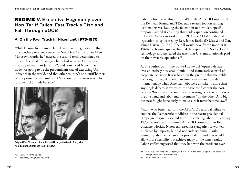# REGIME V. Executive Hegemony over Non-Tariff Rules: Fast Track's Rise and Fall Through 2008

## A. On the Fast Track in Nixonland, 1973-1975

While Nixon's first term included "more new regulation… than in any other presidency since the New Deal," in historian Allen Matusow's words, he "entered the second term determined to reverse this trend."96 George Shultz had replaced Connally as Treasury secretary in June 1972, and convinced Nixon that trade was going to be the predominant way of exercising U.S. influence in the world, and that other country's non-tariff barriers were a primary constraint on U.S. exports, and thus obstacle to sustained U.S. trade balance.<sup>97</sup>



Original Fast Track architect Richard Nixon, with Gerald Ford, who would sign the final Fast Track into law.

Labor politics were also in flux. While the AFL-CIO supported the Kennedy Round and TEA, trade-related job loss among its members was leading the federation to formulate specific proposals aimed at ensuring that trade expansion continued to benefit American workers. In 1971, the AFL-CIO drafted legislation co-sponsored by Rep. James Burke (D-Mass.) and Sen. Vance Hartke (D-Ind.). The bill would have frozen imports at 1960s levels using quotas, limited the export of U.S.-developed technology, and increased the taxes that U.S. multinationals paid on their overseas operations.<sup>98</sup>

As one author put it, the Burke-Hartke bill "opened debate over an entirely new area of public and democratic control of corporate behavior. It was based on the premise that the public had a right to regulate what an American corporation did internationally when American jobs were at stake… more than any single debate, it expressed the basic conflict that the post-Bretton Woods world economy was creating between business on the one hand and labor and movements" on the other. And big business fought ferociously to make sure it never became law.<sup>99</sup>

Nixon, who benefited from the AFL-CIO's unusual failure to endorse the Democratic candidate in the recent presidential campaign, began his second term still courting labor. In February 1973, he attended the annual AFL-CIO convention in Key Biscayne, Florida. Nixon expressed his sympathy for workers displaced by imports, but did not endorse Burke-Hartke, letting slip that he had another proposal in mind that would allow more flexibility but achieve many of the same results. Labor staffers suggested that they had won the president over

<sup>96.</sup> Matusow, 1998, at 241.

<sup>97.</sup> Beckman, 1972; Gannon, 1973.

<sup>98.</sup> H.R. 10914 in the 92nd Congress, and H.R. 62 in the 93rd Congress. Also called the Foreign Trade and Investment Act.

<sup>99.</sup> Judis, 2001, at 114-115.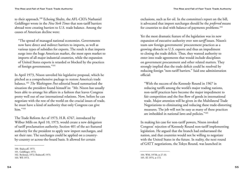to their approach.100 Echoing Shultz, the AFL-CIO's Nathaniel Goldfinger wrote in the *New York Times* that non-tariff barriers abroad were creating barriers to U.S. trade balance. Among the causes of American decline were:

"The spread of managed national economies. Governments now have direct and indirect barriers to imports, as well as various types of subsidies for exports. The result is that imports surge into the huge American market, the most open market to imports of all major industrial countries, while the expansion of United States exports is retarded or blocked by the practices of foreign governments."101

In April 1973, Nixon unveiled his legislative proposal, which he pitched as a comprehensive package to restore America's trade balance.102 *The Washington Post* editorial board summarized the situation the president found himself in: "Mr. Nixon has usually been able to arrange his affairs in a fashion that leaves Congress pretty well out of our international relations. Now, before he can negotiate with the rest of the world on the crucial issues of trade, he must have a kind of authority that only Congress can give him<sup>3103</sup>

The Trade Reform Act of 1973, H.R. 6767, introduced by Wilbur Mills on April 10, 1973, would create a new delegation of tariff proclamation authority. Section 401 of the act featured authority for the president to apply new import surcharges, and set their rate. The surcharges could be applied on a countryby-country or across-the-board basis. It allowed for certain

exclusions, such as for oil. In the committee's report on the bill, it advocated that import surcharges should be the *preferred* means for countries to deal with balance-of-payments problems.<sup>104</sup>

Yet the most dramatic feature of the legislation was its new expansion of executive authority over *non-tariff* issues. Nixon's team saw foreign governments' procurement practices as a growing obstacle to U.S. exports and thus an impediment to closing the trade deficit. Thus, they wanted authority to enter into trade agreements that would include disciplines on government procurement and other related matters. They strongly implied that the trade deficit could be resolved by reducing foreign "non-tariff barriers." Said one administration official:

"With the success of the Kennedy Round in 1967 in reducing tariffs among the world's major trading nations, non-tariff practices have become the major impediment to fair competition and the free flow of goods in international trade. Major attention will be given in the Multilateral Trade Negotiations to eliminating and reducing these trade-distorting measures. The job will not be easy as many of these practices are imbedded in national laws and policies."105

In making his case for non-tariff powers, Nixon invoked Congress' rejection of Kennedy Round non-tariff implementing legislation. He argued that the branch had embarrassed the nation, and that countries would not be willing to negotiate with the United States in the future. In reality, the next round of GATT negotiations, the Tokyo Round, was launched in

<sup>100.</sup> Shabecoff, 1973.

<sup>101.</sup> Goldfinger, 1973.

<sup>102.</sup> Beckman, 1972; Shabecoff, 1973.

<sup>103.</sup> WP, 1973.

<sup>104.</sup> WM, 1973b, at 27-33. 105. SF, 1974, at 173.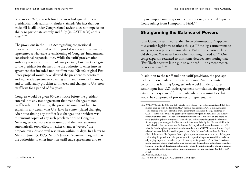September 1973, a year before Congress had agreed to new presidential trade authority. Shultz claimed: "the fact that our trade bill is still under Congressional review does not impede our ability to participate actively and fully [in GATT talks] at this stage."106

The provisions in the 1973 Act regarding congressional involvement in approval of the expanded non-tariff agreements represented a wholesale re-envisioning of Congress' fundamental constitutional responsibilities. While the tariff-proclamation authority was a continuation of past practice, Fast Track delegated to the president for the first time the authority to enter into an agreement that included non-tariff matters. Nixon's original Fast Track proposal would have allowed the president to negotiate and sign trade agreements covering tariff and non-tariff matters, and to unilaterally proclaim tariff levels and changes to U.S. nontariff laws for a period of five years.

Congress would be given 90-days notice before the president entered into any trade agreement that made changes to nontariff legislation. However, the president would not have to explain in any detail what U.S. laws he contemplated changing. After proclaiming any tariff or law changes, the president was to transmit copies of any such proclamations to Congress. No congressional vote was required, and the proclamations automatically took effect if neither chamber "vetoed" the proposal via a disapproval resolution within 90 days. In a letter to Mills on June 13, 1973, Nixon's Justice Department argued that the authorities to enter into non-tariff trade agreements and to

impose import surcharges were constitutional, and cited Supreme Court rulings from Hampton to Field.<sup>107</sup>

## Shotgunning the Balance of Powers

John Connally summed up the Nixon administration's approach to executive-legislative relations thusly: "If the legislature wants to give you a new power — you take it. Put it in the corner like an old shotgun. You never know when you might need it."108 One congressperson returned to this frame decades later, noting that "Fast Track operates like a gun to our head — no amendments, no reservations."109

In addition to the tariff and non-tariff provisions, the package included more trade adjustment assistance. And to counter concerns that limiting Congress' role would hinder privatesector input into U.S. trade agreement formulation, the proposal established a system of formal trade-advisory committees that would be comprised of private-sector representatives.

<sup>106.</sup> Halloran, 1973.

<sup>107.</sup> WM, 1973a, at 326-330. In a 1967 article, legal scholar John Jackson maintained that these rulings, coupled with the fact that RTAA hearings had discussed GATT issues, indicate: "The practice of all three branches of our government recognizes the legal existence of GATT." In the same article, he quotes 1955 testimony by John Foster Dulles (Eisenhower's secretary of state) that, "I don't believe that this law which has remained on the books 21 years unchallenged is constitutional." Nonetheless, Jackson's article quoted the aforementioned angry questioning of the Truman administration official by Sen. Eugene Millikin in 1949, showing that the matter was far from settled, as Jackson himself discovered in 1973, when he faced tough congressional questions on the scope of GATT non-tariff issues. Legal scholar Lawrence Tribe has a critical perspective of the Jackson-Dulles analysis. In Field v. Clark, Tribe writes, "the Supreme Court upheld a proclamation statute – an act of Congress authorizing the president to take particular action upon finding certain conditions to be met – by relying in part on the value as precedent of legislative practice… The Court's decision nearly a century later in Chadha, however, makes plain than an historical pedigree extending back only a matter of decades is insufficient to sustain the constitutionality of even a frequent congressional practice that conflicts with constitutional text and structure." See Tribe, 1995, at 1281.

<sup>108.</sup> Perlstein, 2008, at 600.

<sup>109.</sup> Sen. Ernest Hollings (D-S.C.), quoted in Cloud, 1991.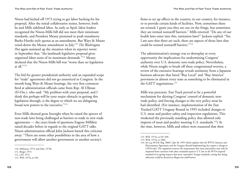Nixon had kicked off 1973 trying to get labor backing for his proposal. After the initial collaborative noises, however, both he and Mills sidelined labor. As early as April, labor leaders recognized the Nixon-Mills bill did not meet their minimum standards, and President Meany promised to push mandatory Burke-Hartke style quotas as an amendment. But Ways & Means voted down the Meany amendment in July.110 *The Washington Post* again summed up the situation when its reporter wrote in September that, "the landmark legislative proposal gives organized labor none of its maximum demands."111 Meany declared that the Nixon-Mills bill was "worse than no legislation at all."112

The bid for greater presidential authority and an expanded scope for "trade" agreements did not go unnoticed in Congress. In the month-long Ways & Means hearings, the very first comment fired at administration officials came from Rep. Al Ullman (D-Ore.), who said: "My problem with your proposal, and I think this perhaps will be your major obstacle in getting this legislation through, is the degree to which we are delegating broad new powers to the executive."113

Even Mills showed great foresight when he raised the specter of non-trade laws being challenged as barriers to trade in new trade agreements — the exact kinds of questions Eugene Millikin raised decades before in regards to the original GATT talks. Nixon administration official John Jackson batted this criticism away: "There are some other possibilities in the area of how a government will allow another government or another society's

firms to set up offices in the country, in our country, for instance, or to provide certain kinds of facilities. Now, sometimes these are termed, I grant you they are out on the fringe, but sometimes they are termed nontariff barriers." Mills retorted: "Do any of our health laws enter into this, sanitation laws?" Jackson replied: "Yes. I am sure that there are such, there are aspects of those laws that could be termed nontariff barriers."114

The administration's strategy was to downplay at every opportunity the implications for undermining Congress' authority over U.S. domestic non-trade policy. Nevertheless, while Nixon sought to brush off these congressional worries, a review of the extensive hearings reveals testimony from a Japanese business advocate that listed "Buy Local" and "Buy America" provisions in almost every state as something to be eliminated in the GATT negotiations.<sup>115</sup>

Mills was prescient. Fast Track proved to be a powerful mechanism for skirting Congress' control of domestic nontrade policy, and forcing changes to the very policy areas he had identified. (For instance, implementation of the Fast Tracked GATT Uruguay Round in 1995 included changes to U.S. meat and poultry safety and inspection regulations. This weakened the previously standing policy that allowed only imports of meat and poultry meeting U.S. standards.<sup>116</sup>) At the time, however, Mills and others were reassured that their

<sup>110.</sup> McKinsey, 1973; and Dale, 1973b.

<sup>111.</sup> Berger, 1973.

<sup>112.</sup> LAT, 1973.

<sup>113.</sup> WM, 1973a, at 183.

<sup>114.</sup> WM, 1973a, at 447-448.

<sup>115.</sup> WM, 1973a, at 1060.

<sup>116.</sup> See e.g. 60 Fed. Reg. 38667, July 28, 1995 which explains why the WTO's Sanitary and Phytosanitary Agreement and the Uruguay Round Implementing Act require a change to USDA rules. The regulation removes the requirement that meat and poultry may only be imported from countries with safety standards equal to U.S. law to the WTO-required standard of accepting imports that meet 'equivalent' foreign standards, noting that doing otherwise could be deemed an illegal non-tariff barrier.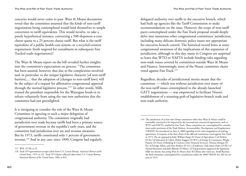concerns would never come to pass. Ways & Means documents reveal that the committee assumed that the kinds of non-tariff negotiations being contemplated would lend themselves to simple conversion to tariff equivalents. This would involve, to take a purely hypothetical instance, converting a 500-shipment-a-year cheese quota to a 25 percent cheese tariff. But what is the tariff equivalent of a public health-care system, or a recycled-content requirement (both targeted for curtailment in subsequent Fast Tracked trade negotiations)?

The Ways & Means report on the bill revealed further insights into the committee's expectations on process. "The committee has been assured, however, that due to the complexities involved and, in particular, to the unique legislative character [of non-tariff barriers],… that the adoption of [changes to non-tariff laws] will be the subject of a request for affirmative congressional approval through the normal legislative process."117 In other words, Mills trusted the president responsible for the Watergate break-in to refrain voluntarily from using the vast new authorities that the committee had just greenlighted.

It is intriguing to consider the role of the Ways & Means Committee in agreeing to such a major delegation of congressional authority. The committee originally had jurisdiction over trade because tariffs had been a primary source of government revenue in the republic's early years, and the committee had jurisdiction over tax and revenue measures. But by 1973, tariffs constituted only 1 percent of government revenue.118 And in any case, since 1890, Congress had regularly

delegated authority over tariffs to the executive branch, which had built up agencies like the Tariff Commission to make recommendations on the issue. However, the scope of non-tariff pacts contemplated under the Fast Track proposal would deeply delve into numerous other congressional committees' jurisdiction, including many delicate domestic policy issues not appropriate for executive-branch control. The historical record hints at some congressional awareness of the implications of this expansion of jurisdiction, although to this day, many in Congress are surprised to learn that WTO or NAFTA include binding rules regarding non-trade issues covered by committees outside Ways & Means and Finance. Interestingly, most of the House committee chairs voted against Fast Track.<sup>119</sup>

Regardless, decades of jurisdictional inertia meant that the committee — which was without jurisdiction over many of the non-tariff issues contemplated in the already-launched GATT negotiations — was empowered to facilitate Nixon's establishment of a stunning grab of legislative-branch trade and non-trade authority.

<sup>117.</sup> WM, 1973b, at 25.

<sup>118.</sup> Total 1974 government receipts taken from U.S. Census Bureau, *Statistical Abstract of the United States*, 1974, at 221. Total 1974 duties collected taken from U.S. Census Bureau, *Statistical Abstract of the United States*, 1984, at 841.

<sup>119.</sup> The jurisdiction of at least nine House committees other than Ways & Means could be reasonably construed to be impacted by the international commercial agreements, such as WTO and NAFTA, enabled by Fast Track. These committees are contemplated for consultations under provisions of the Trade Reform, Accountability, Development and Employment (TRADE) Act introduced on June 4, 2008 regarding review and renegotiation of existing agreements. A majority of the then-chairs of the affected committees voted against Fast Track in 1973. The six opposed include: William Poage (D-Texas) of Agriculture; Carl Perkins (D-Ky.) of Education & Labor; Harley Staggers (D-W.V.) of Energy & Commerce; Wright Patman (D-Texas) of Banking & Currency (now Financial Services); Thomas Morgan (D-Pa.) of Foreign Affairs; and Peter Rodino (D-N.J.) of Judiciary. Only James Haley (D-Fla.) of Natural Resources and John Blatnik (D-Minn.) of Transportation supported the legislation. Mills was absent, but acting Ways & Means chair Al Ullman also voted aye. Small Business, the final committee contemplated for consultations under the 2008 TRADE Act, did not yet exist in 1973.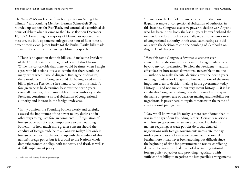The Ways & Means leaders from both parties — Acting Chair Ullman120 and Ranking Member Herman Schneebeli (R-Pa.) rounded up support for Fast Track, and controlled a combined six hours of debate when it came to the House floor on December 10, 1973. Even though a majority of Democrats opposed the measure, the bill's opponents only got one hour of floor-time to present their views. James Burke (of the Burke-Hartke bill) made the most of the scarce time, giving a blistering speech:

"There is no question that this bill would make the President of the United States the foreign trade czar of this Nation. While it is conceivable that there would be times when I might agree with his actions, it is also certain that there would be many times when I would disagree. But, agree or disagree, there would be little Congress could do, having voted in this bill to give the President a free hand to conduct this nation's foreign trade as he determines best over the next 5 years… taken all together, this massive delegation of authority to the President constitutes a virtual abdication of congressional authority and interest in the foreign trade area.

"In my opinion, the Founding Fathers clearly and carefully assessed the importance of the power to levy duties and in other ways to regulate foreign commerce… If regulation of foreign trade was of crucial importance to our Founding Fathers… of how much more greater concern should the conduct of foreign trade be to a Congress today? Not only is foreign trade inextricably wound up with the conduct of this nation's foreign policy but it is crucial to the Nation's whole domestic economic policy, both monetary and fiscal, as well as its full employment policy…

"To mention the Gulf of Tonkin is to mention the most flagrant example of congressional abdication of authority, in this instance, Congress' exclusive power to declare war. Anyone who has been in this body the last 10 years knows firsthand the tremendous effort it took to gradually regain some semblance of congressional authority in this area, culminating as it did only with the decision to end the bombing of Cambodia on August 15 of this year.

"How this same Congress a few weeks later can even contemplate abdicating authority in the foreign trade area is beyond my comprehension. To allow the President — and in effect faceless bureaucrats downtown, answerable to no one — authority to make the vital decisions over the next 5 years in foreign trade is for Congress to bow out of one of the most important areas of decision-making in the government today. History — and not ancient, but very recent history — if it has taught this Congress anything, it is that power lost today in the name of greater ease of decision-making and flexibility for negotiators, is power hard to regain tomorrow in the name of constitutional prerogatives…

"Now we all know that life today is more complicated than it was in the days of our Founding Fathers. Certainly relations with foreign governments are no exception. Doubtlessly matters requiring, as trade policies do today, detailed negotiations with foreign governments necessitate the dayto-day participation of executive department personnel. Furthermore, it has never been anything but difficult since the beginning of time for governments to resolve conflicting demands between the dual needs of determining national foreign policy objectives and providing negotiators with 120. Mills was sick during the floor proceedings. Sufficient flexibility to negotiate the best possible arrangements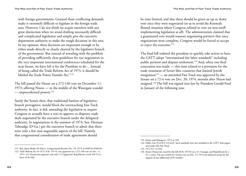with foreign governments. Granted these conflicting demands make it extremely difficult to legislate in the foreign trade area. However, I do not think we acquit ourselves with any great distinction when we avoid drafting necessarily difficult and complicated legislation and simply give the executive department authority to make the tough decisions in this area. In my opinion, these decisions are important enough to be either made directly or clearly charted by the legislative branch of the government. But instead of wrestling with the problem of providing sufficiently clear guidelines for our negotiators in the very important international conferences scheduled for the near future, we have left it for the President to do… Instead of being called the Trade Reform Act of 1973, it should be labeled the Trade Power Transfer Act."121

The bill passed the House on a 272-140 vote on December 11, 1973, offering Nixon — in the middle of the Watergate scandal — unprecedented powers.122

Surely the Senate then, that traditional bastion of legislativebranch prerogative, would block the overreaching Fast Track authority. In fact, it did, amending the legislation to require Congress to actually have a vote to approve or disprove trade deals negotiated by the executive branch under the delegated authority. In negotiations in the summer of 1974, Sen. Herman Talmadge (D-Ga.) got the executive branch to admit that there were only a few non-negotiable aspects of the bill. Namely, that congressional consideration of trade agreements should

be time limited, and that these should be given an up or down vote once they were negotiated (so as to avoid the Kennedy Round situation where Congress refused to vote on non-tariff implementing legislation at all). The administration claimed that a guaranteed vote would reassure negotiating partners that once negotiations were complete, Congress would be forced to accept or reject the outcome.<sup>123</sup>

The final bill ordered the president to quickly take action to have the GATT adopt "international fair labor standards" including public petition and dispute settlement.124 And, when one final concession was made — this time related to a provision for the trade treatment of Soviet bloc countries that limited Jewish emigration<sup>125</sup> — an amended Fast Track was approved by the Senate on a 72-4 vote on Dec. 20, 1974, months after Nixon had resigned.126 The bill was signed into law by President Gerald Ford in January of the following year.

<sup>121.</sup> Rep. James Burke (D-Mass.), Congressional Record, Dec. 10, 1973, at H40533-H40534.

<sup>122.</sup> Trade Reform Act of 1973, H.R. 10710, was approved on a 272-140 vote on Dec. 11, 1973. 121 Democrats opposed, and only 112 supported. Republicans voted 160-19 in favor of the bill.

<sup>123.</sup> Marks and Malmgren, 1975, at 339.

<sup>124.</sup> Public Law 93-618 § 121(a)(4). Such standards were not included in the GATT deal negotiated under this Fast Track.

<sup>125.</sup> 19 U.S.C. § 2432.

<sup>126.</sup> Senate Democrats voted for the bill (H.R. 10710) on a 41-3 margin, and Republicans by a 31-1 count. The pre-conference version vote on Dec. 13, 1974 was identical except for the support of one additional GOP member.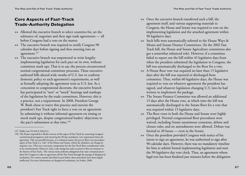## Core Aspects of Fast-Track Trade-Authority Delegation

- **>>** Allowed the executive branch to select countries for, set the substance of, negotiate and then sign trade agreements — all before Congress had a vote on the matter.
- **>>** The executive branch was required to notify Congress 90 calendar days before signing and thus entering into an agreement.<sup>127</sup>
- **>>** The executive branch was empowered to write lengthy implementing legislation for each pact on its own, without committee mark ups. That is to say, the process circumvented normal congressional committee processes. These executiveauthored bills altered wide swaths of U.S. law to conform domestic policy to each agreement's requirements, as well as formally adopting the agreement texts as U.S. law. As a concession to congressional decorum, the executive branch has participated in "non" or "mock" hearings and markups of the legislation by the trade committees. However, this is a practice, not a requirement. In 2008, President George W. Bush chose to waive this practice and exercise the president's Fast Track right to force a vote on an agreement by submitting it without informal agreement on timing or mock mark ups, despite congressional leaders' objections to the pact's submission at that time.<sup>128</sup>
- **>>** Once the executive branch transferred such a bill, the agreement itself, and various supporting materials to Congress, the House and Senate was required to vote on the implementing legislation and the attached agreement within 90 legislative days.
- **>>** Such bills were automatically referred to the House Ways & Means and Senate Finance Committees. (In the 2002 Fast Track bill, the House and Senate Agriculture committees also got a somewhat enhanced role). However, if a committee failed to report out the bill within 45 legislative days from when the president submitted the legislation to Congress, the bill was automatically discharged to the floor for a vote.
- **>>** A House floor vote was required no later than 15 legislative days after the bill was reported or discharged from committee. Thus, within 60 legislative days, the House was required to vote on whatever agreement the president has signed, and whatever legislation changing U.S. laws he had written to implement the package.
- **>>** The Senate Finance Committee was allowed an additional 15 days after the House vote, at which time the bill was automatically discharged to the Senate floor for a vote that was required within 15 legislative days.
- **>>** The floor votes in both the House and Senate were highly privileged. Normal congressional floor procedures were waived, including Senate unanimous consensus, debate and cloture rules, and no amendments were allowed. Debate was limited to 20 hours — even in the Senate.
- **>>** Once the president provided Congress with notice of his intent to sign an agreement, he was authorized to sign after 90 calendar days. However, there was no mandatory timeline for him to submit formal implementing legislation and start the 90-legislative day vote clock. Thus, an agreement whose legal text has been finalized just minutes before the delegation

<sup>127.</sup> Public Law 93-618 § 102(e)(1).

<sup>128.</sup> The House responded to Bush's exercise of this aspect of Fast Track by reasserting Congress' constitutional prerogatives and removing the 60-day mandatory vote requirement from the agreement. This was possible because, as a technical matter, the pre-set floor vote procedures aspect of Fast Track is a "rule" of the House and Senate, which the chambers can change by majority vote. (This was a necessary compromise for the Fast Track floor-consideration rules to be constitutional.) However, such a rule change has only occurred in this one instance in the history of Fast Track.. The various trade-authority delegations have also contained procedures for Congress to take an agreement off the Fast Track through the passage of disapproval resolutions. For various reasons described in part below, these procedures have been largely ineffectual. For more information on disapproval resolutions, see Forbes, 2008.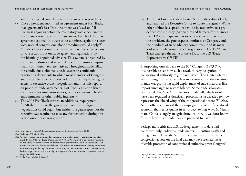authority expired could be sent to Congress even years later.

- **>>** Once a president submitted an agreement under Fast Track, that agreement's Fast Track treatment was "used up." If Congress adjourns before the mandatory vote clock ran out or Congress voted against the agreement, Fast Track for that agreement expired. If it were to be submitted again for a later vote, normal congressional floor procedures would apply.129
- **>>** A trade advisory committee system was established to obtain private sector input on trade agreement negotiations by presidentially-appointed advisors. This system is organized by sector and industry and now includes 700 advisors comprised mainly of industry representatives. Throughout trade talks, these individuals obtained special access to confidential negotiating documents to which most members of Congress and the public have no access. Additionally, they have regular access to executive-branch negotiators and must file reports on proposed trade agreements. Fast Track legislation listed committees for numerous sectors, but not consumer, health, environmental or other public interests.<sup>131</sup>
- **>>** The 2002 Fast Track created an additional requirement for 90-day notice to the gatekeeper committees *before* negotiations could begin, but neither the gatekeepers nor the executive was required to take any further action during this period once notice was given.<sup>132</sup>

**>>** The 1974 Fast Track also elevated STR to the cabinet level, and required the Executive Office to house the agency. While other cabinet level positions tend to be responsive to a predefined constituency (Agriculture and farmers, for instance), the STR was unique in that its only real constituency was the president, the gatekeeper committees of Congress, and the hundreds of trade advisory committees. And its main goal was proliferation of trade negotiations. The 1979 Fast Track changed the name of the STR to the U.S. Trade Representative (USTR).

Transporting oneself back to the 93rd Congress (1973-74), it is possible to see how such a revolutionary delegation of congressional authority might have passed. The United States was running its first trade deficit in a century, and the executive branch was promising rapid deployment of trade measures like import surcharges to restore balance. Some trade advocates bemoaned that, "the Administration trade bill, which would have been regarded as drastically protectionist a decade ago, now represents the liberal wing of the congressional debate."133 Also, Nixon officials premised their campaign on a view of the global economy that seems quaint in retrospect, telling Ways & Means that: "China is largely an agricultural country… we don't know for sure how much trade they are prepared to have."<sup>134</sup>

Perhaps most critically, U.S. trade agreements to date had concerned only traditional trade matters — cutting tariffs and lifting quotas. Thus, the Senate amendment that provided a congressional vote on the final deal may have seemed like a tolerable protection of congressional authority, given Congress'

<sup>129.</sup> For details on House Parliamentarian's ruling on the matter, see IUT, 2006b. 130. Public Law 93-618 § 135.

<sup>131.</sup> PC, 1991. Labor was mentioned in the statute and a labor advisory committee was established. In the 1984 Fast Track (Public Law  $98-573 \text{ }$  \$306(c)(2)(A)), a new advisory committee was added for representatives of state and local governments and their associations. Lawsuits in the 1990s resulted in establishment of a Trade and Environment advisory committee, but it was comprised of equal numbers of industry and environmental group representatives, deadlocking its reports and eventually causing some of the environmental representatives to resign. See MH, 2003.

<sup>132.</sup> Public Law 107-210 § 2104(a).

<sup>133.</sup> Quote of C. Fred Bergsten, in Jones, 1973.

<sup>134.</sup> WM, 1973a, at 212 and 263.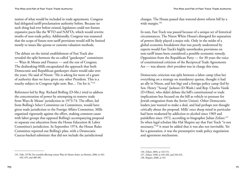notion of what would be included in trade agreements. Congress had delegated tariff-proclamation authority before. Because no such thing had ever before existed, legislators could not foresee expansive pacts like the WTO and NAFTA, which would rewrite swaths of non-trade policy. Additionally, Congress was reassured that the scope of future non-tariff provisions would still be limited mostly to issues like quotas or customs valuation methods.

The debate on the initial establishment of Fast Track also revealed the split between the so-called "gatekeeper" committees — Ways & Means and Finance — and the rest of Congress. The dealmaking-Mills encapsulated the approach that both Democratic and Republican gatekeeper chairs would take over the years. He said of Nixon: "He is asking for more of a grant of authority than we have given any other President. This is a touchy subject in Congress right now. But… I'm for it."135

Reformers led by Rep. Richard Bolling (D-Mo.) tried to address the concentration of power by attempting to remove trade from Ways & Means' jurisdiction in 1973-74. The effort, led from Bolling's Select Committee on Committees, would have given trade jurisdiction to the Foreign Affairs Committee. Mills organized vigorously against the effort, making common cause with labor groups that opposed Bolling's accompanying proposal to separate out education from the House Education & Labor Committee's jurisdiction. In September 1974, the House Rules Committee reported out Bolling's plan, with a Democratic Caucus-backed substitute that did not include the jurisdictional

135. Dale, 1973b. For scandals affecting various Ways & Means chairs, see Remini, 2006, at 442- 443, 455, and 480-481.

changes. The House passed that watered-down reform bill by a wide margin.<sup>136</sup>

In sum, Fast Track was passed because of a unique set of historical circumstances. The Nixon White House's disregard for separation of powers likely played a major role. Only in the midst of a global economic breakdown that was poorly understood by experts would Fast Track's highly unorthodox provisions on non-tariff issues been considered a possible economic remedy. Opposition from the Republican Party — for 30 years the voice of constitutional criticism of the Reciprocal Trade Agreements Act — was absent: *their president* was in charge this time.

Democratic criticism was split between a labor camp (that bet everything on a strategy on mandatory quotas, thought it had an ally in Nixon, and lost big) and a foreign policy camp (led by Sen. Henry "Scoop" Jackson (D-Wash.) and Rep. Charles Vanik (D-Ohio), who didn't debate the bill's constitutional or trade implications but focused on the bill as vehicle to pressure for Jewish emigration from the Soviet Union). Other Democratic leaders just wanted to make a deal, and had perhaps not thought critically about the proposal. Mills' once sharp mind in particular had been weakened by addiction to alcohol since 1969 and painkillers since 1972, according to biographer Julian Zelizer.<sup>137</sup> So when legal scholars like Hal Shapiro say that Fast Track "is not necessary,"138 it must be added that it was also not inevitable. Yet for a generation, it was the presumptive trade policy negotiation and agreement mechanism.

<sup>136.</sup> Zelizer, 2004, at 143-151.

<sup>137.</sup> Zelizer, 1998, at 334-336, and 350-353.

<sup>138.</sup> Shapiro, 2006, at 161.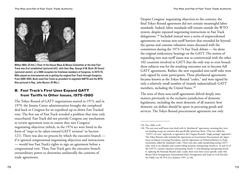

Wilbur Mills (D-Ark.) Chair of the House Ways & Means Committee at the time Fast Track was first established (pictured left), with then-Rep. George H.W. Bush (R-Texas) (pictured center), at a 1966 reception for freshman members of Congress. In 1973-74, Mills played an instrumental role in getting the original Fast Track through Congress. From 1989-1993, Bush used Fast Track as president to negotiate NAFTA and the WTO. Also pictured is Rep. John Byrnes (R-Wis.).

### B. Fast Track's First Uses Expand GATT from Tariffs to Other Issues, 1975-1980

The Tokyo Round of GATT negotiations started in 1973, and in 1979, the Jimmy Carter administration brought the completed deal back to Congress for an expedited up-or-down Fast Tracked vote. The first use of Fast Track revealed a problem that time only exacerbated. Fast Track did not provide Congress any mechanism to review agreement texts to ensure they met Congress' negotiating objectives (which, in the 1974 act were listed in the form of "steps to be taken toward GATT revision" in Section 121). There was also no process by which the executive branch if it ignored congressional negotiating objectives and instructions — would lose Fast Track's rights to sign an agreement before a congressional vote. Thus, Fast Track gave the executive branch extraordinary power to determine unilaterally the contents of trade agreements.

Despite Congress' negotiating objectives to the contrary, the final Tokyo Round agreement did not contain meaningful labor standards. Indeed, labor standards still remain outside the WTO system, despite repeated negotiating instructions in Fast Track delegations.139 Included instead were a series of unprecedented agreements on various non-tariff barriers that extended far beyond the quotas and customs valuation issues discussed with the committees during the 1973-74 Fast Track debate — let alone the original midcentury hearings on the GATT. The notion of expanding into non-tariff issues was so controversial with the other 102 countries involved in GATT that the only way to even broach these subjects was for the resulting outcomes not to become full GATT agreements. Rather, the new expanded non-tariff rules were only signed by some participants. These plurilateral agreements became known as the Tokyo Round "codes," and were signed by only a relatively small number of (mainly industrialized) GATT members, including the United States.<sup>140</sup>

The texts of these non-tariff agreements delved deeply into matters previously in the exclusive jurisdiction of domestic legislatures, including the most domestic of all matters: how domestic tax dollars should be spent in procuring goods and services. The Tokyo Round procurement agreement not only

<sup>139.</sup> Pier, 2006, at 81.

<sup>140.</sup> The new non-tariff issues were dealt with in "plurilateral" agreements, meaning they were not binding except on countries that specifically opted into them. (This was called the "GATT a la carte" approach, as opposed to the Uruguay Round's "single package" approach.) The Tokyo Round codes included the Agreement on Government Procurement; the Agreement on Import Licensing Procedures; and the Agreement on Technical Barriers to Trade (sometimes called the Standards Code). There were also codes interpreting exiting GATT rules, such as on subsidies and countervailing measures (interpreting Articles 6, 16 and 23 of the GATT); customs valuation (interpreting Article 7); anti-dumping (interpreting Article 6, replacing the Kennedy Round code). Lastly, there were three sector-specific codes (the Bovine Meat Arrangement, International Dairy Arrangement and Trade in Civil Aircraft). See Public Law 96-39 § 2(c); Jackson, 1997, at 166.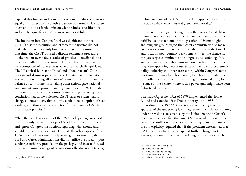required that foreign and domestic goods and producers be treated equally — a direct conflict with expansive Buy America laws then in effect — but set forth limits on what technical specifications and supplier qualifications Congress could establish.

The incursion into Congress' turf was significant, but the GATT's dispute resolution and enforcement systems did not make these new rules truly binding on signatory countries. At that time, the GATT utilized a dispute settlement procedure — fleshed out over a few decades of practice — mediated intermember conflicts. Panels convened under this dispute practice were comprised of trade experts, who analyzed challenged laws. The "Technical Barriers to Trade" and "Procurement" Codes both included similar panel systems. The standard diplomatic safeguard of requiring all members' consensus before altering the balance of commitments or taking other actions gave national governments more power than they have under the WTO today. In particular, if a member country strongly objected to a panel's conclusion that its laws violated GATT rules or orders that it change a domestic law, that country could block adoption of such a ruling, and thus avoid any sanction for maintaining GATTinconsistent policies.<sup>141</sup>

While the Fast Track aspect of the 1974 trade package was used to enormously extend the scope of "trade" agreement jurisdiction and ignore Congress' instructions regarding what should and should not be in the next GATT round, the other aspects of the 1974 trade package came largely to naught. For instance, the Ford and Carter administrations did not utilize the broad importsurcharge authority provided in the package, and instead focused on a "jawboning" strategy of talking down the dollar and talking

up foreign demand for U.S. exports. This approach failed to close the trade deficit, which instead grew systematically.<sup>142</sup>

In the "non-hearings" in Congress on the Tokyo Round, labor union representatives urged that procurement and other nontariff issues be taken out of the legislation.<sup>143</sup> Human rights and religious groups urged the Carter administration to make good on its commitment to include labor rights in the GATT and focus on poor-country development.<sup>144</sup> Yet the silence from the gatekeeper committees and Congress was deafening. It is an open question whether most in Congress had any idea that they were approving new constraints on their own procurementpolicy authority and other areas clearly within Congress' remit. For those who may have been aware, Fast Track prevented them from offering amendments or engaging in normal debate, for instance in the Senate, where such a power grab might have been filibustered to death.

The Trade Agreement Act of 1979 implemented the Tokyo Round and extended Fast Track authority until 1988.<sup>145</sup> Interestingly, the 1979 Act was not a vote on congressional approval of the underlying GATT agreement, which was still only under provisional acceptance by the United States.<sup>146</sup> Carter's Fast Track also specified that any U.S. law would prevail in the event of a conflict with trade-agreement requirements. Further, the bill explicitly required that, if the president determined that GATT or other trade pacts required further changes in U.S. statutes, he would have to request Congress to consider such

<sup>141.</sup> Jackson, 1997, at 163-168.

<sup>142.</sup> Biven, 2002, at 120 and 178.

<sup>143.</sup> WM, 1979, at 441.

<sup>144.</sup> WM, 1979, at 626 and 633.

<sup>145.</sup> Public Law 96-39 § 1101.

<sup>146.</sup> Jackson, Louis and Matsushita, 1982, at 345.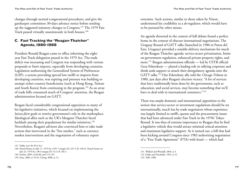changes through normal congressional procedures, and give the gatekeeper committees 30-days advance notice before sending up the suggested statutory changes to Congress.<sup>147</sup> The 1979 Fast Track passed virtually unanimously in both houses.<sup>148</sup>

### C. Fast Tracking the "Reagan-Thatcher" Agenda, 1980-1988

President Ronald Reagan came to office inheriting the eightyear Fast Track delegation passed in the 1979 Act. The trade deficit was increasing and Congress was responding with various proposals to limit imports, especially from developing countries. Legislation authorizing the Generalized System of Preferences (GSP), a system providing special low tariffs to imports from developing countries, was expiring and pressure was building to exempt richer-country beneficiaries (such as Hong Kong, Taiwan and South Korea) from continuing in the program.<sup>149</sup> As an array of trade bills consumed much of Congress' attention, the Reagan administration focused on GATT.

Reagan faced considerable congressional opposition to many of his legislative initiatives, which focused on implementing the *laissez-faire* goals to restrict government's role in the marketplace. Ideological allies such as the UK's Margaret Thatcher faced backlash among their populations for similar initiatives.<sup>150</sup> Nevertheless, Reagan's advisors also convinced him to take trade actions that intervened in the "free market," such as currency market interventions and the negotiation of voluntary export

148. Passed House on July 11, 1979 by a 395-7 margin (D: 247-5; R: 148-2). Passed Senate on July 23, 1979 by a 90-4 margin (D: 52-3; R: 38-1).

restraints. Such actions, similar to those taken by Nixon, undermined his credibility as a *de*-regulator, which would have to be pursued by other means.

An agenda thwarted in the context of full debate found a perfect home in the context of obscure international negotiations. The Uruguay Round of GATT talks (launched in 1986 in Punta del Este, Uruguay) provided a suitable delivery mechanism for much of the Reagan-Thatcher agenda: service-sector privatization, limits on government regulation, enhanced private-property rights, and more.151 Reagan administration officials — led by USTR official Geza Feketekuty — played a leading role in rallying corporate and think-tank support to attach their deregulatory agenda onto the GATT talks.152 One Feketekuty ally told the *Chicago Tribune* in 1980, just days after Reagan's election victory: "A lot of services that have traditionally been done by the government, such as education, and social services, may become something that we'll have to deal with in international commerce."<sup>153</sup>

There was ample domestic and international opposition to the notion that service-sector or investment regulations should be set internationally, much less by trade negotiators whose experience was largely limited to tariffs, quotas and the procurement issues that had been advanced under Fast Track in the 1970s' Tokyo Round. It was thus of extreme importance to Reagan that he find a legislative vehicle that would attract minimal critical attention and maximum legislative support. As it turned out, a bill that had been kicking around Congress since 1983 authorizing negotiation of a "Free Trade Agreement" (FTA) with Israel — which had

<sup>147.</sup> Public Law 96-39 § 3(c).

<sup>149.</sup> Destler, 2005, at 83-88, and 115-129.

<sup>150.</sup> Faux, 2006, at 76-91; Chang, 2008, at 74.

<sup>151.</sup> Wallach and Woodall, 2004, at 3.

<sup>152.</sup> Drake and Nicolaidis, 1992, at 52.

<sup>153.</sup> Tefft, 1980.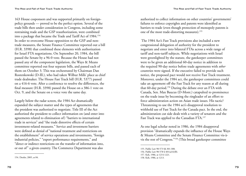163 House cosponsors and was supported primarily on foreignpolicy grounds — proved to be the perfect option. Several of the trade bills then under consideration in Congress, including some restraining trade and the GSP reauthorization, were combined into a package that became the Trade and Tariff Act of 1984.<sup>154</sup> In order to overcome House opposition to the GSP and nontrade measures, the Senate Finance Committee reported out a bill (H.R. 3398) that combined these elements with authorization for Israel FTA negotiations. On September 20, 1984, the bill passed the Senate by a 96-0 vote. Because the House had not passed any of the component legislation, the Ways & Means committee reported out four separate bills, and passed each of them on October 3. This was orchestrated by Chairman Dan Rostenkowski (D-Ill.), who had taken Wilbur Mills' place as chief trade dealmaker. The House Fast Track bill (H.R. 5377) passed on a 416-6 vote. After a conference to resolve the differences, the final measure (H.R. 3398) passed the House on a 386-1 vote on Oct. 9, and the Senate on a voice vote the same day.

Largely below the radar screen, the 1984 Act dramatically expanded the subject matter and the types of agreements that the president was authorized to negotiate. Title III of the Act authorized the president to collect information on (and enter into agreements related to elimination of) "barriers to international trade in services" and "the trade distortive effects of certain investment-related measures." Service and investment barriers were defined as denial of "national treatment and restrictions on the establishment" of service operations and investments, "foreign industrial policies," "export performance requirements," and "direct or indirect restrictions on the transfer of information into, or out of" a given country. The Commerce Department was also

authorized to collect information on other countries' governments' failures to enforce copyrights and patents were identified as barriers to trade (even though protection of monopoly patents is one of the most trade-distorting measures).<sup>155</sup>

 The 1984 Act's Fast Track provisions also included a new congressional delegation of authority for the president to negotiate and enter into bilateral FTAs across a wide range of tariff and non-tariff subjects. While negotiations with Israel were greenlighted by the statute, the gatekeeper committees were to be given an additional 60-day notice in addition to the required 90-day notice before trade agreements with *other* countries were signed. If the executive failed to provide such notice, the proposed pact would not receive Fast Track treatment. Moreover, under the 1984 act, the gatekeeper committees could take an agreement off the Fast Track for any reason at all during that 60-day period.156 During the debate over an FTA with Canada, Sen. Max Baucus (D-Mont.) catapulted to prominence on the trade issue by becoming the ringleader of an effort to force administration action on Asian trade issues. His tactic? Threatening to use the 1984 act's disapproval resolution to withhold use of Fast Track for the Canada pact. In the end, the administration cut side deals with a variety of senators and the Fast Track was applied to the Canadian FTA.157

As one legal scholar noted in 1986, the 1984 disapproval provision "dramatically expands the influence of the House Ways & Means Committee and the Senate Finance Committee vis-àvis the rest of Congress."158 (This broad gatekeeper committee

<sup>154.</sup> Destler, 2005, at 84.

<sup>155.</sup> Public Law 98-573 §§ 301-308.

<sup>156.</sup> Public Law 98-578 § 401(a)(4)(B).

<sup>157.</sup> Koh, 1986, at 1214-1221.

<sup>158.</sup> Koh, 1986, at 1213.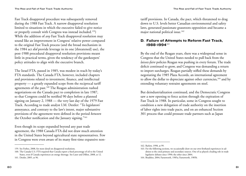Fast Track disapproval procedure was subsequently removed during the 1988 Fast Track. A narrow disapproval resolution limited to situations in which the executive failed to give notice or properly consult with Congress was instead included.159) While the addition of *any* Fast Track disapproval resolution may sound like an improvement in Congress' relative power compared to the original Fast Track process (and the broad mechanism in the 1984 act *did* provide leverage in its one [threatened] use), the post-1988 procedural disapproval resolution provisions meant little in practical terms, given the tendency of the gatekeepers' policy attitudes to align with the executive branch.

The Israel FTA, passed in 1985, was modest in reach by today's FTA standards. The Canada FTA, however, included chapters and provisions related to investment, finance, and intellectual property — a greatly expanded scope from the reciprocal tariff agreements of the past.<sup>160</sup> The Reagan administration rushed negotiations on the Canada pact to completion in late 1987, so that Congress could be notified 90 days before a planned signing on January 2, 1988 — the very last day of the 1979 Fast Track. According to trade analyst I.M. Destler: "To legislators' annoyance, and contrary to the law's intent, major substantive provisions of the agreement were defined in the period *between* the October notification and the January signing."<sup>161</sup>

Even though its scope expanded beyond any past trade agreement, the 1988 Canada FTA did not draw much attention in the United States beyond agricultural state representatives. Few in Congress were even aware of its many first-time expansive nontariff provisions. In Canada, the pact, which threatened to drag down to U.S. levels better Canadian environmental and safety laws, generated passionate grassroots opposition and became a major national political issue.<sup>162</sup>

#### D. Failure of Attempts to Reform Fast Track, 1988-1994<sup>163</sup>

By the end of the Reagan years, there was a widespread sense in Congress that the United States needed to pull back from the *laissez-faire* policies Reagan was pushing in every forum. The trade deficit continued to grow, and Congress was demanding a return to import surcharges. Reagan partially stifled these demands by negotiating the 1985 Plaza Accords, an international agreement to allow the dollar to depreciate against other currencies,<sup>164</sup> and by extending voluntary restraint agreements on steel.

But deindustrialization continued, and the Democratic Congress saw a new opening to force action through the expiration of Fast Track in 1988. In particular, some in Congress sought to condition a new delegation of trade authority on the insertion of labor rights into trade pacts, and on an enhanced Section 301 process that could pressure trade partners such as Japan

<sup>159.</sup> See Forbes, 2008, for more detail on disapproval resolutions.

<sup>160.</sup> The Canada-U.S. FTA required that Canada export a fixed percentage of oil to the United States, even if Canada experiences an energy shortage. See Laxer and Dillon, 2008, at 12. 161. Destler, 2005, at 96.

<sup>162.</sup> Barlow, 1998, at 99.

<sup>163.</sup> For the following sections, we occasionally draw on our own firsthand experiences in addition to the cited primary and secondary sources. One of us played a leading role in trade legislative debates since 1990; the other since 2004.

<sup>164.</sup> Bradsher, 2004; Farnsworth, 1985a; Farnsworth, 1985b.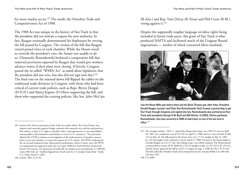for more market access.165 The result: the Omnibus Trade and Competitiveness Act of 1988.

The 1988 Act was unique in the history of Fast Track in that the president did not initiate a request for new authority. In fact, Reagan eventually demonstrated his displeasure by vetoing the bill passed by Congress. The version of the bill that Reagan vetoed passed twice in each chamber. While the House voted to override the president's veto, the Senate was unable to do so. Ultimately, Rostenkowski brokered a compromise bill that removed provisions opposed by Reagan that would give workers advance notice if their plant were closing. (Cleverly, Congress passed the so-called "WARN Act" as stand-alone legislation that the president did not veto, but also did not sign into law.)<sup>166</sup> The final vote on the watered-down bill flipped the tables on the traditional trade divisions in Congress, with those who had been critical of current trade policies, such as Reps. Byron Dorgan (D-N.D.) and Marcy Kaptur (D-Ohio) supporting the bill, and those who supported the existing policies, like Sen. John McCain (R-Ariz.) and Rep. Tom DeLay (R-Texas) and Phil Crane (R-Ill.), voting against it.<sup>167</sup>

Despite the supposedly tougher language on labor rights being included in future trade pacts, this grant of Fast Track is what produced NAFTA and facilitated much of the Uruguay Round negotiations — neither of which contained labor standards,



Like the Nixon-Mills pair before them and the Bush-Thomas pair after them, President Ronald Reagan (center) and Chair Dan Rostenkowski (left) formed a partnership to get Fast Track through Congress and signed into law. Rostenkowski also partnered on Fast Track with presidents George H.W. Bush and Bill Clinton. In 2000, Clinton pardoned Rostenkowski, who was convicted in 1996 of mail fraud, as one of his last acts in office.<sup>168</sup>

168. CT, 2000.

<sup>165.</sup> Section 301 refers to provisions of the Trade Act under which "the United States may impose trade sanctions against foreign countries that maintain acts, policies and practices that violate, or deny U.S. rights or benefits under, trade agreements, or are unjustifiable, unreasonable or discriminatory and burden or restrict U.S. commerce." The provision allowed the USTR to initiate an investigation of the trade practices of another country, either on its own initiative, or upon the request of a U.S. citizen. The WTO undermined the use of such unilateral trade enforcement mechanisms, which is ironic, since the WTO was negotiated and approved under the very same 1988 Fast Track bill that initiated the Section 301 process. For discussion of trade offs on market access mechanisms in 1988 bill versus 2001 bill, see "Zoellick Signals Fast-Track Link To U.S.-Jordan Trade Deal," Inside U.S. Trade, March 2, 2001.

<sup>166.</sup> Destler, 2005, at 91-96.

<sup>167.</sup> The stronger version – H.R. 3 – passed the House three times: on a 290-137 vote on April 30, 1987; on a conference vote of 312-107 on April 21, 1988; and on a veto override of 308- 113 on May 24. The bill passed in the Senate twice, by a 71-27 margin on July 21, 1987, by a 63-36 margin in the conference vote on April 27, 1988. On June 8, the Senate failed to override Reagan on a 61-37 vote, thus failing to get a two-thirds majority. The House passed a watered down version (H.R. 4848) by a 376-45 margin on July 13, (D: 243-4; R: 133-41), and the Senate approved the bill by an 85-11 margin on Aug. 3, 1988 (D: 50-1; R: 35-10). The bill, titled the Omnibus Trade and Competitiveness Act, became Public Law 100-418, 102 Stat. 1107.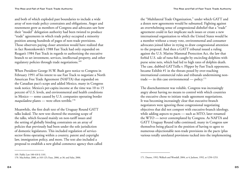and both of which exploded past boundaries to include a wide array of non-trade policy constraints and obligations. Anger and resentment grew as members of Congress and advocates saw how their "model" delegation authority had been twisted to produce "trade" agreements in which trade policy occupied a minority position among hundreds of pages of non-trade provisions. Those observers paying closer attention would have realized that in fact Rostenkowski's 1988 Fast Track had only expanded on Reagan's 1984 Fast Track in regards to authorizing the executive branch to set investment, services, intellectual property, and other regulatory policies through trade negotiations.<sup>169</sup>

When President George H.W. Bush gave notice to Congress in February 1991 of his intent to use Fast Track to negotiate a North American Free Trade Agreement (NAFTA) that expanded on the Canadian pact's scope and added Mexico, many in Congress took notice. Mexico's per-capita income at the time was 10 to 15 percent of U.S. levels, and environmental and health conditions in Mexico — some caused by U.S. companies operating border *maquiladora* plants — were often terrible.<sup>170</sup>

Meanwhile, the first draft text of the Uruguay Round GATT talks leaked. The new text showed the stunning scope of the talks, which focused mainly on non-tariff issues and the setting of globally binding constraints on an array of policies that previously had been under the sole jurisdiction of domestic legislatures. This included regulation of servicesector firms operating within a country, patent and copyright law, immigration policy, and more. The text also included a proposal to establish a new global commerce agency then called

the "Multilateral Trade Organization," under which GATT and a dozen new agreements would be subsumed. Fighting against an overwhelming sense of congressional disbelief that a "trade" agreement could in fact implicate such issues or create a new international organization to which the United States would be a member without a treaty vote, environmental and consumer advocates joined labor in trying to draw congressional attention to the proposal. And then a GATT tribunal issued a ruling against the U.S. Marine Mammal Protection Act, the law that forbid U.S. sale of tuna fish caught by encircling dolphins with purse seine nets, which had led to high rates of dolphin death. The case, dubbed GATTzilla v. Flipper by Fast Track opponents, became Exhibit #1 in the threats posed by over-reaching international commercial rules and tribunals undermining nontrade — in this case environmental — policy. $171$ 

The disenchantment was voluble. Congress was increasingly angry about having no means to control with which countries the executive chose to initiate trade agreement negotiations. It was becoming increasingly clear that executive-branch negotiators were ignoring those congressional negotiating objectives that did not comport with executive-branch ideology, while adding aspects to pacts — such as MTO, later renamed the WTO — never contemplated by Congress. As NAFTA and GATT Uruguay Round talks continued, many in Congress saw themselves being placed in the position of having to agree to numerous objectionable non-trade provisions in the pacts (plus various totally unrelated provisions tucked into the implementing

<sup>169.</sup> Public Law 100-418 § 1101.

<sup>170.</sup> MacArthur, 2000, at 103-125; Faux, 2006, at 36; and Salas, 2006. 171. Dunne, 1992; Wallach and Woodall, 2004, at 4; Jackson, 1992, at 1250-1253.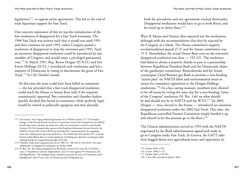legislation)<sup>172</sup>, or oppose entire agreements. This led to the end of wide bipartisan support for Fast Track.

One concrete expression of this ire was the introduction of the first resolution of disapproval for a Fast Track extension. The 1988 Fast Track was written such that it would run until 1991 and then continue on until 1993, unless Congress passed a resolution of disapproval to stop the extension past 1991. Such an extension disapproval resolution could be introduced by any member of Congress, and would enjoy a privileged guaranteed vote.173 In March 1991, Rep. Byron Dorgan (D-N.D.) and Sen. Ernest Hollings (D-S.C.) introduced such resolutions and led a majority of Democrats in voting to discontinue the grant of Fast Track.174 In I.M. Destler's words:

"At this time the issue could have been killed in committee — the law provided that a fast-track disapproval resolution could reach the House or Senate floor only if the requisite committee(s) approved. But committee and chamber leaders quickly decided that burial in committee, while perfectly legal, would be viewed as politically egregious and thus discredit

both the procedures and any agreements reached thereunder. Disapproval resolutions would have to go to both floors, and be voted up or down there."175

Ways & Means and Finance thus reported out the resolutions, although with the recommendation that they be rejected by the Congress as a whole. The House committee's negative recommendation passed 27-9, and the Senate committee's was 15-3. Nonetheless, the actual House floor vote on the extension disapproval resolution was close — 192-231. The resolution had failed to obtain a majority thanks in part to a partnership between Republican President Bush and the Democratic chairs of the gatekeeper committees. Rostenkowski and his Senate counterpart Lloyd Bentsen got Bush to promise a non-binding "action plan" on NAFTA labor and environmental issues in return for committee opposition to the Dorgan-Hollings resolutions.176) As a face-saving measure, members were allowed to let off steam by voting the same day for a non-binding "sense of the Congress" resolution (H. Res. 146) on what should be and should not be in NAFTA and the WTO.177 (In 2005, Dorgan — since elected to the Senate — introduced an extension disapproval resolution under the 2002 Fast Track. This time, the Republican-controlled Finance Committee simply bottled it up and refused to let the measure go to the floor.)<sup>178</sup>

The Clinton administration arrived in 1993 with the NAFTA negotiated by the Bush administration signed and ready to go to Congress under Fast Track. In Geneva, the GATT talks were bogged down over agricultural issues and opposition by

<sup>172.</sup> For instance, the Uruguay Round Agreements Act (URAA) sections 771-778 included changes to the Pension Benefit Guarantee Corporation statute that changed the way defined benefit plans must calculate the lump-sum value of a participant's vested accrued benefit. Sections 761-764 changed other aspects of the Employee Retirement Income Security Act (ERISA). Section 801 of the URAA also amended the Communications Act regarding what were called pioneer spectrum preferences. The URAA also directed the FCC to award licenses within fifteen days to certain applicants, including one related to a newspaper editorializing heavily for congressional passage of the bill.

<sup>173.</sup> Omnibus Trade and Competitiveness At of 1988, P.L. 100-418, § 1103 (b)(5). For more information on disapproval resolutions, see Forbes, 2008.

<sup>174.</sup> H. Res. 101, the Dorgan disapproval in the House, received 192 votes for (170 Democrats, 21 Republicans and one independent), and 231 votes against (91 Democrats, and 140 Republicans). The Hollings Senate resolution attracted 36 votes (31 Democrats and 5 Republicans), with 59 nay votes (23 Democrats and 36 Republicans).

<sup>175.</sup> Destler, 2005, at 98.

<sup>176.</sup> Carrier, 1996, at 712.

<sup>177.</sup> Destler, 2005, at 99-101.

<sup>178.</sup> S. Res. 100, introduced April 6, 2005.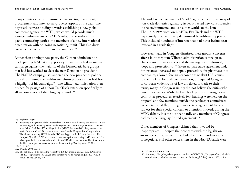many countries to the expansive service-sector, investment, procurement and intellectual-property aspects of the deal. The negotiations were heading towards establishing a new global commerce agency, the WTO, which would provide much stronger enforcement of GATT's rules, and transform the pact's contracting parties into members of a new international organization with on-going negotiating remit. This also drew considerable concern from many countries.<sup>180</sup>

Rather than altering these pacts, the Clinton administration made passing NAFTA a top priority<sup>181</sup>, and launched an intense campaign against the majority of the Democratic base groups that had just worked to elect the new Democratic president. The NAFTA campaign squandered the new president's political capital for passing the health-care reform proposals that had been a highlight of his campaign.<sup>182</sup> The Clinton administration then pushed for passage of a short Fast Track extension specifically to allow completion of the Uruguay Round.<sup>183</sup>

The sudden encroachment of "trade" agreements into an array of non-trade domestic regulatory issues attracted new constituencies in the environmental and consumer worlds to the issue. The 1993-1994 votes on NAFTA, Fast Track and the WTO respectively attracted a very determined broad-based opposition. This included hundreds of interests that had never before been involved in a trade fight.

However, many in Congress dismissed these groups' concerns after a joint corporate/Clinton administration campaign to characterize the messengers and the message as uninformed, loopy and protectionist.<sup>184</sup> Given no past trade agreement had, for instance, increased monopoly protections for pharmaceutical companies, allowed foreign corporations to skirt U.S. courts to sue the U.S. for cash compensation, or required Congress to conform wide swaths of law unrelated to trade to their terms, many in Congress simply did not believe the critics who raised these issues. With the Fast Track process limiting normal committee procedures, relatively few hearings were held on the proposal and few members outside the gatekeeper committees considered what they thought was a trade agreement to be a subject for their special concern or attention. Indeed, during the WTO debate, it came out that hardly any members of Congress had read the Uruguay Round agreements.<sup>185</sup>

Other members of Congress claimed that it would be inappropriate — despite their concerns with the legislation — to reject an agreement that had taken the president years to negotiate. Still other fence sitters in the NAFTA battle were

<sup>179.</sup> Raghavan, 1990a.

<sup>180.</sup> According to Raghavan: "If the Industrialized Countries have their way, the Brussels Ministerial meeting of the Uruguay Round Trade Negotiations Committee (TNC) is to take steps to establish a Multilateral Trade Organization (MTO) that would effectively take over the work of the rest of the UN system in areas covered by the Uruguay Round negotiations… The idea of converting GATT into the ITO was flagged by the EC early this year…The Group of 77 at UNCTAD and elsewhere came out against converting GATT into the ITO, whereupon the EC put forward the idea of an MTO which in name would be different from the ITO but in practice would amount to the same thing." See Raghavan, 1990b. 181. IUT, 1993.

<sup>182.</sup> Wilentz, 2008, at 335.

<sup>183.</sup> The bill (H.R. 1876) passed the House by a 295-126 margin June 22, 1993 (Democrats: 145-102; Republicans 150-23), and the Senate by a 76-16 margin on June 30, 1993. It became Public Law 103-49.

<sup>184.</sup> MacArthur, 2000, at 233.

<sup>185.</sup> Skidmore, 1994. John Jackson pointed out that the WTO's "26,000 pages of text, schedule commitments, and other matters… is a record for its length." See Jackson, 1997, at 166.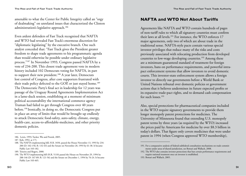amenable to what the Center for Public Integrity called an "orgy of dealmaking" on unrelated issues that characterized the Clinton administration's legislative approach.<sup>186</sup>

Even ardent defenders of Fast Track recognized that NAFTA and WTO had revealed Fast Track's enormous discretion for "diplomatic legislating" by the executive branch. One such analyst conceded that: "Fast Track gives the President greater freedom to shape trade agreements to his programmatic agenda than would otherwise be possible under ordinary legislative process."187 In November 1993, Congress passed NAFTA by a vote of 234-200. This closest trade agreement vote in modern history included 102 Democrats voting for NAFTA, in part to support their new president.<sup>188</sup> A year later, Democrats lost control of Congress, after core supporters frustrated with their trade policy defected to the GOP, or just stayed home.<sup>189</sup> The Democratic Party's final act in leadership for 12 years was passage of the Uruguay Round Agreements Implementation Act in a lame-duck session, establishing at a moment of minimum political accountability the international commerce agency Truman had failed to get through Congress over 40 years before.190 Ironically, in doing so, the Democratic Congress put in place an array of limits that would be brought up endlessly to attack Democratic food-safety, auto-safety, climate, energy, health-care, access-to-affordable-medicines, and other priority domestic policies.

# NAFTA and WTO Not About Tariffs

Agreements like NAFTA and WTO contain hundreds of pages of non-tariff rules to which all signatory countries must confirm their laws at all levels.191 For instance, the WTO enforces 17 major agreements, only two of which are about trade in the traditional sense. NAFTA-style pacts contain various special investor privileges that reduce many of the risks and costs previously associated with relocating production from developed countries to low-wage developing countries.<sup>192</sup> Among these are a minimum guaranteed standard of treatment for foreign investors, bans on performance requirements, and powerful intrapact enforcement systems that allow investors to avoid domestic courts. This investor-state enforcement system allows a foreign investor to directly sue governments before a World Bank or United Nations tribunal over domestic policies or government actions that it believes undermines its future expected profits or its expansive trade-pact rights, and to demand cash compensation for such losses.<sup>193</sup>

Also, special protections for pharmaceutical companies included in the WTO require signatory governments to provide them longer monopoly patent protections for medicines. The University of Minnesota found that extending U.S. monopoly patent terms by three years (as required by the WTO) increased the prices paid by Americans for medicine by over \$8.3 billion in today's dollars. That figure only covers medicines that were under 186. Lewis, 1993; Tucker, Wu and Prorok, 2005. **2005.** patent in 1994 (when Congress approved WTO membership),

<sup>187.</sup> Koh, 1992, at 171.

<sup>188.</sup> The NAFTA implementing bill, H.R. 3450, passed the House November 13, 1993 by 234- 200 (D: 102-156; R: 132-43) and the Senate on November 20, 1993 by 61-38. It became Public Law 103-182.

<sup>189.</sup> Teixeira and Rogers, 2000.

<sup>190.</sup> The WTO implementing bill (H.R. 5110) passed the House on November 29, 1994 by 288-146 (D: 167-89; R: 121-56) and the Senate on December 1, 1994 by 76-24. It became Public Law 103-465.

<sup>191.</sup> For a comparative analysis of federal-subfederal consultation mechanisms on trade commitments under areas of shared jurisdiction, see Bottari and Wallach, 2008.

<sup>192.</sup> The WTO also contains investor protections that ban certain performance requirements and require national treatment once an investor is established.

<sup>193.</sup> Bottari and Wallach, 2005.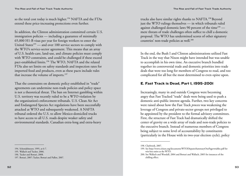so the total cost today is much higher.<sup>194</sup> NAFTA and the FTAs extend these price-increasing protections even further.

In addition, the Clinton administration committed certain U.S. immigration policies — including a guarantee of minimally 65,000 H1-B visas per year for foreign workers to enter the United States<sup>195</sup> — and over 100 service sectors to comply with the WTO's service-sector agreement. This means that an array of U.S. health-care, land-use, and climate policies must comply with WTO constraints, and could be challenged if these exceed pact-established limits.196 The WTO, NAFTA and the related FTAs also set limits on safety standards and inspection rates for imported food and products, even as these pacts include rules that increase the volume of imports.<sup>197</sup>

That the constraints on domestic policy established in "trade" agreements can undermine non-trade policies and policy space is not a theoretical threat. The ban on Internet gambling within U.S. territory was recently ruled to be a WTO violation by the organization's enforcement tribunals. U.S. Clean Air Act and Endangered Species Act regulations have been successfully attacked at WTO and subsequently weakened. A NAFTA tribunal ordered the U.S. to allow Mexico-domiciled trucks to have access to all U.S. roads despite weaker safety and environmental standards. Canadian extra-long and extra-heavy

trucks also have similar rights thanks to NAFTA.198 Beyond just the WTO rulings themselves — in which tribunals ruled against challenged domestic laws 90 percent of the time $199$  mere threats of trade challenges often suffice to chill a domestic proposal. The WTO has undermined scores of other signatory countries' non-trade policies as well.<sup>200</sup>

In the end, the Bush I and Clinton administrations utilized Fast Track in the way that Nixon might have intended but was unable to accomplish in his own time. An executive branch bundled together its controversial trade and domestic priorities into trade deals that were too long for members of Congress to read, and too complicated for all but the most determined to even opine upon.

## E. Fast Track is Dead, Part I, 1995-2001

Increasingly, many in and outside Congress were becoming angry that Fast Tracked "trade" deals were being used to push a domestic anti-public interest agenda. Further, two key concerns were raised about how the Fast Track *process* was weakening the leverage of Congress and private-sector groups not privileged to be appointed by the president to the formal advisory committees. First, the structure of Fast Track had dramatically shifted the center of gravity on a wide array of trade and non-trade policies to the executive branch. Instead of numerous members of Congress being subject to some level of accountability by constituents (particularly in the House with its two-year election cycle), policy

<sup>194.</sup> Schondelmeyer, 1995, at 6-7.

<sup>195.</sup> Wallach and Tucker, 2006.

<sup>196.</sup> Tucker and Bottari, 2008.

<sup>197.</sup> Bottari, 2007; Tucker, Bottari and Pullen, 2007.

<sup>198.</sup> Claybrook, 2007.

<sup>199.</sup> See http://www.citizen.org/documents/WTODisputesSummaryOnePagerwtables.pdf for win-loss ratios at the WTO.

<sup>200.</sup> See Wallach and Woodall, 2004 and Bottari and Wallach, 2005 for instances of the chilling effect.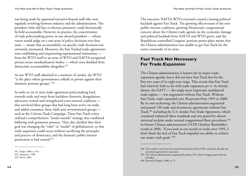was being made by *appointed* executive-branch staff who were regularly revolving between industry and the administration. The president (who did face re-election pressures) could theoretically be held accountable. However, in practice, the concentration of trade policymaking power in one elected president — whom voters would judge on a vast array of policy decisions over four years — meant that accountability on specific trade decisions was extremely attenuated. Moreover, the Fast Tracked trade agreements were establishing and empowering supranational institutions from the WTO itself to an array of WTO and NAFTA-recognized private-sector standardization bodies — which were shielded from democratic accountability altogether.<sup>201</sup>

As one WTO staff admitted in a moment of candor, the WTO "is the place where governments collude in private against their domestic pressure groups."202

In order to try to steer trade-agreement policymaking back towards trade and away from backdoor domestic deregulation, advocates created and strengthened cross-sectoral coalitions that involved labor groups that had long been active on trade, and added consumer, farm, faith and environmental groups such as the Citizens Trade Campaign. These Fast Track critics utilized a comprehensive "inside-outside" strategy that combined lobbying with grassroots pressure. They also clarified that their goal was changing the "rules" or "model" of globalization, so that trade expansion could occur without sacrificing the principles and practice of democracy, and the domestic public-interest protections it had created.203

The executive NAFTA-WTO overreach created a lasting political backlash against Fast Track. The growing effectiveness of the new public-interest coalitions, growing Democratic congressional concern about the Clinton trade agenda (as the economic damage and political backlash from NAFTA and WTO grew), and the Republican-controlled Congress' partisan power-plays meant that the Clinton administration was unable to get Fast Track for the entire remainder of its term.

## Fast Track Not Necessary For Trade Expansion

The Clinton administration is known for its major tradeexpansion agenda, but it did not have Fast Track but for the first two years of its eight-year reign. This reveals that Fast Track had relatively little to do with trade expansion *per se*. As already shown, the GATT — the single most important multilateral trade regime — was negotiated without Fast Track. Without Fast Track, trade expanded over 30 percent from 1995 to 2000. By its own reckoning, the Clinton administration negotiated and passed 130 trade and investment agreements without Fast Track,<sup>204</sup> including the U.S.-Jordan Free Trade Agreement, which contained enhanced labor standards and was passed by almost universal acclaim under normal congressional floor procedures.<sup>205</sup> In former Clinton administration USTR Charlene Barshefsky's words in 2000, "if you look at our record on trade since 1995, I don't think the lack of Fast Track impeded our ability to achieve our major trade goals."206

<sup>201.</sup> Engler, 2008, at 154.

<sup>202.</sup> Jonquieres, 1998.

<sup>203.</sup> Shoch, 2000.

<sup>204.</sup> This number comes from the Annual Trade Report of the USTR, which lists all trade and investment agreements in operation.

<sup>205.</sup> The Clinton administration negotiated the Jordan FTA, which Congress passed after he left office.

<sup>206.</sup> Quoted in Shapiro, 2006, at 79.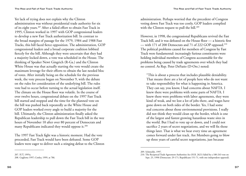Yet lack of trying does not explain why the Clinton administration was without presidential trade authority for six of its eight years.207 After a failed effort to obtain Fast Track in 1995, Clinton worked in 1997 with GOP congressional leaders to develop a new Fast Track authorization bill. In contrast to the broad margins of passage for the 1979, 1984 and 1988 Fast Tracks, this bill faced fierce opposition. The administration, GOP congressional leaders and a broad corporate coalition lobbied fiercely for the bill. Although they were uncertain that they had a majority locked down, a vote was scheduled in the House. The thinking of Speaker Newt Gingrich (R-Ga.) and the Clinton White House was that actually starting the vote would create the maximum leverage for their efforts to obtain the last needed bloc of votes. After initially being on the schedule for the previous week, the vote process began on November 9, with the debate on the rules for consideration of the underlying bill. The rules vote had to occur before turning to the actual legislation itself. The climate on the House floor was volatile. In the course of over twelve hours, congressional debate on the 1997 Fast Track bill started and stopped and the time for the planned vote on the bill was pushed back repeatedly as the White House and GOP leaders worked every angle to build a majority for the bill. Ultimately, the Clinton administration finally asked the Republican leadership to pull down the Fast Track bill in the wee hours of November 10 after over 80 percent of Democrats and many Republicans indicated they would oppose it.<sup>208</sup>

The 1997 Fast Track fight was a historic moment. Had the vote proceeded, Fast Track would have been defeated. Some GOP leaders were eager to deliver such a stinging defeat to the Clinton

administration. Perhaps worried that the precedent of Congress voting down Fast Track was too costly, GOP leaders complied with the Clinton request to pull the bill.<sup>209</sup>

However, in 1998, the congressional Republicans revived the Fast Track bill, and it was defeated on the House floor — a historic first — with 171 of 200 Democrats and 71 of 222 GOP opposed.<sup>210</sup> The political problems caused for members of Congress by Fast Track were fundamental: increasingly furious constituents were holding individual members of Congress accountable for the problems being caused by trade agreements over which they had no control. As Rep. Peter DeFazio (D-Ore.) noted:

"This is about a process that includes plausible deniability. That means there are a lot of people here who do not want to take responsibility for what is happening in America. They can say, you know, I had concerns about NAFTA. I knew there were problems with some parts of NAFTA. I knew there were problems with labor agreements, they were kind of weak, and we lost a lot of jobs there, and wages have gone down on both sides of the border. Yes, I had some real concerns about those environmental provisions. I really did not think they would clean up the border, which is one of the largest and fastest growing hazardous waste sites in the world. But I had to vote up or down, and I could not sacrifice 2 years of secret negotiations, and we will fix those things later. That is what we hear every time an agreement comes forward under fast track. Are Members going to blow up three years of careful secret negotiations, just because

<sup>207.</sup> IUT, 1995a.

<sup>208.</sup> Gugliotta 1997; Conley, 1999, at 786.

<sup>209.</sup> Schmickle, 1997.

<sup>210.</sup> The Reciprocal Trade Agreement Authorities Act (H.R. 2621) failed by a 180-243 vote on Sept. 25, 1998 (Democrats: 29-171; Republicans 151-71, with one independent opposed).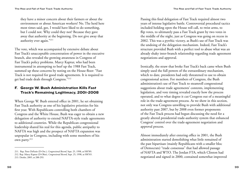they have a minor concern about their farmers or about the environment or about American workers? No. The herd here most times said, gee, I would have liked to do something, but I could not. Why could they not? Because they gave away that authority at the beginning. Do not give away that authority ever again."211

The vote, which was accompanied by extensive debate about Fast Track's unacceptable concentration of power in the executive branch, also revealed the growing awareness in Congress of Fast Track's policy problems. Marcy Kaptur, who had been instrumental in attempting to beef up the 1988 Fast Track, summed up these concerns by noting on the House floor: "Fast" Track is not required for good trade agreements. It is required to get bad trade deals through Congress."212

## F. George W. Bush Administration Kills Fast Track's Remaining Legitimacy, 2001-2008

When George W. Bush entered office in 2001, he set obtaining Fast Track authority as one of his legislative priorities for his first year. With Republicans controlling both chambers of Congress and the White House, Bush was eager to obtain a new delegation of authority to extend NAFTA-style trade agreements to additional countries. While the Republican congressional leadership shared his zeal for this agenda, public antipathy to NAFTA was high and the prospect of NAFTA expansion was unpopular in Congress, including with some members of his own party.<sup>213</sup>

Passing this final delegation of Fast Track required almost two years of intense legislative battle. Controversial procedural tactics included holding open the House roll call, to twist arms, to flip votes, to ultimately pass a Fast Track grant by two votes in the middle of the night, just as Congress was going on recess in 2002. This was a pyrrhic victory, as Bush's use of Fast Track was the undoing of the delegation mechanism. Indeed, Fast Track's structure provided Bush with a perfect tool to abuse what was an already shaky inter-branch relationship regarding trade agreement negotiations and approval.

Ironically, the straw that broke Fast Track's back came when Bush simply used the full powers of the extraordinary mechanism, which to date, presidents had only threatened to use to obtain congressional action. For members of Congress, the Bush administration's use of Fast Track to steamroll congressional suggestions about trade agreements' contents, implementing legislation, and vote timing revealed exactly how the process operated, and to what degree it cut Congress out of a meaningful role in the trade-agreement process. As we show in this section, not only was Congress unwilling to provide Bush with additional authority past 2007, but by 2008 even former proponents of the Fast Track process had begun discussing the need for a greatly altered presidential trade-authority system that enhanced Congress' control over the trade-agreement negotiation and approval process.

Almost immediately after entering office in 2001, the Bush administration started demolishing what little remained of the past bipartisan (mainly Republicans with a smaller bloc of Democrats) "trade consensus" that had allowed passage of NAFTA and WTO. The Jordan FTA, which Clinton had negotiated and signed in 2000, contained somewhat improved

<sup>211.</sup> Rep. Peter DeFazio (D-Ore.), *Congressional Record*, Sept. 25, 1998, at H8789. 212. Rep. Marcy Kaptur (D-Ohio), *Congressional Record*, Sept. 25, 1998, at H8765. 213. Destler, 2005, at 288-293.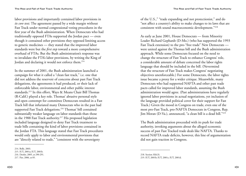labor provisions and importantly contained labor provisions in *its core text.* The agreement passed by a wide margin without Fast Track under normal congressional voting procedures in the first year of the Bush administration. When Democrats who had traditionally opposed FTAs supported the Jordan pact — even though it contained other provisions they opposed limiting access to generic medicines — they stated that the improved labor standards were but the *first step* toward a more comprehensive overhaul of FTAs. But the Bush administration's response was to invalidate the FTA's labor provisions, by writing the King of Jordan and declaring it would not enforce them.<sup>214</sup>

In the summer of 2001, the Bush administration launched a campaign for what it called a "clean fast track," i.e. one that did not address the reservoir of concerns about past Fast Track delegations, the agreements it had produced, or their lack of enforceable labor, environmental and other public interest standards.215 In this effort, Ways & Means Chair Bill Thomas (R-Calif.) played a key role. Thomas' abrasive personal style and open contempt for committee Democrats resulted in a Fast Track bill that infuriated many Democrats who in the past had supported Fast Track delegations.<sup>216</sup> Thomas' bill contained substantially weaker language on labor standards than those in the 1988 Fast Track authority.217 His proposed legislation included language designed to deny Fast Track treatment to trade bills containing the kind of labor provisions contained in the Jordan FTA. This language stated that Fast Track procedures would only apply to labor and environmental provisions that are "directly related to trade," "consistent with the sovereignty

of the U.S.," "trade expanding and not protectionist," and do "not affect a country's ability to make changes to its laws that are consistent with sound macroeconomic development."218

As early as June 2001, House Democrats — from Minority Leader Richard Gephardt (D-Mo.) (who has supported the 1993 Fast Track extension) to the pro-"free trade" New Democrats were united against the Thomas bill and the Bush administration approach. While some Democrats focused on the need to change the structure of Fast Track to enhance Congress' role, a considerable amount of debate concerned the labor rights language that should be included in the bill. (Nevermind that the structure of Fast Track makes Congress' negotiating objectives unenforceable.) For some Democrats, the labor rights issue became a proxy for a wider critique. Meanwhile, many Democrats who had supported NAFTA and other past trade pacts called for improved labor standards, assuming the Bush administration would agree. (Past administrations have regularly ignored labor provisions in actual negotiations, yet inclusion of the language provided political cover for their support for Fast Track.) Given the mood in Congress on trade, even one of the most pro-Fast Track, pro-NAFTA Democrats in Congress, Rep. Jim Moran (D-Va.), announced, "a clean bill is a dead bill."219

The Bush administration proceeded with its push for trade authority, invoking arguments about the alleged economic success of past Fast Tracked trade deals like NAFTA. Thanks to record NAFTA trade deficits, however, this line of argumentation did not gain traction in Congress.

<sup>214.</sup> Bolle, 2003.

<sup>215.</sup> IUT, 2001a; IUT, 2001b.

<sup>216.</sup> Destler, 2005, at 290-291.

<sup>217.</sup> Pier, 2006, at 85.

<sup>218.</sup> Section 3(b)(3). 219. IUT, 2001b; IUT, 2001c; IUT, 2001d.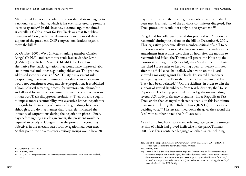After the 9-11 attacks, the administration shifted its messaging to a national-security frame, which it has ever since used to promote its trade agenda.<sup>220</sup> In this instance, a central argument aimed at corralling GOP support for Fast Track was that Republican members of Congress had to demonstrate to the world their support of the president. GOP congressional leaders began to move the bill<sup>221</sup>

By October 2001, Ways & Means ranking member Charles Rangel (D-N.Y.) and committee trade leaders Sander Levin (D-Mich.) and Robert Matsui (D-Calif.) developed an alternative Fast Track legislation that would have improved labor, environmental and other negotiating objectives. The proposal addressed some criticisms of NAFTA-style investment rules, by specifying that mere diminution in value of an investment would not constitute a compensable expropriation. It established a "non-political screening process for investor-state claims,"222 and allowed for more opportunities for members of Congress to initiate Fast Track disapproval resolutions. Their bill also sought to impose more accountability over executive-branch negotiators in regards to the meeting of Congress' negotiating objectives, although it did do in a manner that (bizarrely) increased the influence of corporations during the negotiation phase. Ninety days before signing a trade agreement, the president would be required to certify to Congress that the principal negotiating objectives in the relevant Fast Track delegation had been met. At that point, the private-sector advisory groups would have 30

102

days to vote on whether the negotiating objectives had indeed been met. If a majority of the advisory committees disagreed, Fast Track procedures would not apply to the agreement.<sup>223</sup>

Rangel and his colleagues offered this proposal as a "motion to recommit" during the debate on the bill on December 6, 2001. This legislative procedure allows members critical of a bill to call for a vote on whether to send it back to committee with specific amendment instructions. Less than an hour after the motion to recommit had failed, the Thomas bill passed the House by the narrowest of margins (215 to 214), after Speaker Dennis Hastert stretched House rules to keep voting open for twenty minutes after the official clock had tolled, when votes on the board showed a majority against Fast Track. Frustrated Democrats were yelling from the Floor that time had expired — and Fast Track had been defeated.<sup>224</sup> On the sidelines, in order to win the support of several Republicans from textile districts, the House Republican leadership promised to pass legislation amending several U.S. trade preference programs. Three Republican Fast Track critics then changed their stance thanks to this last minute maneuver, including Rep. Robin Hayes (R-N.C.), who cast the deciding vote.<sup>225</sup> Hastert slammed down the gavel the second the "yes" vote number bested the "no" vote tally.

As well as rolling back labor standards language (even the stronger version of which had proved ineffective in the past), Thomas' 2001 Fast Track contained language on other issues, including

<sup>220.</sup> Gates and Santos, 2008.

<sup>221.</sup> Blustein, 2001.

<sup>222.</sup> IUT, 2001e. For greater detail on the investor-state mechanism, see Bottari and Wallach, 2005.

<sup>223.</sup> Text of the proposal is available at *Congressional Record*, 147, Dec. 6, 2001, at H9030. Section 7(b) describes the new trade advisory proposal.

<sup>224.</sup> Nelson, 2001.

<sup>225.</sup> Specifically, this deal would require that imports of knit and woven fabrics from various preference-program countries be dyed, finished and printed in the United States to receive duty-free treatment. As a result, Rep. Jim DeMint (R-S.C.) switched his vote from "nay" to "aye," and Reps. Cass Ballenger (R-N.C.) and Robin Hayes (R-N.C.) lodged their "aye" votes after he did. See IUT, 2001g.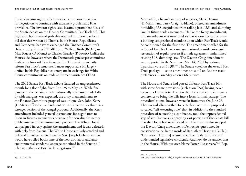foreign-investor rights, which provided enormous discretion for negotiators to continue with extremely problematic FTA provisions. The investor-rights issue became a prominent focus of the Senate debate on the Finance Committee's Fast Track bill. That legislation had a twisted path that resulted in a more moderate bill than that written by Thomas in the House. Republicans and Democrats had twice exchanged the Finance Committee's chairmanship during 2001-02 (from William Roth (R-Del.) to Max Baucus (D-Mont.) to Charles Grassley (R-Iowa).) Unlike the House side, however, where the Democratic gatekeeper committee leaders put forward ideas (squashed by Thomas) to modestly reform Fast Track's structure, Baucus supported a bill largely drafted by his Republican counterparts in exchange for White House commitments on trade adjustment assistance (TAA).

The 2002 Senate Fast Track debate featured an unprecedented month-long floor fight, from April 25 to May 23. While final passage in the Senate, which traditionally has passed trade bills by wide margins, was expected, the array of amendments to the Finance Committee proposal was unique. Sen. John Kerry (D-Mass.) offered an amendment on investment rules that was a stronger version of the Rangel proposal. Additionally, the Kerry amendment included general instructions for negotiators to insert in future agreements a carve-out for non-discriminatory public interest and environmental policies. The White House campaigned fiercely against the amendment, and it was defeated, with help from Baucus. The White House similarly attacked and defeated a modest amendment by Sen. Joseph Lieberman that would have rolled back some of the new anti-labor and antienvironmental standards language contained in the Senate bill relative to the past Fast Track delegations.<sup>226</sup>

Meanwhile, a bipartisan team of senators, Mark Dayton (D-Minn.) and Larry Craig (R-Idaho), offered an amendment forbidding U.S. negotiators from rolling back U.S. anti-dumping laws in future trade agreements. Unlike the Kerry amendment, this amendment was structured so that it would actually create a binding congressional mandate upon which Fast Track would be conditioned for the first time. The amendment called for the waiver of Fast Track rules on congressional consideration and restoration of regular process if a trade agreement undermined existing U.S. dumping laws. The Dayton-Craig amendment was supported in the Senate on May 14, 2002 by a strong bipartisan vote of 61-38.<sup>227</sup> The Senate voted on the overall Fast Track package — as an amendment to a bill on Andean trade preferences — on May 23 on a 66-30 vote.

The House and Senate had passed different Fast Track bills, with some Senate provisions (such as on TAA) having never received a House vote. The two chambers needed to convene a conference to bring the bills into a form for final passage. The procedural stunts, however, were far from over. On June 26, Thomas and allies on the House Rules Committee proposed a so-called "self-executing rule" that, in addition to the standard procedure of requesting a conference, took the unprecedented step of simultaneously approving vast portions of the Senate bill that the House had never voted on. The measure also stripped the Dayton-Craig amendment. Democrats questioned its constitutionality. In the words of Rep. Alcee Hastings (D-Fla.): "Last week, [Thomas] accused the other body of all sorts of underhanded legislative witchcraft. And how do we answer that in the House? With our own Harry Potter-like sorcery."228 Rep.

<sup>226.</sup> IUT, 2002b.

<sup>227.</sup> IUT, 2002a.

<sup>228.</sup> Rep. Alcee Hastings (D-Fla.), *Congressional Record*, 148, June 26, 2002, at H3953.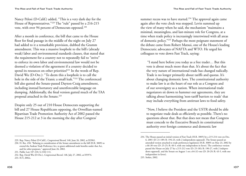Nancy Pelosi (D-Calif.) added, "This is a very dark day for the House of Representatives."229 The "rule" passed by a 216-215 vote, with over 94 percent of Democrats opposed.<sup>230</sup>

After a month in conference, the bill that came to the House floor for final passage in the middle of the night on July 27 had added to it a remarkable provision, dubbed the Gramm amendment. This was a massive loophole to the bill's (already weak) labor and environmental standards clauses, that stated that the requirement for a country not to repeatedly fail to "strive" to enforce its own labor and environmental law would not be deemed a violation of the agreement if a country decided to spend its resources on other priorities!<sup>231</sup> In the words of Rep. David Wu (D-Ore.): "To deem this a loophole is to call the hole in the side of the Titanic a small leak."232 The conferenced bill also gutted the Senate-passed Dayton-Craig amendment, including instead hortatory and unenforceable language on dumping. Additionally, the final version gutted much of the TAA proposal attached in the Senate.<sup>233</sup>

Despite only 25 out of 210 House Democrats supporting the bill and 27 House Republicans opposing, the Orwellian-named Bipartisan Trade Promotion Authority Act of 2002 passed the House 215-212 at 3 in the morning the day after Congress'

summer recess was to have started.<sup>234</sup> The approval again came again after the vote clock was stopped. Levin summed up the view of many when he said, the mechanism "maintains a minimal, meaningless, and last-minute role for Congress, at a time when trade policy is increasingly intertwined with all areas of domestic policy."235 Perhaps the most poignant statement of the debate came from Robert Matsui, one of the House's leading Democratic advocates of NAFTA and WTO. He urged his colleagues to vote down Fast Track, saying:

 "I stand here before you today as a free trader… But this vote is about much more than that. It's about the fact that the very nature of international trade has changed radically. Trade is no longer primarily about tariffs and quotas. It's about changing domestic laws. The constitutional authority to make law is at the heart of our role as a Congress and of our sovereignty as a nation. When international trade negotiators sit down to hammer out agreements, they are talking about harmonizing 'non-tariff barriers to trade' that may include everything from antitrust laws to food safety.

"Now, I believe the President and the USTR should be able to negotiate trade deals as efficiently as possible. There's no questions about that. But that does not mean that Congress must concede to the Executive Branch its constitutional authority over foreign commerce and domestic law

235. Stokes, 2002.

<sup>229.</sup> Rep. Nancy Pelosi (D-Calif.), *Congressional Record*, 148, June 26, 2002, at H3961.

<sup>230.</sup> H. Res. 450, "Relating to consideration of the Senate amendment to the bill (H.R. 3009) to extend the Andean Trade Preference Act, to grant additional trade benefits under that Act, and for other purposes," approved June 26, 2002.

<sup>231.</sup> Public Law 107-210, § 2102 (11).

<sup>232.</sup> Rep. David Wu (D-Ore.), *Congressional Record*, 148, July 27, 2002, at H5974. 233. IUT, 2002c.

<sup>234.</sup> The House passed an initial version of Fast Track (H.R. 3005) by a 215-214 vote on Dec. 6, 2001 (D: 21-189; R: 194-23, with 2 independents opposed). The Senate passed an amended version attached to trade preferences legislation (H.R. 3009) on May 23, 2002 by a 66-30 vote (D: 25-25; R: 40-5, with one independent in favor). The conference version passed the House on July 27 by a 215-212 vote (D: 25-183; R: 190-27, with 2 independents opposed), and the Senate on August 1 on a 64-32 vote (D: 20-29; R: 43-5, with one independent in favor).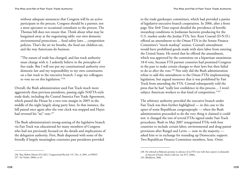without adequate assurances that Congress will be an active participant in the process. Congress should be a partner, not a mere spectator or occasional consultant to the process. The Thomas bill does not ensure that. Think about what may be bargained away at the negotiating table: our own domestic environmental protections ... food safety laws ... competition policies. That's the air we breathe, the food our children eat, and the way Americans do business.

"The nature of trade has changed, and fast track authority must change with it. I ardently believe in the principles of free trade. But I will not put my constitutional authority over domestic law and my responsibility to my own constituents on a fast track to the executive branch. I urge my colleagues to vote no on this legislation."236

Overall, the Bush administration used Fast Track much more aggressively than previous presidents, passing eight NAFTA-style trade deals, including the Central America Free Trade Agreement, which passed the House by a two-vote margin in 2005 in the middle of the night largely along party lines. In that instance, the bill passed once again after the vote clock was stopped and Hayes had reversed his "no" vote.<sup>237</sup>

The Bush administration's strong-arming of the legislative branch via Fast Track was educational for many members of Congress who had not previously focused on the details and implications of the delegation authority. First, Bush dispensed with some of the friendly if largely meaningless courtesies past presidents provided

to the trade gatekeeper committees, which had provided a patina of legislative-executive branch cooperation. In 2006, after a front page *New York Times* exposé detailed the prevalence of horrific sweatshop conditions in Jordanian factories producing for the U.S. market under the Jordan FTA, Sen. Kent Conrad (D-N.D.) offered an amendment to the Oman FTA in the Senate Finance Committee's "mock markup" session. Conrad's amendment would have prohibited goods made with slave labor from entering the United States. He noted that he offered the amendment, which was approved by the committee on a bipartisan unanimous 18-0 vote, because FTA partner countries had promised Congress in the past to make certain changes to their laws but then failed to do so after the vote.<sup>238</sup> Not only did the Bush administration refuse to add this amendment to the Oman FTA's implementing legislation, but argued moreover that it was prohibited by Fast Track from amending the FTA. Conrad subsequently told the press that he had "really lost confidence in this process… I won't subject American workers to that kind of competition."<sup>239</sup>

The arbitrary authority provided the executive branch under Fast Track was then further highlighted — in this case to the upset of some Republican congresspeople — when the Bush administration proceeded to do the very thing it claimed it could not: it changed the text of several FTAs signed under Fast Track procedures. Bush in May 2007 renegotiated FTAs with four countries to include certain labor, environmental and drug-patent provisions after Rangel and Levin — now in the majority asked him to in exchange for rounding up Democratic support. Two Republican Finance Committee members, Sens. Orrin

<sup>236.</sup> Rep. Robert Matsui (D-Calif.), Congressional Record, 147, Dec. 6, 2001, at H9025. 237. See Tucker, 2006a, at 23.

<sup>238.</sup> He referred to Bahrain's promise in advance of an FTA vote with that country to dismantle its boycott of Israel, which it did not. See IUT, 2006a.

<sup>239.</sup> Blinkhorn, 2006.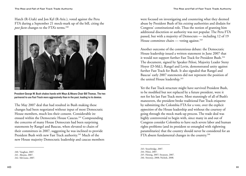Hatch (R-Utah) and Jon Kyl (R-Ariz.), voted against the Peru FTA during a September 21 mock-mark up of the bill, citing the *post facto* changes to the FTA's terms.<sup>240</sup>



President George W. Bush shakes hands with Ways & Means Chair Bill Thomas. The two partnered to use Fast Track more aggressively than in the past, leading to its demise.

The May 2007 deal that had resulted in Bush making these changes had been negotiated without input of most Democratic House members, much less their consent. Considerable ire ensued within the Democratic House Caucus.<sup>241</sup> Compounding the concerns of many House Democrats had been surprising statements by Rangel and Baucus, when elevated to chairs of their committees in 2007, suggesting he was inclined to provide President Bush with new Fast Track authority.<sup>242</sup> Much of the new House majority Democratic leadership and caucus members

were focused on investigating and countering what they deemed abuse by President Bush of his *existing* authorities and disdain for Congress' constitutional role. Thus the notion of granting him additional discretion or authority was not popular. The Peru FTA passed, but with a majority of Democrats — including 12 of 19 House committee chairs — voting against.<sup>243</sup>

Another outcome of the contentious debate: the Democratic House leadership issued a written statement in June 2007 that it would not support further Fast Track for President Bush.<sup>244</sup> The document, signed by Speaker Pelosi, Majority Leader Steny Hoyer (D-Md.), Rangel and Levin, demonstrated unity against further Fast Track for Bush. It also signaled that Rangel and Baucus' early 2007 statements did not represent the position of the united House leadership.<sup>245</sup>

Yet the Fast Track structure might have survived President Bush, to be modified but not replaced by a future president, were it not for his last Fast Track move. Most stunningly of all of Bush's maneuvers, the president broke traditional Fast Track etiquette by submitting the Colombia FTA for a vote, over the explicit *opposition* of the House leadership and without the courtesy of going through the mock mark-up process. The trade deal was highly controversial to begin with, since many in and out of Congress consider Colombia to have such severe labor and human rights problems (and its president so entangled with rightwing paramilitaries) that the country should never be considered for an FTA absent fundamental changes in the country.<sup>246</sup>

- 244. Pelosi, 2007.
- 245. Hennig, 2007; Swanson, 2007. 246. Sweeney, 2008; Nichols, 2008.

<sup>240.</sup> Vaughan, 2007.

<sup>241.</sup> Abrams, 2007.

<sup>242.</sup> McGrane, 2007.

<sup>243.</sup> Strawbridge, 2007.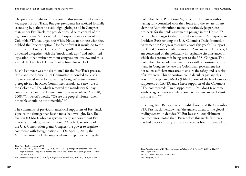The president's right to force a vote in this manner is of course a key aspect of Fast Track. But past presidents has avoided formally exercising it, perhaps to avoid highlighting to all in Congress that, under Fast Track, the president could seize control of the legislative branch's floor schedule. Corporate supporters of the Colombia FTA had urged the White House to not use what they dubbed the "nuclear option," for fear of what it would do to the future of the Fast Track process.<sup>247</sup> Regardless, the administration dispensed altogether with the "mock mark ups," and submitted legislation it had written without congressional review, and thus started the Fast Track House 60-day forced-vote clock.

Bush's last move was the death knell for the Fast Track process. Pelosi and the House Rules Committee responded to Bush's unprecedented move by reasserting Congress' constitutional prerogatives. The Rules Committee formulated a new rule for the Colombia FTA, which removed the mandatory 60-day vote timeline, and the House passed this new rule on April 10, 2008.248 In Pelosi's words, "We are the people's House. Their timetable should be our timetable."249

The comments of previously uncritical supporters of Fast Track signaled the damage that Bush's move had wrought. Rep. Ike Skelton (D-Mo.), who has systematically supported past Fast Tracks and trade agreements, noted: "Article 1, section 8 of the U.S. Constitution grants Congress the power to regulate commerce with foreign nations … On April 8, 2008, the Administration took the unprecedented step of delivering the

Colombia Trade Promotion Agreement to Congress without having fully consulted with the House and the Senate. In my view, the Administration's maneuver seriously jeopardizes prospects for the trade agreement's passage in the House."250 Sen. Richard Lugar (R-Ind.) issued a statement "in response to President Bush sending the U.S.-Colombia Trade Promotion Agreement to Congress to ensure a vote this year": "I support the U.S.-Colombia Trade Promotion Agreement… However, I am concerned by the politically inhospitable circumstances in which the agreement is being sent to the U.S. Congress. The Colombian free-trade agreement faces stiff opposition because many in Congress believe the Colombian government has not taken sufficient measures to ensure the safety and security of its workers. This opposition could derail its passage this year…"251 Rep. Greg Meeks (D-N.Y.), one of the few Democratic supporters of CAFTA and a fierce supporter of the Colombia FTA, commented: "I'm disappointed… You don't take these kinds of agreements up unless you have an agreement. I think

One long-time Beltway trade pundit denounced the Colombia FTA Fast Track meltdown as "the gravest threat to the global trading system in decades."253 But less shrill establishment commentators noted that "Even before this week, fast track has had a rocky history and has sometimes been suspended, for

this hurts it."252

<sup>247.</sup> IUT, 2008; Homan, 2008.

<sup>248.</sup> H. Res. 1092, passed April 10, 2008, by a 224-195 margin (Democrats: 218-10; Republicans: 6-185). For a behind the scenes look at the rules change, see O'Connor and Kady, 2008.

<sup>249.</sup> Speaker Nancy Pelosi (D-Calif.), *Congressional Record*, 154, April 10, 2008, at H2182.

<sup>250.</sup> Rep. Ike Skelton (D-Mo.), *Congressional Record*, 154, April 10, 2008, at H2187.

<sup>251.</sup> Lugar, 2008.

<sup>252.</sup> O'Connor and McGrane, 2008.

<sup>253.</sup> Bergsten, 2008.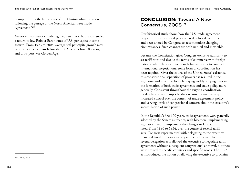example during the latter years of the Clinton administration following the passage of the North American Free Trade Agreement."254

America's final historic trade regime, Fast Track, had also signaled a return to low Robber Baron rates of U.S. per capita income growth. From 1973 to 2008, average real per capita growth rates were only 2 percent — below that of America's first 100 years, and of its post-war Golden Age.

#### 254. Politi, 2008.

Our historical study shows how the U.S. trade-agreement negotiation and approval process has developed over time and been altered by Congress to accommodate changing circumstances. Such changes are both natural and inevitable.

Because the Constitution gives Congress exclusive authority to set tariff rates and decide the terms of commerce with foreign nations, while the executive branch has authority to conduct international negotiations, some form of coordination has been required. Over the course of the United States' existence, this constitutional separation of powers has resulted in the legislative and executive branch playing widely varying roles in the formation of both trade agreements and trade policy more generally. Consistent throughout the varying coordination models has been attempts by the executive branch to acquire increased control over the content of trade-agreement policy and varying levels of congressional concern about the executive's accumulation of such power.

In the Republic's first 100 years, trade agreements were generally adopted by the Senate as treaties, with bicameral implementing legislation used to implement the changes to U.S. tariff rates. From 1890 to 1934, over the course of several tariff acts, Congress experimented with delegating to the executive branch defined authority to negotiate tariff terms. The first several delegation acts allowed the executive to negotiate tariff agreements without subsequent congressional approval, but these were limited to specific countries and specific goods. The 1922 act introduced the notion of allowing the executive to proclaim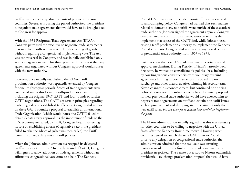tariff adjustments to equalize the costs of production across countries. Several acts during the period authorized the president to negotiate trade agreements that would have to be brought back to Congress for approval.

With the 1934 Reciprocal Trade Agreements Act (RTAA), Congress permitted the executive to negotiate trade agreements that modified tariffs within certain bands covering all goods without requiring a congressional implementing vote. The Act was controversial in Congress, and was initially established only as an emergency measure for three years, with the caveat that any agreements negotiated without Congress' approval would sunset with the new authority.

However, once initially established, the RTAA's tariff proclamation authority was repeatedly extended by Congress for one- to three-year periods. Scores of trade agreements were completed under this form of tariff-proclamation authority, including the original 1947 GATT and four rounds of further GATT negotiations. The GATT set certain principles regarding trade in goods and established tariffs rates. Congress did not vote on these GATT rounds; a proposal to establish an International Trade Organization (which would house the GATT) failed to obtain Senate treaty approval. As the importance of trade to the U.S. economy increased, by 1958, Congress began reasserting its role by establishing a form of legislative veto if the president failed to take the advice of (what was then called) the Tariff Commission regarding certain tariff policies.

When the Johnson administration overstepped its delegated tariff authority in the 1967 Kennedy Round of GATT, Congress' willingness to allow adoption of trade agreements without an affirmative congressional vote came to a halt. The Kennedy

Round GATT agreement included non-tariff measures related to anti-dumping policy. Congress had warned that such matters related to domestic law, not tariffs, were outside of the executive's trade authority. Johnson signed the agreement anyway. Congress demonstrated its constitutional prerogatives by refusing the implement that aspect of the GATT deal, while Johnson used existing tariff-proclamation authority to implement the Kennedy Round tariff cuts. Congress did not provide any new delegation of presidential trade authority from 1967 to 1975.

Fast Track was the next U.S. trade agreement negotiation and approval mechanism. During President Nixon's narrowly won first term, he worked to consolidate his political base including by courting various constituencies with voluntary restraint agreements limiting imports, an across the board import surcharge and other measures. After winning his second term, Nixon changed his economic team, but continued prioritizing political power over the substance of policy. His initial proposal for new presidential trade authority would have allowed him to negotiate trade agreements on tariff and certain non-tariff issues such as procurement and dumping and proclaim not only the new tariff rates, *but the changes to federal law needed to implement the pacts.*

The Nixon administration initially argued that this was necessary for other countries to be willing to negotiate with the United States after the Kennedy Round meltdown. However, when countries agreed to launch the next GATT Tokyo Round prior to any delegation of congressional trade authority, the administration admitted that the real issue was ensuring Congress would provide a final vote on trade agreements the president negotiated. The Senate put a stop to Nixon's outlandish presidential-law-change-proclamation proposal that would have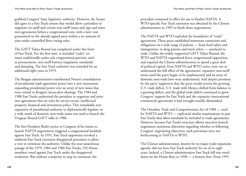grabbed Congress' basic legislative authority. However, the Senate did agree to a Fast Track system that would allow a president to negotiate on tariff and certain non-tariff issues and sign and enter into agreements before a congressional vote, with a later vote guaranteed on the already signed pacts within a set amount of time under controlled floor voting rules.

The GATT Tokyo Round was completed under this form of Fast Track. For the first time, it included "codes" on issues traditionally under sole congressional purview, such as procurement, non-tariff barriers (regulatory standards) and dumping. The Fast Track authority was extended for an additional eight years in 1979.

The Reagan administration transformed Nixon's consolidation of presidential *trade-*agreement power into a new instrument expanding presidential power over an array of new issues that were central to Reagan's *laissez-faire* ideology. The 1984 and 1988 Fast Tracks authorized the president to negotiate and enter into agreements that set rules for service-sector, intellectual property, financial and investment policy. This remarkable new expansion of presidential authority to diplomatically legislate on a wide swath of domestic non-trade issues was used to launch the Uruguay Round GATT talks in 1986.

The first President Bush's notice to Congress of his intent to launch NAFTA negotiations triggered a congressional backlash against Fast Track. In 1991, Fast Track opponents invoked a midterm Fast Track extension disapproval procedure to allow a vote to terminate the authority. Unlike the near-unanimous passage of the 1979, 1984 and 1988 Fast Tracks, 192 House members voted against Fast Track under the disapproval resolution. But without a majority to stop its extension, the

procedure remained in effect for use to finalize NAFTA. A WTO-specific Fast Track extension was obtained by the Clinton administration in 1993 to finish those negotiations.

The NAFTA and WTO exploded the boundaries of "trade" agreements. These pacts established numerous constraints and obligations on a wide range of policies — from food safety and immigration, to drug patents and truck safety — unrelated to trade. Unlike the widely supported GATT Tokyo Round, the WTO and NAFTA engendered fierce congressional opposition, and required the Clinton administration to spend a great deal of political capital. Even NAFTA and WTO critics were not to understand the full effect of the agreements' expansive non-tariff terms until the pacts began to be implemented and an array of domestic non-trade laws were undermined. And despite promises by the pacts' supporters that the pacts would reverse the growing U.S. trade deficit, U.S. trade with Mexico shifted from balance to a growing deficit, and the global trade deficit continued to grow. Congress' support for Fast Track and the expansive international commercial agreements it had wrought steadily diminished.

The Omnibus Trade and Competitiveness Act of 1988 — used for NAFTA and WTO — replicated similar requirements in past Fast Tracks that labor standards be included in trade agreements. However, because Fast Track's structure allows executive-branch negotiators enormous discretion regarding whether to following Congress' negotiating objectives, such provisions were not forthcoming in NAFTA or WTO.

The Clinton administration, known for its major trade-expansion agenda, did not have Fast Track authority for six of its eight years. Indeed, a Clinton administration Fast Track bill was voted down on the House floor in 1998 — a historic first. From 1995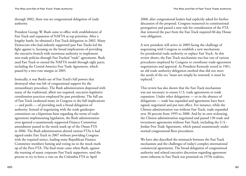through 2002, there was no congressional delegation of trade authority.

President George W. Bush came to office with establishment of Fast Track and expansion of NAFTA as top priorities. After a lengthy battle, he obtained a Fast Track delegation in 2002. Many Democrats who had ardently supported past Fast Tracks led the fight against it, focusing on the broad implications of providing the executive branch with enormous authority to implement non-trade policies through Fast Tracked "trade" agreements. Bush used Fast Track to extend the NAFTA model through eight pacts, including the Central America Free Trade Agreement, which passed by a two-vote margin in 2005.

Ironically, it was Bush's use of Fast Track's full powers that destroyed what was left of congressional support for the extraordinary procedure. The Bush administration dispensed with many of the traditional, albeit not required, executive-legislative coordination practices employed by past presidents. The full use of Fast Track awakened many in Congress to the full implications — and perils — of providing such a broad delegation of authority. Instead of negotiating with the trade gatekeeper committees on a bipartisan basis regarding the terms of tradeagreement implementing legislation, the Bush administration even ignored a unanimously supported Finance Committee amendment passed in the mock mark up of the Oman FTA in 2006. The Bush administration altered various FTAs it had signed under Fast Track in 2007 without providing Congress with the required notice, leading some Republican Finance Committee members fuming and voting no in the mock mark up of the Peru FTA. The final straw came when Bush, against the warning of many corporate Fast Track supporters, used the process to try to force a vote on the Colombia FTA in April

2008, after congressional leaders had explicitly asked for further discussion of the proposal. Congress reasserted its constitutional prerogatives and passed a new rule for consideration of the FTA that removed the pact from the Fast Track required 60-day House vote obligation.

A new president will arrive in 2009 facing the challenge of negotiating with Congress to establish a new mechanism for presidential trade authority to replace Fast Track. As this review shows, the Fast Track mechanism was but one of various procedures employed by Congress to coordinate trade-agreement negotiations and approval. As President Kennedy noted in 1961, an old trade authority delegation method that did not meet the needs of the era "must not simply be renewed, it must be replaced."

This review has also shown that the Fast Track mechanism was not necessary to ensure U.S. trade agreements or trade expansion. Under other delegations — or in the absence of delegations — trade has expanded and agreements have been signed, negotiated and put into effect. For instance, while the Clinton administration was without Fast Track, trade expanded over 30 percent from 1995 to 2000. And by its own reckoning, the Clinton administration negotiated and passed 130 trade and investment agreements without Fast Track, including the U.S.- Jordan Free Trade Agreement, which passed unanimously under normal congressional floor procedures.

We have also described the mismatch between the Fast Track mechanism and the challenges of today's complex international commercial agreements. The broad delegation of congressional authority and related executive discretion regarding agreement terms inherent in Fast Track was premised on 1970s realities,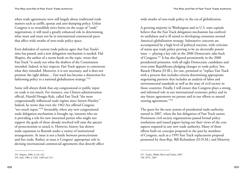when trade agreements were still largely about traditional trade matters such as tariffs, quotas and anti-dumping policy. Unless Congress is to reestablish strict limits on the scope of "trade" negotiations, it will need a greatly enhanced role in determining what must and must not be in international commercial pacts that affect wide swaths of non-trade policy space.

Even defenders of current trade policies agree that Fast Track's time has passed, and a new delegation mechanism is needed. Hal Shapiro, the author of a recent book on the topic, wrote that Fast Track "is surely not what the drafters of the Constitution intended. Indeed, in key respects, Fast Track appears to contravene what they intended. Moreover, it is not necessary, and it does not promote the right debate… Fast track has become a distraction for fashioning policy to a national globalization strategy."255

Some will always think that *any* congressional or public input on trade is too much. For instance, one Clinton administration official, Harold Hongju Koh, called Fast Track "the most congressionally influenced trade regime since Smoot-Hawley." Indeed, he wrote that even the 1962 Act offered Congress "too much input."256 Invariably, when any new congressional trade delegation mechanism is brought up, interests who see it providing a role for new interested parties who might not support the goals of those already involved will raise the specter of protectionism to attack it. However, history has shown trade expansion to flourish under a variety of institutional arrangements. At issue is not a battle between protectionism and free trade. Rather, at issue is Congress' appropriate role in devising international commercial agreements that directly affect wide swaths of non-trade policy in the era of globalization.

A growing majority in Washington and in U.S. state capitals believe that the Fast Track delegation mechanism has outlived its usefulness and is ill suited to developing consensus around America's globalization strategy. Substantive concerns are accompanied by a high level of political traction, with criticism of status quo trade policy proving to be an electorally potent issue — playing a key role in the 2006 Democratic take-back of Congress.257 It has also figured prominently in the 2008 presidential primaries, with all eight Democratic candidates and even some Republicans pledging changes to trade policy. Sen. Barack Obama (D-Ill.), for one, promised to "replace Fast Track with a process that includes criteria determining appropriate negotiating partners that includes an analysis of labor and environmental standards as well as the state of civil society in those countries. Finally, I will ensure that Congress plays a strong and informed role in our international economic policy and in any future agreements we pursue and in our efforts to amend existing agreements."258

The quest for the next system of presidential trade-authority started in 2007, when the last delegation of Fast Track sunset. Prominent civil society organizations passed formal policy resolutions and issued papers laying out their views of the core aspects required in any new trade authority. Many of these efforts built on concepts proposed in the past by members of Congress, such as a 1995 Fast Track replacement proposal promoted by then-Rep. Bill Richardson (D-N.M.) and Minority

<sup>255.</sup> Shapiro, 2006, at 161-162.

<sup>256.</sup> Koh, 1986, at 1202, 1208 and 1211.

<sup>257.</sup> Tucker, 2006b; Slevin and Tucker, 2007. 258. IFTC, 2007.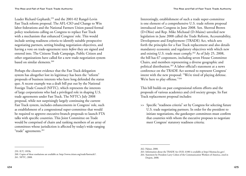Leader Richard Gephardt,<sup>259</sup> and the 2001-02 Rangel-Levin Fast Track reform proposal. The AFL-CIO and Change to Win labor federations and the National Farmers Union passed formal policy resolutions calling on Congress to replace Fast Track with a mechanism that enhanced Congress' role. This would include setting readiness criteria to identify suitable prospective negotiating partners, setting binding negotiation objectives, and having a vote on trade-agreement texts *before* they are signed and entered into. The Citizens Trade Campaign, Public Citizen and other organizations have called for a new trade negotiation system based on similar elements.<sup>260</sup>

Perhaps the clearest evidence that the Fast Track delegation system has altogether lost its legitimacy has been the "reform" proposals of business interests who have long defended the status quo. A recent example was a draft bill put out by the National Foreign Trade Council (NFTC), which represents the interests of large corporations who had a privileged role in shaping U.S. trade agreements under Fast Track. The NFTC's July 2008 proposal, while not surprisingly largely continuing the current Fast Track system, includes enhancements in Congress' role, such as establishment of a congressional super-committee that would be required to approve executive-branch proposals to launch FTA talks with specific countries. This Joint Committee on Trade would be comprised of chairs and ranking members of an array of committees whose jurisdiction is affected by today's wide-ranging "trade" agreements.<sup>261</sup>

Interestingly, establishment of such a trade super-committee is one element of a comprehensive U.S. trade reform proposal introduced into Congress in June 2008. Sen. Sherrod Brown (D-Ohio) and Rep. Mike Michaud (D-Maine) unveiled new legislation in June 2008 called the Trade Reform, Accountability, Development and Employment (TRADE) Act, which sets forth the principles for a Fast Track replacement and also details mandatory economic and regulatory objectives with which new and existing U.S. trade must comply.262 As of July 25, 2008, the bill has 67 cosponsors, including seven House Committee Chairs, and members representing a diverse geographic and political distribution.263 A labor official's statement at a news conference on the TRADE Act seemed to represent Congress' intent with the new proposal: "We're tired of playing defense. We're here to play offense."264

This bill builds on past congressional reform efforts and the proposals of various academics and civil society groups. Its Fast Track replacement proposal includes:

>> Specific "readiness criteria" set by Congress for selecting future U.S. trade negotiating partners. In order for the president to initiate negotiations, the gatekeeper committees must confirm that countries with whom the executive proposes to negotiate meet Congress' statutory readiness criteria;

<sup>259.</sup> IUT, 1995b.

<sup>260.</sup> Copies of these resolutions are available at: http://www.citizen.org/trade/fasttrack//. 261. NFTC, 2008.

<sup>262.</sup> Palmer, 2008.

<sup>263.</sup> Information about the TRADE Act (H.R. 6180) is available at http://thomas.loc.gov/.

<sup>264.</sup> Statement by President Larry Cohen of the Communication Workers of America, cited in Drajem, 2008.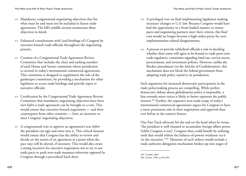- >> Mandatory congressional negotiating objectives that list what must be and must not be included in future trade agreements. The bill's middle section enumerates these objectives in detail;
- >> Enhanced consultations with (and briefings of) Congress by executive-branch trade officials throughout the negotiating process;
- >> Creation of a Congressional Trade Agreement Review Committee that includes the chair and ranking member of each House and Senate committee whose jurisdiction is covered in today's international commercial agreements. This committee is designed to supplement the role of the gatekeeper committees, by providing a mechanism for other legislators to access trade briefings and provide input to executive officials;
- >> Certification by the Congressional Trade Agreement Review Committee that mandatory negotiating objectives have been met *before* a trade agreement can be brought to a vote. This would ensure that executive-branch negotiators — and their counterparts from other countries — have an incentive to meet Congress' negotiating objectives;
- >> A congressional vote to approve an agreement's text *before* the president can sign and enter into it. This critical measure would ensure that Congress has the ability to review and decide on the merits of an agreement at a point when the pact may still be altered, if necessary. This would also create a strong incentive for executive negotiators not to try to use trade pacts to push non-trade measures otherwise opposed by Congress through a procedural back door;
- >> A privileged vote on final implementing legislation making necessary changes to U.S. law. Because Congress would have had the opportunity in a front-loaded manner to ensure pacts and negotiating partners meet their criteria, this final vote would no longer become a high-stakes proxy for nonimplementation-related disagreements;
- >> A process to provide subfederal officials a role in deciding whether their states will agree to be bound to trade pacts nontrade regulatory constraints regarding land-use, service-sector, procurement, and investment policies. However, unlike the Bricker amendment (or the Articles of Confederation), this mechanism does not block the federal government from adopting trade policy suited to its jurisdiction.

Such arguments for increased democratic participation in the trade policymaking process are compelling. While perfect democratic debate about globalization policy is impossible, a bias towards more voices is likely to better represent the public interest.<sup>265</sup> Further, the expansive non-trade scope of today's international commercial agreements argues for Congress to have a more prominent role in their negotiation and approval than ever before in the nation's history.

One Fast Track advocate hit the nail on the head when he wrote, "the president is well-situated to accumulate foreign affairs power [while Congress is not]. Congress thus could benefit by utilizing tools that would redress the balance-of-powers weakness vis-àvis the executive."266 Elements of such redress would include a trade authority-delegation mechanism broken up into stages of

<sup>265.</sup> Goodin, 2007.

<sup>266.</sup> Carrier, 1996, at 694-695.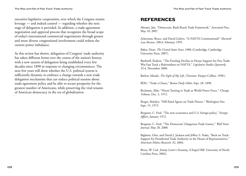executive-legislative cooperation, over which the Congress retains leverage — and indeed control — regarding whether the next stage of delegation is provided. In addition, a trade-agreement negotiation and approval process that recognizes the broad scope of today's international commercial negotiations through greater and more diverse congressional involvement could redress the current power imbalance.

As this review has shown, delegation of Congress' trade authority has taken different forms over the course of the nation's history, with a new system of delegation being established every few decades since 1890 in response to changing circumstances. The next few years will show whether the U.S. political system is sufficiently dynamic to embrace a change towards a new trade delegation mechanism that can reduce political tension about trade-agreement policy and be able to secure prosperity for the greatest number of Americans, while preserving the vital tenants of American democracy in the era of globalization.

## **REFERENCES**

Abrams, Jim. "Democrats, Bush Reach Trade Framework," *Associated Press*, May 10, 2007.

Ackerman, Bruce, and David Golove, "Is NAFTA Constitutional?" *Harvard Law Review*, 108:4, February 1995.

Baker, Dean. *The United States Since 1980*, (Cambridge: Cambridge University Press, 2007).

Bardwell, Kedron. "The Puzzling Decline in House Support for Free Trade: Was Fast Track a Referendum on NAFTA," *Legislative Studies Quarterly*, 25:4, November 2000.

Barlow, Maude. *The Fight of My Life*, (Toronto: Harper Collins, 1998.)

BDG. "Trade a Chaos," *Boston Daily Globe*, Sept. 28, 1890.

Beckman, Aldo. "Nixon Turning to Trade as World Power Force," *Chicago Tribune*, Dec. 3, 1972.

Berger, Marilyn. "Hill Panel Agrees on Trade Powers," *Washington Post*, Sept. 15, 1973.

Bergsten, C. Fred. "The new economics and U.S. foreign policy," *Foreign Affairs*, January 1972.

Bergsten, C. Fred. "The Democrats' Dangerous Trade Games," *Wall Street Journal*, May 20, 2008.

Biglaiser, Glen, and David J. Jackson and Jeffrey S. Peake, "Back on Track: Support for Presidential Trade Authority in the House of Representatives," *American Politics Research*, 32, 2004.

Biven, W. Carl. *Jimmy Carter's Economy*, (Chapel Hill: University of North Carolina Press, 2002).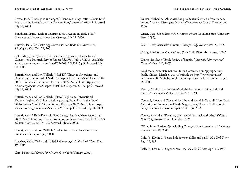Bivens, Josh. "Trade, jobs and wages," Economic Policy Institute Issue Brief, May 6, 2008. Available at: http://www.epi.org/content.cfm/ib244. Accessed July 25, 2008.

Blinkhorn, Laura. "Lack of Quorum Delays Action on Trade Bills," *Congressional Quarterly Committee Coverage*, July 27, 2006.

Blustein, Paul. "Zoellick's Aggressive Push for Trade Bill Draws Fire," *Washington Post*, Oct. 23, 2001.

Bolle, Mary Jane. "Jordan-U.S. Free Trade Agreement: Labor Issues," Congressional Research Service Report RS20968, July 15, 2003. Available at: http://assets.opencrs.com/rpts/RS20968\_20030715.pdf. Accessed July 22, 2008.

Bottari, Mary, and Lori Wallach. "NAFTA's Threat to Sovereignty and Democracy: The Record of NAFTA Chapter 11 Investor-State Cases 1994- 2005," Public Citizen Report, February 2005. Available at: http://www. citizen.org/documents/Chapter%2011%20Report%20Final.pdf. Accessed July 21, 2008.

Bottari, Mary, and Lori Wallach. "States' Rights and International Trade: A Legislator's Guide to Reinvigorating Federalism in the Era of Globalization," Public Citizen Report, February 2007. Available at: http:// www.citizen.org/documents/Guide\_2.9\_Final.pdf. Accessed July 21, 2008.

Bottari, Mary. "Trade Deficit in Food Safety," Public Citizen Report, July 2007. Available at: http://www.citizen.org/publications/release.cfm?ID=753 5&secID=2354&catID=126. Accessed July 22, 2008.

Bottari, Mary, and Lori Wallach. "Federalism and Global Governance," Public Citizen Report, July 2008.

Bradsher, Keith. "Whoops! It's 1985 all over again," *New York Times*, Dec. 19, 2004.

Caro, Robert A. *Master of the Senate*, (New York: Vintage, 2002).

Carrier, Michael A. "All aboard the presidential fast track: from trade to beyond," *George Washington Journal of International Law & Economy*, 29, 1996.

Carter, Dan. *The Politics of Rage*, (Baton Rouge: Louisiana State University Press, 1995).

CDT. "Reciprocity with Hawaii," *Chicago Daily Tribune*, Feb. 5, 1875.

Chang, Ha-Joon. *Bad Samaritans*, (New York: Bloomsbury Press, 2008).

Charnovitz, Steve. "Book Review of Shapiro," *Journal of International Economic Law*, 1-9, 2007.

Claybrook, Joan. Statement to House Committee on Appropriations, Public Citizen, March 8, 2007. Available at: http://www.citizen.org/ documents/2007-03-claybrook-testimony-nafta-trucks.pdf. Accessed July 29, 2008.

Cloud, David S. "Democrats Weigh the Politics of Battling Bush and Mexico," *Congressional Quarterly*, 49:660, 1991.

Conconi, Paola, and Giovanni Facchini and Maurizio Zanardi, "Fast Track Authority and International Trade Negotiations," Centre for Economic Policy Research Discussion Paper 6790, April 2008.

Conley, Richard S. "Derailing presidential fast-track authority," *Political Research Quarterly*, 52:4, December 1999.

CT. "Clinton Pardons 59 including Chicago's Dan Rostenkowski," *Chicago Tribune*, Dec. 22, 2000.

Dale, Jr., Edwin L. "Severs link between dollar and gold," *New York Times*, Aug. 16, 1971.

Dale, Jr., Edwin L. "Urgency Stressed," *New York Times*, April 11, 1973.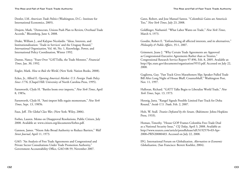Destler, I.M. *American Trade Politics* (Washington, D.C.: Institute for International Economics, 2005).

Drajem, Mark. "Democrats, Unions Push Plan to Review, Overhaul Trade Accords," Bloomberg, June 4, 2008.

Drake, William J., and Kalypso Nicolaidis. "Ideas, Interests, and Institutionalization: 'Trade in Services' and the Uruguay Round," *International Organization*, Vol. 46, No. 1, Knowledge, Power, and International Policy Coordination, Winter 1992.

Dunne, Nancy. "Fears Over "GATTzilla, the Trade Monster," *Financial Times*, Jan. 30, 1992.

Engler, Mark. *How to Rule the World*, (New York: Nation Books, 2008).

Eckes, Jr., Alfred E. *Opening America's Market: U.S. Foreign Trade Policy Since 1776*, (Chapel Hill: University of North Carolina Press, 1995).

Farnsworth, Clyde H. "Battles loom over imports," *New York Times*, April 8, 1985a.

Farnsworth, Clyde H. "Anti-import bills regain momentum," *New York Times*, Sept. 13, 1985b.

Faux, Jeff. *The Global Class War*, (New York: Wiley, 2006).

Forbes, Lauren. Memo on Disapproval Resolutions, Public Citizen, July 2008. Available at: www.citizen.org/documents/forbes.pdf.

Gannon, James. "Nixon Asks Broad Authority to Reduce Barriers," *Wall Street Journal*, April 11, 1973.

GAO. "An Analysis of Free Trade Agreements and Congressional and Private Sector Consultations Under Trade Promotion Authority," Government Accountability Office, GAO-08-59, November 2007.

Gates, Robert, and Jose Manuel Santos. "Colombia's Gains are America's Too," *New York Times*, July 23, 2008.

Goldfinger, Nathaniel. "What Labor Wants on Trade," *New York Times*, March 4, 1973.

Goodin, Robert E. "Enfranchising all affected interests, and its alternatives," *Philosophy & Public Affairs,* 35:1, 2007.

Grimmett, Jeane J. "Why Certain Trade Agreements are Approved as Congressional-Executive Agreements Rather than as Treaties," Congressional Research Service Report 97-896, Feb. 8, 2005. Available at: http://fpc.state.gov/documents/organization/9553.pdf. Accessed on July 22, 2008.

Gugliotta, Guy. "Fast Track Gives Marathoners Slip; Speaker Pulled Trade Bill After Long Night of House Bluff, Counterbluff," Washington Post, Nov. 11, 1997.

Halloran, Richard. "GATT Talks Begin to Liberalize World Trade," *New York Times*, Sept. 13, 1973.

Hennig, Jutta. "Rangel Signals Possible Limited Fast-Track for Doha Round," *Inside U.S. Trade*, Feb. 2, 2007.

Holt, W. Stull. *Treaties Defeated by the Senate*, (Baltimore: Johns Hopkins Press, 1933).

Homan, Timothy. "House GOP Frames Colombia Free-Trade Deal as a National Security Issue," *CQ Today*, April 3, 2008. Available at: http://www.reuters.com/article/pressRelease/idUS192570+03-Apr-2008+PRN20080403. Accessed on July 22, 2008.

IFG. International Forum on Globalization. *Alternatives to Economic Globalization*, (San Francisco: Berrett Koehler, 2004).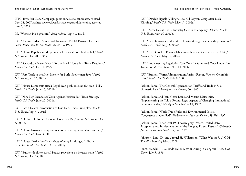IFTC. Iowa Fair Trade Campaign questionnaires to candidates, released Dec. 28, 2007, at http://www.iowafairtrade.org/candidates.php, accessed June 6, 2008.

IN. "Without His Signature," *Independent*, Aug. 30, 1894.

IUT. "Kantor Pledges Presidential Focus on NAFTA Passage Once Side Pacts Done," *Inside U.S. Trade*, March 19, 1993.

IUT. "House Republicans drop fast-track renewal from budget bill," *Inside U.S. Trade*, Oct. 20, 1995a.

IUT. "Richardson Makes New Effort to Break House Fast-Track Deadlock," *Inside U.S. Trade*, Dec. 1, 1995b.

IUT. "Fast-Track to be a Key Priority for Bush, Spokesman Says," *Inside U.S. Trade*, Jan. 12, 2001a.

IUT. "House Democrats attack Republican push on clean fast-track bill", *Inside U.S. Trade*, June 15, 2001b.

IUT. "Nine Key Democrats Warn Against Partisan Fast-Track Strategy," *Inside U.S. Trade*, June 22, 2001c.

IUT. "Levin Delays Introduction of Fast-Track Trade Principles," *Inside U.S. Trade*, Aug. 3, 2001d.

IUT. "Outline of House Democrat Fast-Track Bill," *Inside U.S. Trade*, Oct. 5, 2001e.

IUT. "House fast-track compromise efforts faltering, new talks uncertain," *Inside U.S. Trade*, Nov. 9, 2001f.

IUT. "House Textile Fast-Track Votes Won by Limiting CBI Fabric Benefits," *Inside U.S. Trade*, Dec. 7, 2001g.

IUT. "Business looks to curtail Baucus provisions on investor-state," *Inside U.S. Trade*, Dec. 14, 2001h.

IUT. "Daschle Signals Willingness to Kill Dayton-Craig After Bush Warning," *Inside U.S. Trade*, May 17, 2002a.

IUT. "Kerry Defeat Boosts Industry Case in Interagency Debate," *Inside U.S. Trade*, May 24, 2002b.

IUT. "Final fast-track deal weakens Dayton-Craig trade remedy provisions," *Inside U.S. Trade*, Aug. 2, 2002c.

IUT. "USTR cool to Finance labor amendment to Oman draft FTA bill," *Inside U.S. Trade*, May 19, 2006a.

IUT. "Implementing Legislation Can Only Be Submitted Once Under Fast Track," *Inside U.S. Trade*, Nov. 10, 2006b.

IUT. "Business Warns Administration Against Forcing Vote on Colombia FTA," *Inside U.S. Trade*, Feb. 8, 2008.

Jackson, John. "The General Agreement on Tariffs and Trade in U.S. Domestic Law," *Michigan Law Review*, 66, 1967.

Jackson, John, and Jean-Victor Louis and Mitsuo Matsushita. "Implementing the Tokyo Round: Legal Aspects of Changing International Economic Rules," *Michigan Law Review*, 81, 1982.

Jackson, John. "World Trade Rules and Environmental Policies: Congruence or Conflict?" *Washington & Lee Law Review*, 49, Fall 1992.

Jackson, John. "The Great 1994 Sovereignty Debate: United States Acceptance and Implementation of the Uruguay Round Results," *Columbia Journal of Transnational Law*, 36, 1997.

Johnston, Louis D., and Samuel H. Williamson, "What Was the U.S. GDP Then?" *Measuring Worth*, 2008.

Jones, Brendan. "U.S. Trade Policy Faces an Airing in Congress," *New York Times*, July 5, 1973.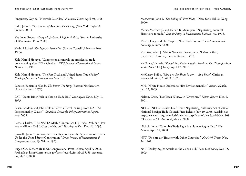Jonquieres, Guy de. "Network Guerillas," *Financial Times*, April 30, 1998.

Judis, John B. *The Paradox of American Democracy*, (New York: Taylor & Francis, 2001).

Kaufman, Robert. *Henry M. Jackson: A Life in Politics*, (Seattle, University of Washington Press, 2000).

Kazin, Michael. *The Populist Persuasion*, (Ithaca: Cornell University Press, 1995).

Koh, Harold Hongju. "Congressional controls on presidential trade policymaking after INS v. Chadha," *NYU Journal of International Law & Politics*, 18, 1986.

Koh, Harold Hongju. "The Fast Track and United States Trade Policy," *Brooklyn Journal of International Law*, 18:1, 1992.

Labaree, Benjamin Woods. *The Boston Tea Party* (Boston: Northeastern University Press, 1979).

LAT. "Quota Rider Fails in Vote on Trade Bill," *Los Angeles Times*, July 17, 1973.

Laxer, Gordon, and John Dillon. "Over a Barrel: Exiting From NAFTA's Proportionality Clause," *Canadian Center for Policy Alternatives Report*, May 2008.

Lewis, Charles. "The NAFTA-Math: Clinton Got His Trade Deal, but How Many Millions Did It Cost the Nation?" *Washington Post*, Dec. 26, 1993.

Linarelli, John. "International Trade Relations and the Separation of Powers Under the United States Constitution," *Duke Journal of International & Comparative Law,* 13, Winter 1995.

Lugar, Sen. Richard (R-Ind.). Congressional Press Release, April 7, 2008. Available at http://lugar.senate.gov/press/record.cfm?id=295658. Accessed on July 15, 2008.

MacArthur, John R. *The Selling of "Free Trade,"* (New York: Hill & Wang, 2000).

Marks, Matthew J., and Harald B. Malmgren, "Negotiating nontariff distortions to trade," *Law & Policy in International Business,* 7:2, 1975.

Mastel, Greg, and Hal Shapiro. "Fast Track Forever?" *The International Economy*, Summer 2006.

Matusow, Allen J. *Nixon's Economy: Booms, Busts, Dollars & Votes*, (Lawrence: University Press of Kansas, 1998).

McGrane, Victoria. "*Rangel Puts Doha-Specific, Restricted Fast Track for Bush on the Table,*" CQ Today, April 17, 2007.

McKinsey, Philip. "*Nixon to Get Trade Power — At a Price*," Christian Science Monitor, April 18, 1973.

MH. "White House Ordered to Hire Environmentalist," *Miami Herald*, Jan. 22, 2003.

Nelson, Chris. "Fast Track Wins… in 'Overtime,'" *Nelson Report*, Dec. 6, 2001.

NFTC. "NFTC Releases Draft Trade Negotiating Authority Act of 2009," National Foreign Trade Council Press Release, July 10, 2008. Available at: http://www.nftc.org/newsflash/newsflash.asp?Mode=View&articleid=1969 &Category=All . Accessed July 25, 2008.

Nichols, John. "Colombia Trade Fight is a Human Rights Test," *The Nation*, April 11, 2008.

NYT. "Reciprocity Treaties with Other Countries," *New York Times*, Nov. 24, 1901.

NYT. "Bailey Begins Attack on the Cuban Bill," *New York Times*, Dec. 15, 1903.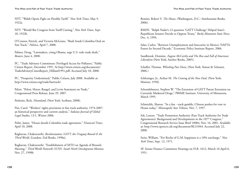NYT. "Walsh Opens Fight on Flexible Tariff," *New York Times*, May 9, 1922a.

NYT. "Would Bar Congress from Tariff Cutting," *New York Times*, Sept. 18, 1922b.

O'Connor, Patrick, and Victoria McGrane, "Bush Sends Colombia Deal on Fast Track," *Politico*, April 7, 2008.

Palmer, Doug. "Lawmakers, citing Obama, urge U.S. redo trade deals," *Reuters*, June 4, 2008.

PC. "Trade Advisory Committees: Privileged Access for Polluters," Public Citizen Report, December 1991. At http://www.citizen.org/documents/ TradeAdvisoryCmtesReport\_Hilliard1991.pdf. Accessed July 18, 2008.

PC. "Prosperity Undermined," Public Citizen, July 2008. Available at: http://www.citizen.org/trade/fasttrack/.

Pelosi. "Pelosi, Hoyer, Rangel, and Levin Statement on Trade," Congressional Press Release, June 29, 2007.

Perlstein, Rick. *Nixonland*, (New York: Scribner, 2008).

Pier, Carol. "Workers' rights provisions in fast track authority, 1974-2007: an historical perspective and current analysis," *Indiana Journal of Global Legal Studies*, 13:1, Winter 2006.

Politi, James. "House derails Colombia trade agreement," *Financial Times*, April 10, 2008.

Raghavan, Chakravarthi. *Recolonization: GATT, the Uruguay Round & the Third World*, (London: Zed Books, 1990a).

Raghavan, Chakravarthi. "Establishment of MTO on Agenda of Brussels Meeting," *Third World Network's SUNS- South North Development Monitor,* Nov. 27, 1990b.

Remini, Robert V. *The House*, (Washington, D.C.: Smithsonian Books, 2006).

RMSN. "Ralph Nader's 12-question 'GATT Challenge' Helped State's Republican Senator Decide to Oppose Treaty," *Rocky Mountain State News*, Dec. 4, 1994.

Salas, Carlos. "Between Unemployment and Insecurity in Mexico: NAFTA Enters Its Second Decade," Economic Policy Institute Report, 2006.

Sandbrook, Dominic. *Eugene McCarthy and The Rise and Fall of American Liberalism* (New York: Anchor Books, 2005).

Schaller, Thomas. *Whistling Past Dixie*, (New York: Simon & Schuster, 2006.)

Schlesinger, Jr., Arthur M. *The Coming of the New Deal*, (New York: Mariner, 1958).

Schondelmeyer, Stephen W. "The Extension of GATT Patent Extension on Currently Marketed Drugs," PRIME Institute, University of Minnesota, March 1995.

Schmickle, Sharon. "In a fast - track gamble, Clinton pushes for vote in House today," *Minneapolis Star Tribune*, Nov. 7, 1997.

Sek, Lenore. "Trade Promotion Authority (Fast-Track Authority for Trade Agreements): Background and Developments in the 107<sup>th</sup> Congress," Congressional Research Service Issue Brief 10084, Nov. 16, 2001. Available at: http://www.opencrs.cdt.org/document/RL31844. Accessed July 22, 2008.

Serin, William. "For Roche of G.M. happiness is a 10% surcharge," *New York Times*, Sept. 12, 1971.

SF. Senate Finance Committee Hearings on H.R. 1612, March 16-April 6, 1951.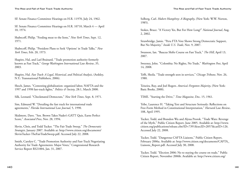SF. Senate Finance Committee Hearings on H.R. 11970, July 24, 1962.

SF. Senate Finance Committee Hearings on H.R. 10710, March 4 — April 10, 1974.

Shabecoff, Philip. "Feeding meat to the lions," *New York Times*, Sept. 12, 1971.

Shabecoff, Philip. "President Plans to Seek 'Options' in Trade Talks," *New York Times*, Feb. 20, 1973.

Shapiro, Hal, and Lael Brainard, "Trade promotion authority formerly known as Fast Track," *George Washington International Law Review*, 35, 2003.

Shapiro, Hal. *Fast Track: A Legal, Historical, and Political Analysis*, (Ardsley, N.Y.: Transnational Publishers, 2006).

Shoch, James. "Contesting globalization: organized labor, NAFTA and the 1997 and 1998 fast-track fights," *Politics & Society*, 28:1, March 2000.

Silk, Leonard. "Checkmated Democrats," *New York Times*, Sept. 8, 1971.

Sim, Edmund W. "Derailing the fast track for international trade agreements," *Florida International Law Journal*, 5, 1990.

Skidmore, Dave. "Sen. Brown Takes Nader's GATT Quiz, Earns Perfect Score," *Associated Press*, Nov. 28, 1994.

Slevin, Chris, and Todd Tucker. "The Fair Trade Sweep," *The Democratic Strategist*, January 2007. Available at: http://www.citizen.org/documents/ SlevinTucker-TheFairTradeSweep.pdf. Accessed July 22, 2008.

Smith, Carolyn C. "Trade Promotion Authority and Fast-Track Negotiating Authority for Trade Agreements: Major Votes," Congressional Research Service Report RS21004, Jan. 31, 2007.

Solberg, Carl. *Hubert Humphrey: A Biography*, (New York: W.W. Norton, 1985).

Stokes, Bruce. "A Victory Yes, But For How Long?" *National Journal*, Aug. 2, 2002.

Strawbridge, Jamie. "Peru FTA Vote Shows Strong Democratic Support, But No Majority," *Inside U.S. Trade*, Nov. 9, 2007.

Swanson, Ian. "Baucus Shifts Course on Fast Track," *The Hill*, April 13, 2007.

Sweeney, John. "Colombia: No Rights, No Trade," *Washington Post*, April 14, 2008.

Tefft, Sheila. "Trade strength seen in services," *Chicago Tribune*, Nov. 26, 1980.

Teixeira, Ruy, and Joel Rogers. *America's Forgotten Majority*, (New York: Basic Books, 2000).

TIME. "Starting the Drive," *Time Magazine*, Dec. 15, 1961.

Tribe, Laurence H. "Taking Text and Structure Seriously: Reflections on Free-Form Method in Constitutional Interpretation," *Harvard Law Review*, 108, April 1995.

Tucker, Todd, and Brandon Wu and Alyssa Prorok. "Trade Wars: Revenge of the Myth," Public Citizen Report, June 2005. Available at: http://www. citizen.org/publications/release.cfm?ID=7391&secID=2057&catID=126. Accessed July 22, 2008.

Tucker, Todd. "Dangerous CAFTA Liaisons," Public Citizen Report, February 2006a. Available at: http://www.citizen.org/documents/CAFTA\_ Liaisons\_Report.pdf. Accessed July 30, 2008.

Tucker, Todd. "Election 2006: No to staying the course on trade," Public Citizen Report, November 2006b. Available at: http://www.citizen.org/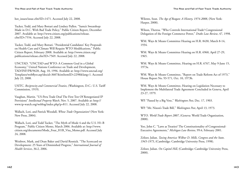hot\_issues/issue.cfm?ID=1471. Accessed July 22, 2008.

Tucker, Todd, and Mary Bottari and Lindsey Pullen. "Santa's Sweatshop: Made in D.C. With Bad Trade Policy," Public Citizen Report, December 2007. Available at: http://www.citizen.org/publications/release. cfm?ID=7554. Accessed July 22, 2008.

Tucker, Todd, and Mary Bottari. "Presidential Candidates' Key Proposals on Health Care and Climate Will Require WTO Modifications," Public Citizen Report, February 2008. Available at: http://www.citizen.org/ publications/release.cfm?ID=7569. Accessed July 22, 2008.

UNCTAD. "UNCTAD and WTO: A Common Goal in a Global Economy," United Nations Conference on Trade and Development, TAD/INF/PR/9628, Aug. 10, 1996. Available at: http://www.unctad.org/ Templates/webflyer.asp?docid=3607&intItemID=2298&lang=1. Accessed July 22, 2008.

USITC. *Reciprocity and Commercial Treaties*, (Washington, D.C.: U.S. Tariff Commission, 1919).

Vaughan, Martin. "US-Peru Trade Deal The First Test Of Renegotiated IP Provisions" *Intellectual Property Watch*, Nov. 5, 2007. Available at: http:// www.ip-watch.org/weblog/index.php?p=811. Accessed July 22, 2008.

Wallach, Lori, and Patrick Woodall, *Whose Trade Organziation?* (New York: New Press, 2004).

Wallach, Lori, and Todd Tucker, "The Myth of Mode 4 and the U.S. H1-B Program," Public Citizen Memo, March 2006. Available at: http://www. citizen.org/documents/Mode\_Four\_H1B\_Visa\_Memo.pdf. Accessed July 24, 2008.

Weisbrot, Mark, and Dean Baker and David Rosnick. "The Scorecard on Development: 25 Years of Diminished Progress," *International Journal of Health Services*, 36:2, 2006.

Wilentz, Sean. *The Age of Reagan: A History, 1974-2008*, (New York: Harper, 2008).

Wilson, Theresa. "Who Controls International Trade? Congressional Delegation of the Foreign Commerce Power," *Drake Law Review*, 47, 1998.

WM. Ways & Means Committee Hearing on H.R. 8430, March 8-14, 1934.

WM. Ways & Means Committee Hearing on H.R. 6960, April 27-29, 1965.

WM. Ways & Means Committee, Hearing on H.R. 6767, May 9-June 15, 1973a.

WM. Ways & Means Committee, "Report on Trade Reform Act of 1973," House Report No. 93-571, Oct. 10, 1973b.

WM. Ways & Means Committee, Hearing on Legislation Necessary to Implement the Multilateral Trade Agreement Concluded in Geneva, April 23-27, 1979.

WP. "Passed by a Big Vote," *Washington Post*, Dec. 17, 1903.

WP. "Mr. Nixon's Trade Bill," *Washington Post*, April 13, 1973.

WTO. *World Trade Report 2007*, (Geneva: World Trade Organization, 2008).

Yoo, John C. "Laws as Treaties? The Constitutionality of Congressional-Executive Agreements," *Michigan Law Review*, 99:4, February 2001.

Zelizer, Julian. *Taxing America: Wilbur D. Mills, Congress and the State, 1945-1975*, (Cambridge: Cambridge University Press, 1998).

Zelizer, Julian. *On Capitol Hill*, (Cambridge: Cambridge University Press, 2000).